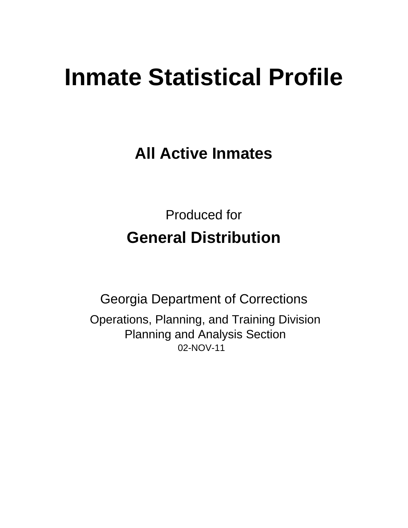# **Inmate Statistical Profile**

**All Active Inmates** 

**Produced for General Distribution** 

**Georgia Department of Corrections** Operations, Planning, and Training Division **Planning and Analysis Section** 02-NOV-11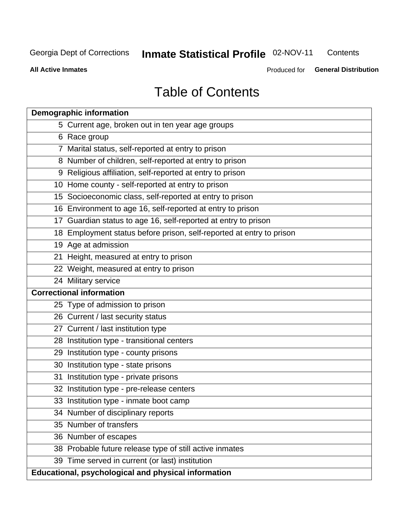#### Inmate Statistical Profile 02-NOV-11 Contents

**All Active Inmates** 

Produced for General Distribution

# **Table of Contents**

| <b>Demographic information</b>                                       |
|----------------------------------------------------------------------|
| 5 Current age, broken out in ten year age groups                     |
| 6 Race group                                                         |
| 7 Marital status, self-reported at entry to prison                   |
| 8 Number of children, self-reported at entry to prison               |
| 9 Religious affiliation, self-reported at entry to prison            |
| 10 Home county - self-reported at entry to prison                    |
| 15 Socioeconomic class, self-reported at entry to prison             |
| 16 Environment to age 16, self-reported at entry to prison           |
| 17 Guardian status to age 16, self-reported at entry to prison       |
| 18 Employment status before prison, self-reported at entry to prison |
| 19 Age at admission                                                  |
| 21 Height, measured at entry to prison                               |
| 22 Weight, measured at entry to prison                               |
| 24 Military service                                                  |
| <b>Correctional information</b>                                      |
| 25 Type of admission to prison                                       |
| 26 Current / last security status                                    |
| 27 Current / last institution type                                   |
| 28 Institution type - transitional centers                           |
| 29 Institution type - county prisons                                 |
| 30 Institution type - state prisons                                  |
| 31 Institution type - private prisons                                |
| 32 Institution type - pre-release centers                            |
| 33 Institution type - inmate boot camp                               |
| 34 Number of disciplinary reports                                    |
| 35 Number of transfers                                               |
| 36 Number of escapes                                                 |
| 38 Probable future release type of still active inmates              |
| 39 Time served in current (or last) institution                      |
| Educational, psychological and physical information                  |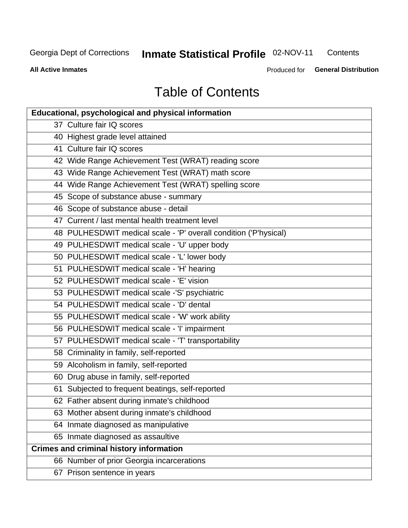# **Inmate Statistical Profile 02-NOV-11**

Contents

**All Active Inmates** 

Produced for General Distribution

# **Table of Contents**

| <b>Educational, psychological and physical information</b>       |
|------------------------------------------------------------------|
| 37 Culture fair IQ scores                                        |
| 40 Highest grade level attained                                  |
| 41 Culture fair IQ scores                                        |
| 42 Wide Range Achievement Test (WRAT) reading score              |
| 43 Wide Range Achievement Test (WRAT) math score                 |
| 44 Wide Range Achievement Test (WRAT) spelling score             |
| 45 Scope of substance abuse - summary                            |
| 46 Scope of substance abuse - detail                             |
| 47 Current / last mental health treatment level                  |
| 48 PULHESDWIT medical scale - 'P' overall condition ('P'hysical) |
| 49 PULHESDWIT medical scale - 'U' upper body                     |
| 50 PULHESDWIT medical scale - 'L' lower body                     |
| 51 PULHESDWIT medical scale - 'H' hearing                        |
| 52 PULHESDWIT medical scale - 'E' vision                         |
| 53 PULHESDWIT medical scale -'S' psychiatric                     |
| 54 PULHESDWIT medical scale - 'D' dental                         |
| 55 PULHESDWIT medical scale - 'W' work ability                   |
| 56 PULHESDWIT medical scale - 'I' impairment                     |
| 57 PULHESDWIT medical scale - 'T' transportability               |
| 58 Criminality in family, self-reported                          |
| 59 Alcoholism in family, self-reported                           |
| 60 Drug abuse in family, self-reported                           |
| 61 Subjected to frequent beatings, self-reported                 |
| 62 Father absent during inmate's childhood                       |
| 63 Mother absent during inmate's childhood                       |
| 64 Inmate diagnosed as manipulative                              |
| 65 Inmate diagnosed as assaultive                                |
| <b>Crimes and criminal history information</b>                   |
| 66 Number of prior Georgia incarcerations                        |
| 67 Prison sentence in years                                      |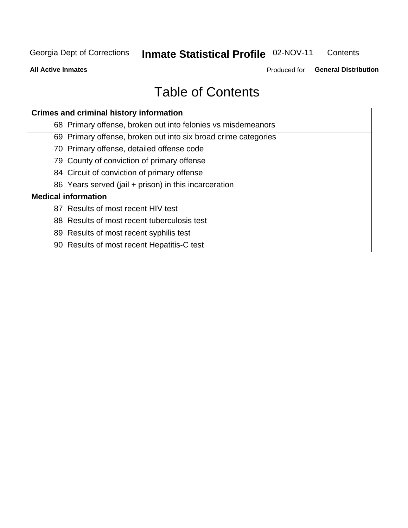#### Inmate Statistical Profile 02-NOV-11 Contents

**All Active Inmates** 

Produced for General Distribution

# **Table of Contents**

| <b>Crimes and criminal history information</b>                 |
|----------------------------------------------------------------|
| 68 Primary offense, broken out into felonies vs misdemeanors   |
| 69 Primary offense, broken out into six broad crime categories |
| 70 Primary offense, detailed offense code                      |
| 79 County of conviction of primary offense                     |
| 84 Circuit of conviction of primary offense                    |
| 86 Years served (jail + prison) in this incarceration          |
| <b>Medical information</b>                                     |
| 87 Results of most recent HIV test                             |
| 88 Results of most recent tuberculosis test                    |
| 89 Results of most recent syphilis test                        |
| 90 Results of most recent Hepatitis-C test                     |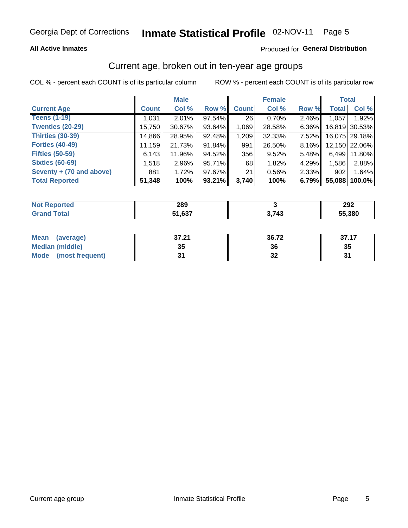#### **All Active Inmates**

#### Produced for General Distribution

#### Current age, broken out in ten-year age groups

COL % - percent each COUNT is of its particular column

|                          |              | <b>Male</b> |        |              | <b>Female</b> |       | <b>Total</b> |               |
|--------------------------|--------------|-------------|--------|--------------|---------------|-------|--------------|---------------|
| <b>Current Age</b>       | <b>Count</b> | Col %       | Row %  | <b>Count</b> | Col %         | Row % | <b>Total</b> | Col %         |
| <b>Teens (1-19)</b>      | 1,031        | 2.01%       | 97.54% | 26           | 0.70%         | 2.46% | 1,057        | 1.92%         |
| <b>Twenties (20-29)</b>  | 15,750       | 30.67%      | 93.64% | 1,069        | 28.58%        | 6.36% |              | 16,819 30.53% |
| <b>Thirties (30-39)</b>  | 14,866       | 28.95%      | 92.48% | 1,209        | 32.33%        | 7.52% |              | 16,075 29.18% |
| <b>Forties (40-49)</b>   | 11,159       | 21.73%      | 91.84% | 991          | 26.50%        | 8.16% |              | 12,150 22.06% |
| <b>Fifties (50-59)</b>   | 6,143        | 11.96%      | 94.52% | 356          | 9.52%         | 5.48% | 6,499        | 11.80%        |
| <b>Sixties (60-69)</b>   | 1,518        | $2.96\%$    | 95.71% | 68           | 1.82%         | 4.29% | 1,586        | 2.88%         |
| Seventy + (70 and above) | 881          | 1.72%       | 97.67% | 21           | 0.56%         | 2.33% | 902          | 1.64%         |
| <b>Total Reported</b>    | 51,348       | 100%        | 93.21% | 3,740        | 100%          | 6.79% | 55,088       | 100.0%        |

| NOT<br>τeα<br> | റററ<br>20J |               | 292    |
|----------------|------------|---------------|--------|
| $T0+0$         | $\sim$     | 1 7 1 2<br>−∙ | 55,380 |

| Mean<br>(average)              | 37.21 | 36.72 | 37.17 |
|--------------------------------|-------|-------|-------|
| <b>Median (middle)</b>         | 35    | 36    | 35    |
| <b>Mode</b><br>(most frequent) | ŋ,    | ◡     | ີ     |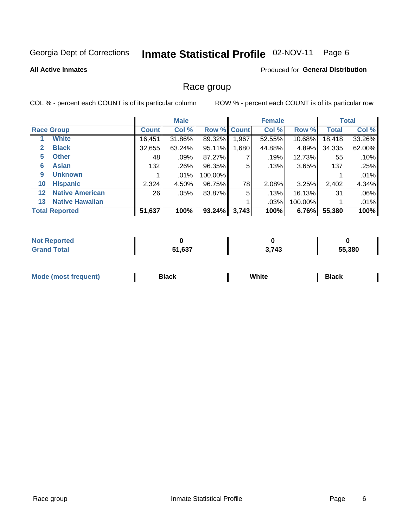#### Inmate Statistical Profile 02-NOV-11 Page 6

#### **All Active Inmates**

#### **Produced for General Distribution**

#### Race group

COL % - percent each COUNT is of its particular column

|                   |                        |              | <b>Male</b> |             |       | <b>Female</b> |         |              | <b>Total</b> |
|-------------------|------------------------|--------------|-------------|-------------|-------|---------------|---------|--------------|--------------|
|                   | <b>Race Group</b>      | <b>Count</b> | Col %       | Row % Count |       | Col %         | Row %   | <b>Total</b> | Col %        |
|                   | <b>White</b>           | 16,451       | 31.86%      | 89.32%      | .967  | 52.55%        | 10.68%  | 18,418       | 33.26%       |
| 2                 | <b>Black</b>           | 32,655       | 63.24%      | 95.11%      | .680  | 44.88%        | 4.89%   | 34,335       | 62.00%       |
| 5                 | <b>Other</b>           | 48           | .09%        | 87.27%      |       | .19%          | 12.73%  | 55           | .10%         |
| 6                 | <b>Asian</b>           | 132          | .26%        | 96.35%      | 5     | .13%          | 3.65%   | 137          | .25%         |
| 9                 | <b>Unknown</b>         |              | $.01\%$     | 100.00%     |       |               |         |              | .01%         |
| 10                | <b>Hispanic</b>        | 2,324        | 4.50%       | 96.75%      | 78    | 2.08%         | 3.25%   | 2,402        | 4.34%        |
| $12 \overline{ }$ | <b>Native American</b> | 26           | .05%        | 83.87%      | 5     | .13%          | 16.13%  | 31           | .06%         |
| 13                | <b>Native Hawaiian</b> |              |             |             |       | .03%          | 100.00% |              | .01%         |
|                   | <b>Total Reported</b>  | 51,637       | 100%        | 93.24%      | 3,743 | 100%          | 6.76%   | 55,380       | 100%         |

| orted<br>- IN 4 |                                     |       |        |
|-----------------|-------------------------------------|-------|--------|
| <b>otal</b>     | C <sub>27</sub><br>CA.<br>ו נס, ו כ | 2.712 | 55,380 |

| Mode (<br>tenti<br>most tren | こうへん | White<br>$\sim$ $\sim$ $\sim$ | <b>Black</b> |
|------------------------------|------|-------------------------------|--------------|
|                              |      |                               |              |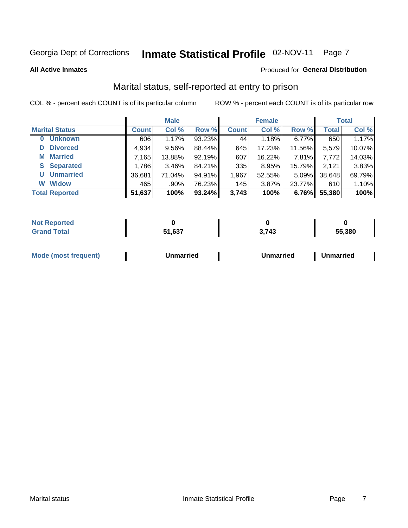### Inmate Statistical Profile 02-NOV-11 Page 7

**All Active Inmates** 

#### Produced for General Distribution

### Marital status, self-reported at entry to prison

COL % - percent each COUNT is of its particular column

|                            |              | <b>Male</b> |        |              | <b>Female</b> |          |              | <b>Total</b> |
|----------------------------|--------------|-------------|--------|--------------|---------------|----------|--------------|--------------|
| <b>Marital Status</b>      | <b>Count</b> | Col %       | Row %  | <b>Count</b> | Col %         | Row %    | <b>Total</b> | Col %        |
| <b>Unknown</b><br>$\bf{0}$ | 606          | 1.17%       | 93.23% | 44           | 1.18%         | 6.77%    | 650          | 1.17%        |
| <b>Divorced</b><br>D       | 4,934        | $9.56\%$    | 88.44% | 645          | 17.23%        | 11.56%   | 5,579        | 10.07%       |
| <b>Married</b><br>М        | 7,165        | 13.88%      | 92.19% | 607          | 16.22%        | 7.81%    | 7,772        | 14.03%       |
| <b>Separated</b><br>S.     | 1,786        | 3.46%       | 84.21% | 335          | 8.95%         | 15.79%   | 2,121        | 3.83%        |
| <b>Unmarried</b><br>U      | 36,681       | 71.04%      | 94.91% | 1,967        | 52.55%        | $5.09\%$ | 38,648       | 69.79%       |
| <b>Widow</b><br>W          | 465          | .90%        | 76.23% | 145          | 3.87%         | 23.77%   | 610          | 1.10%        |
| <b>Total Reported</b>      | 51,637       | 100%        | 93.24% | 3,743        | 100%          | 6.76%    | 55,380       | 100%         |

| <b>Not Repo</b><br><b>Anorted</b> |       |                      |        |
|-----------------------------------|-------|----------------------|--------|
| <b>Total</b>                      | . 027 | .743<br>. . <i>.</i> | 55.380 |

|--|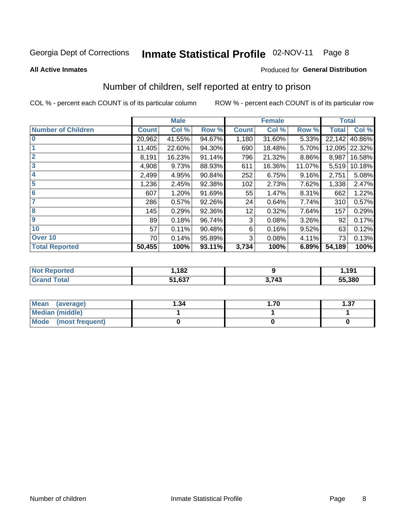#### Inmate Statistical Profile 02-NOV-11 Page 8

#### **All Active Inmates**

#### Produced for General Distribution

### Number of children, self reported at entry to prison

COL % - percent each COUNT is of its particular column

|                           |              | <b>Male</b> |        | <b>Female</b> |        |        | <b>Total</b> |        |
|---------------------------|--------------|-------------|--------|---------------|--------|--------|--------------|--------|
| <b>Number of Children</b> | <b>Count</b> | Col %       | Row %  | <b>Count</b>  | Col %  | Row %  | <b>Total</b> | Col %  |
| $\overline{0}$            | 20,962       | 41.55%      | 94.67% | 1,180         | 31.60% | 5.33%  | 22,142       | 40.86% |
|                           | 11,405       | 22.60%      | 94.30% | 690           | 18.48% | 5.70%  | 12,095       | 22.32% |
| $\overline{2}$            | 8,191        | 16.23%      | 91.14% | 796           | 21.32% | 8.86%  | 8,987        | 16.58% |
| $\overline{\mathbf{3}}$   | 4,908        | 9.73%       | 88.93% | 611           | 16.36% | 11.07% | 5,519        | 10.18% |
| 4                         | 2,499        | 4.95%       | 90.84% | 252           | 6.75%  | 9.16%  | 2,751        | 5.08%  |
| 5                         | 1,236        | 2.45%       | 92.38% | 102           | 2.73%  | 7.62%  | 1,338        | 2.47%  |
| 6                         | 607          | 1.20%       | 91.69% | 55            | 1.47%  | 8.31%  | 662          | 1.22%  |
| 7                         | 286          | 0.57%       | 92.26% | 24            | 0.64%  | 7.74%  | 310          | 0.57%  |
| 8                         | 145          | 0.29%       | 92.36% | 12            | 0.32%  | 7.64%  | 157          | 0.29%  |
| 9                         | 89           | 0.18%       | 96.74% | 3             | 0.08%  | 3.26%  | 92           | 0.17%  |
| 10                        | 57           | 0.11%       | 90.48% | 6             | 0.16%  | 9.52%  | 63           | 0.12%  |
| Over 10                   | 70           | 0.14%       | 95.89% | 3             | 0.08%  | 4.11%  | 73           | 0.13%  |
| <b>Total Reported</b>     | 50,455       | 100%        | 93.11% | 3,734         | 100%   | 6.89%  | 54,189       | 100%   |

| ,182                     |     | 191<br>. |
|--------------------------|-----|----------|
| <b>54 COZ</b><br>ו כט. ו | 743 | 55,380   |

| <b>Mean</b><br>(average) | 1.34 | .70 | l.37 |  |
|--------------------------|------|-----|------|--|
| Median (middle)          |      |     |      |  |
| Mode (most frequent)     |      |     |      |  |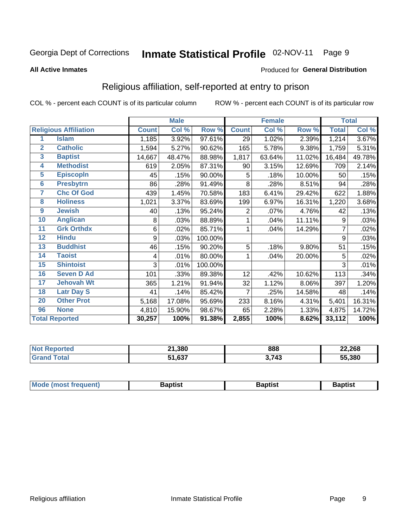#### Inmate Statistical Profile 02-NOV-11 Page 9

#### **All Active Inmates**

#### Produced for General Distribution

### Religious affiliation, self-reported at entry to prison

COL % - percent each COUNT is of its particular column

|                         |                              |              | <b>Male</b> |         |                | <b>Female</b> |        | <b>Total</b> |        |
|-------------------------|------------------------------|--------------|-------------|---------|----------------|---------------|--------|--------------|--------|
|                         | <b>Religious Affiliation</b> | <b>Count</b> | Col %       | Row %   | <b>Count</b>   | Col %         | Row %  | <b>Total</b> | Col %  |
| 1                       | <b>Islam</b>                 | 1,185        | 3.92%       | 97.61%  | 29             | 1.02%         | 2.39%  | 1,214        | 3.67%  |
| $\mathbf{2}$            | <b>Catholic</b>              | 1,594        | 5.27%       | 90.62%  | 165            | 5.78%         | 9.38%  | 1,759        | 5.31%  |
| $\mathbf{3}$            | <b>Baptist</b>               | 14,667       | 48.47%      | 88.98%  | 1,817          | 63.64%        | 11.02% | 16,484       | 49.78% |
| $\overline{\mathbf{4}}$ | <b>Methodist</b>             | 619          | 2.05%       | 87.31%  | 90             | 3.15%         | 12.69% | 709          | 2.14%  |
| $\overline{5}$          | <b>EpiscopIn</b>             | 45           | .15%        | 90.00%  | 5              | .18%          | 10.00% | 50           | .15%   |
| $6\overline{6}$         | <b>Presbytrn</b>             | 86           | .28%        | 91.49%  | 8              | .28%          | 8.51%  | 94           | .28%   |
| 7                       | <b>Chc Of God</b>            | 439          | 1.45%       | 70.58%  | 183            | 6.41%         | 29.42% | 622          | 1.88%  |
| 8                       | <b>Holiness</b>              | 1,021        | 3.37%       | 83.69%  | 199            | 6.97%         | 16.31% | 1,220        | 3.68%  |
| 9                       | <b>Jewish</b>                | 40           | .13%        | 95.24%  | 2              | .07%          | 4.76%  | 42           | .13%   |
| 10                      | <b>Anglican</b>              | 8            | .03%        | 88.89%  |                | .04%          | 11.11% | 9            | .03%   |
| 11                      | <b>Grk Orthdx</b>            | 6            | .02%        | 85.71%  |                | .04%          | 14.29% |              | .02%   |
| 12                      | <b>Hindu</b>                 | 9            | .03%        | 100.00% |                |               |        | 9            | .03%   |
| 13                      | <b>Buddhist</b>              | 46           | .15%        | 90.20%  | 5              | .18%          | 9.80%  | 51           | .15%   |
| 14                      | <b>Taoist</b>                | 4            | .01%        | 80.00%  | 1              | .04%          | 20.00% | 5            | .02%   |
| 15                      | <b>Shintoist</b>             | 3            | .01%        | 100.00% |                |               |        | 3            | .01%   |
| 16                      | <b>Seven D Ad</b>            | 101          | .33%        | 89.38%  | 12             | .42%          | 10.62% | 113          | .34%   |
| $\overline{17}$         | <b>Jehovah Wt</b>            | 365          | 1.21%       | 91.94%  | 32             | 1.12%         | 8.06%  | 397          | 1.20%  |
| 18                      | <b>Latr Day S</b>            | 41           | .14%        | 85.42%  | $\overline{7}$ | .25%          | 14.58% | 48           | .14%   |
| 20                      | <b>Other Prot</b>            | 5,168        | 17.08%      | 95.69%  | 233            | 8.16%         | 4.31%  | 5,401        | 16.31% |
| 96                      | <b>None</b>                  | 4,810        | 15.90%      | 98.67%  | 65             | 2.28%         | 1.33%  | 4,875        | 14.72% |
|                         | <b>Total Reported</b>        | 30,257       | 100%        | 91.38%  | 2,855          | 100%          | 8.62%  | 33,112       | 100%   |

| 21,380<br>- 24        | 888  | 22,268 |
|-----------------------|------|--------|
| 0.27<br>E4<br>. כס. י | ・フィク | 55,380 |

| Mode (most frequent) | <b>3aptist</b> | 3aptist | <b>Baptist</b> |
|----------------------|----------------|---------|----------------|
|                      |                |         |                |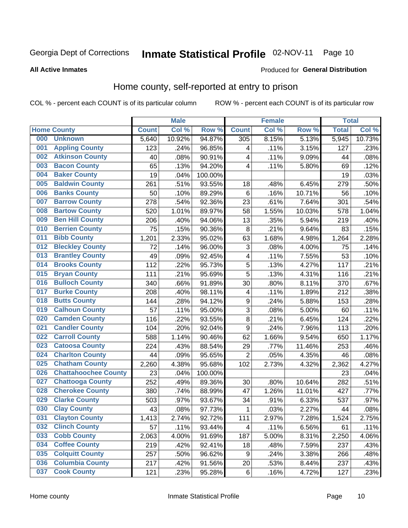#### Inmate Statistical Profile 02-NOV-11 Page 10

#### **All Active Inmates**

#### **Produced for General Distribution**

### Home county, self-reported at entry to prison

COL % - percent each COUNT is of its particular column

|     |                             |              | <b>Male</b> |         |                  | <b>Female</b> |        |              | <b>Total</b> |
|-----|-----------------------------|--------------|-------------|---------|------------------|---------------|--------|--------------|--------------|
|     | <b>Home County</b>          | <b>Count</b> | Col %       | Row %   | <b>Count</b>     | Col %         | Row %  | <b>Total</b> | Col %        |
| 000 | <b>Unknown</b>              | 5,640        | 10.92%      | 94.87%  | 305              | 8.15%         | 5.13%  | 5,945        | 10.73%       |
| 001 | <b>Appling County</b>       | 123          | .24%        | 96.85%  | 4                | .11%          | 3.15%  | 127          | .23%         |
| 002 | <b>Atkinson County</b>      | 40           | .08%        | 90.91%  | 4                | .11%          | 9.09%  | 44           | .08%         |
| 003 | <b>Bacon County</b>         | 65           | .13%        | 94.20%  | 4                | .11%          | 5.80%  | 69           | .12%         |
| 004 | <b>Baker County</b>         | 19           | .04%        | 100.00% |                  |               |        | 19           | .03%         |
| 005 | <b>Baldwin County</b>       | 261          | .51%        | 93.55%  | 18               | .48%          | 6.45%  | 279          | .50%         |
| 006 | <b>Banks County</b>         | 50           | .10%        | 89.29%  | $\,6$            | .16%          | 10.71% | 56           | .10%         |
| 007 | <b>Barrow County</b>        | 278          | .54%        | 92.36%  | 23               | .61%          | 7.64%  | 301          | .54%         |
| 008 | <b>Bartow County</b>        | 520          | 1.01%       | 89.97%  | 58               | 1.55%         | 10.03% | 578          | 1.04%        |
| 009 | <b>Ben Hill County</b>      | 206          | .40%        | 94.06%  | 13               | .35%          | 5.94%  | 219          | .40%         |
| 010 | <b>Berrien County</b>       | 75           | .15%        | 90.36%  | 8                | .21%          | 9.64%  | 83           | .15%         |
| 011 | <b>Bibb County</b>          | 1,201        | 2.33%       | 95.02%  | 63               | 1.68%         | 4.98%  | 1,264        | 2.28%        |
| 012 | <b>Bleckley County</b>      | 72           | .14%        | 96.00%  | 3                | .08%          | 4.00%  | 75           | .14%         |
| 013 | <b>Brantley County</b>      | 49           | .09%        | 92.45%  | 4                | .11%          | 7.55%  | 53           | .10%         |
| 014 | <b>Brooks County</b>        | 112          | .22%        | 95.73%  | 5                | .13%          | 4.27%  | 117          | .21%         |
| 015 | <b>Bryan County</b>         | 111          | .21%        | 95.69%  | 5                | .13%          | 4.31%  | 116          | .21%         |
| 016 | <b>Bulloch County</b>       | 340          | .66%        | 91.89%  | 30               | .80%          | 8.11%  | 370          | .67%         |
| 017 | <b>Burke County</b>         | 208          | .40%        | 98.11%  | 4                | .11%          | 1.89%  | 212          | .38%         |
| 018 | <b>Butts County</b>         | 144          | .28%        | 94.12%  | $\boldsymbol{9}$ | .24%          | 5.88%  | 153          | .28%         |
| 019 | <b>Calhoun County</b>       | 57           | .11%        | 95.00%  | 3                | .08%          | 5.00%  | 60           | .11%         |
| 020 | <b>Camden County</b>        | 116          | .22%        | 93.55%  | $\bf 8$          | .21%          | 6.45%  | 124          | .22%         |
| 021 | <b>Candler County</b>       | 104          | .20%        | 92.04%  | 9                | .24%          | 7.96%  | 113          | .20%         |
| 022 | <b>Carroll County</b>       | 588          | 1.14%       | 90.46%  | 62               | 1.66%         | 9.54%  | 650          | 1.17%        |
| 023 | <b>Catoosa County</b>       | 224          | .43%        | 88.54%  | 29               | .77%          | 11.46% | 253          | .46%         |
| 024 | <b>Charlton County</b>      | 44           | .09%        | 95.65%  | $\overline{2}$   | .05%          | 4.35%  | 46           | .08%         |
| 025 | <b>Chatham County</b>       | 2,260        | 4.38%       | 95.68%  | 102              | 2.73%         | 4.32%  | 2,362        | 4.27%        |
| 026 | <b>Chattahoochee County</b> | 23           | .04%        | 100.00% |                  |               |        | 23           | .04%         |
| 027 | <b>Chattooga County</b>     | 252          | .49%        | 89.36%  | 30               | .80%          | 10.64% | 282          | .51%         |
| 028 | <b>Cherokee County</b>      | 380          | .74%        | 88.99%  | 47               | 1.26%         | 11.01% | 427          | .77%         |
| 029 | <b>Clarke County</b>        | 503          | .97%        | 93.67%  | 34               | .91%          | 6.33%  | 537          | .97%         |
| 030 | <b>Clay County</b>          | 43           | .08%        | 97.73%  | $\mathbf 1$      | .03%          | 2.27%  | 44           | .08%         |
| 031 | <b>Clayton County</b>       | 1,413        | 2.74%       | 92.72%  | 111              | 2.97%         | 7.28%  | 1,524        | 2.75%        |
| 032 | <b>Clinch County</b>        | 57           | .11%        | 93.44%  | 4                | .11%          | 6.56%  | 61           | .11%         |
| 033 | <b>Cobb County</b>          | 2,063        | 4.00%       | 91.69%  | 187              | 5.00%         | 8.31%  | 2,250        | 4.06%        |
| 034 | <b>Coffee County</b>        | 219          | .42%        | 92.41%  | 18               | .48%          | 7.59%  | 237          | .43%         |
| 035 | <b>Colquitt County</b>      | 257          | .50%        | 96.62%  | $\boldsymbol{9}$ | .24%          | 3.38%  | 266          | .48%         |
| 036 | <b>Columbia County</b>      | 217          | .42%        | 91.56%  | 20               | .53%          | 8.44%  | 237          | .43%         |
| 037 | <b>Cook County</b>          | 121          | .23%        | 95.28%  | $\,6\,$          | .16%          | 4.72%  | 127          | .23%         |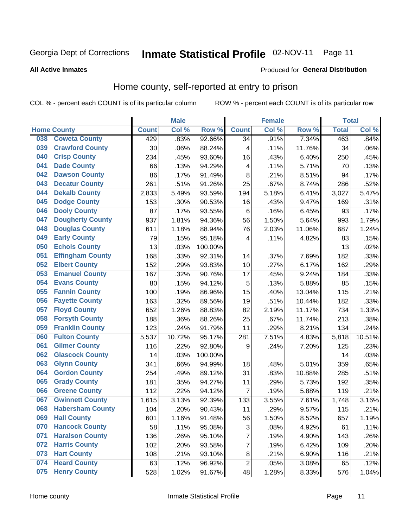# Inmate Statistical Profile 02-NOV-11 Page 11

#### **All Active Inmates**

#### Produced for General Distribution

#### Home county, self-reported at entry to prison

COL % - percent each COUNT is of its particular column

|     |                         |              | <b>Male</b> |         |                         | <b>Female</b> |        | <b>Total</b> |        |
|-----|-------------------------|--------------|-------------|---------|-------------------------|---------------|--------|--------------|--------|
|     | <b>Home County</b>      | <b>Count</b> | Col %       | Row %   | <b>Count</b>            | Col %         | Row %  | <b>Total</b> | Col %  |
| 038 | <b>Coweta County</b>    | 429          | .83%        | 92.66%  | 34                      | .91%          | 7.34%  | 463          | .84%   |
| 039 | <b>Crawford County</b>  | 30           | .06%        | 88.24%  | 4                       | .11%          | 11.76% | 34           | .06%   |
| 040 | <b>Crisp County</b>     | 234          | .45%        | 93.60%  | 16                      | .43%          | 6.40%  | 250          | .45%   |
| 041 | <b>Dade County</b>      | 66           | .13%        | 94.29%  | $\overline{\mathbf{4}}$ | .11%          | 5.71%  | 70           | .13%   |
| 042 | <b>Dawson County</b>    | 86           | .17%        | 91.49%  | 8                       | .21%          | 8.51%  | 94           | .17%   |
| 043 | <b>Decatur County</b>   | 261          | .51%        | 91.26%  | 25                      | .67%          | 8.74%  | 286          | .52%   |
| 044 | <b>Dekalb County</b>    | 2,833        | 5.49%       | 93.59%  | 194                     | 5.18%         | 6.41%  | 3,027        | 5.47%  |
| 045 | <b>Dodge County</b>     | 153          | .30%        | 90.53%  | 16                      | .43%          | 9.47%  | 169          | .31%   |
| 046 | <b>Dooly County</b>     | 87           | .17%        | 93.55%  | 6                       | .16%          | 6.45%  | 93           | .17%   |
| 047 | <b>Dougherty County</b> | 937          | 1.81%       | 94.36%  | 56                      | 1.50%         | 5.64%  | 993          | 1.79%  |
| 048 | <b>Douglas County</b>   | 611          | 1.18%       | 88.94%  | 76                      | 2.03%         | 11.06% | 687          | 1.24%  |
| 049 | <b>Early County</b>     | 79           | .15%        | 95.18%  | 4                       | .11%          | 4.82%  | 83           | .15%   |
| 050 | <b>Echols County</b>    | 13           | .03%        | 100.00% |                         |               |        | 13           | .02%   |
| 051 | <b>Effingham County</b> | 168          | .33%        | 92.31%  | 14                      | .37%          | 7.69%  | 182          | .33%   |
| 052 | <b>Elbert County</b>    | 152          | .29%        | 93.83%  | 10                      | .27%          | 6.17%  | 162          | .29%   |
| 053 | <b>Emanuel County</b>   | 167          | .32%        | 90.76%  | 17                      | .45%          | 9.24%  | 184          | .33%   |
| 054 | <b>Evans County</b>     | 80           | .15%        | 94.12%  | 5                       | .13%          | 5.88%  | 85           | .15%   |
| 055 | <b>Fannin County</b>    | 100          | .19%        | 86.96%  | 15                      | .40%          | 13.04% | 115          | .21%   |
| 056 | <b>Fayette County</b>   | 163          | .32%        | 89.56%  | 19                      | .51%          | 10.44% | 182          | .33%   |
| 057 | <b>Floyd County</b>     | 652          | 1.26%       | 88.83%  | 82                      | 2.19%         | 11.17% | 734          | 1.33%  |
| 058 | <b>Forsyth County</b>   | 188          | .36%        | 88.26%  | 25                      | .67%          | 11.74% | 213          | .38%   |
| 059 | <b>Franklin County</b>  | 123          | .24%        | 91.79%  | 11                      | .29%          | 8.21%  | 134          | .24%   |
| 060 | <b>Fulton County</b>    | 5,537        | 10.72%      | 95.17%  | 281                     | 7.51%         | 4.83%  | 5,818        | 10.51% |
| 061 | <b>Gilmer County</b>    | 116          | .22%        | 92.80%  | 9                       | .24%          | 7.20%  | 125          | .23%   |
| 062 | <b>Glascock County</b>  | 14           | .03%        | 100.00% |                         |               |        | 14           | .03%   |
| 063 | <b>Glynn County</b>     | 341          | .66%        | 94.99%  | 18                      | .48%          | 5.01%  | 359          | .65%   |
| 064 | <b>Gordon County</b>    | 254          | .49%        | 89.12%  | 31                      | .83%          | 10.88% | 285          | .51%   |
| 065 | <b>Grady County</b>     | 181          | .35%        | 94.27%  | 11                      | .29%          | 5.73%  | 192          | .35%   |
| 066 | <b>Greene County</b>    | 112          | .22%        | 94.12%  | $\overline{7}$          | .19%          | 5.88%  | 119          | .21%   |
| 067 | <b>Gwinnett County</b>  | 1,615        | 3.13%       | 92.39%  | 133                     | 3.55%         | 7.61%  | 1,748        | 3.16%  |
| 068 | <b>Habersham County</b> | 104          | .20%        | 90.43%  | 11                      | .29%          | 9.57%  | 115          | .21%   |
| 069 | <b>Hall County</b>      | 601          | 1.16%       | 91.48%  | 56                      | 1.50%         | 8.52%  | 657          | 1.19%  |
| 070 | <b>Hancock County</b>   | 58           | .11%        | 95.08%  | 3                       | .08%          | 4.92%  | 61           | .11%   |
| 071 | <b>Haralson County</b>  | 136          | .26%        | 95.10%  | $\overline{7}$          | .19%          | 4.90%  | 143          | .26%   |
| 072 | <b>Harris County</b>    | 102          | .20%        | 93.58%  | $\overline{7}$          | .19%          | 6.42%  | 109          | .20%   |
| 073 | <b>Hart County</b>      | 108          | .21%        | 93.10%  | 8                       | .21%          | 6.90%  | 116          | .21%   |
| 074 | <b>Heard County</b>     | 63           | .12%        | 96.92%  | $\overline{c}$          | .05%          | 3.08%  | 65           | .12%   |
| 075 | <b>Henry County</b>     | 528          | 1.02%       | 91.67%  | 48                      | 1.28%         | 8.33%  | 576          | 1.04%  |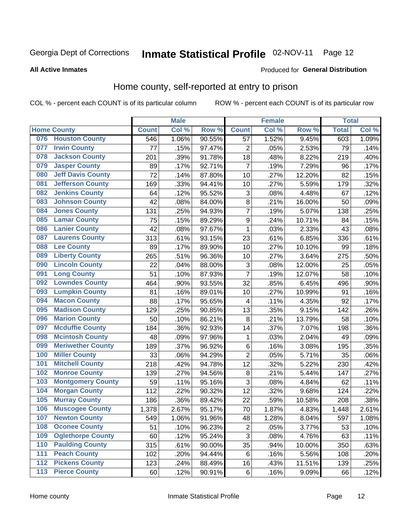# Inmate Statistical Profile 02-NOV-11 Page 12

#### **All Active Inmates**

#### Produced for General Distribution

#### Home county, self-reported at entry to prison

COL % - percent each COUNT is of its particular column

|                  |                          |              | <b>Male</b> |        |                  | <b>Female</b>     |        |              | <b>Total</b> |  |
|------------------|--------------------------|--------------|-------------|--------|------------------|-------------------|--------|--------------|--------------|--|
|                  | <b>Home County</b>       | <b>Count</b> | Col %       | Row %  | <b>Count</b>     | Col %             | Row %  | <b>Total</b> | Col %        |  |
| 076              | <b>Houston County</b>    | 546          | 1.06%       | 90.55% | 57               | 1.52%             | 9.45%  | 603          | 1.09%        |  |
| 077              | <b>Irwin County</b>      | 77           | .15%        | 97.47% | $\overline{2}$   | .05%              | 2.53%  | 79           | .14%         |  |
| 078              | <b>Jackson County</b>    | 201          | .39%        | 91.78% | 18               | .48%              | 8.22%  | 219          | .40%         |  |
| 079              | <b>Jasper County</b>     | 89           | .17%        | 92.71% | $\overline{7}$   | .19%              | 7.29%  | 96           | .17%         |  |
| 080              | <b>Jeff Davis County</b> | 72           | .14%        | 87.80% | 10               | .27%              | 12.20% | 82           | .15%         |  |
| 081              | <b>Jefferson County</b>  | 169          | .33%        | 94.41% | 10               | .27%              | 5.59%  | 179          | .32%         |  |
| 082              | <b>Jenkins County</b>    | 64           | .12%        | 95.52% | 3                | .08%              | 4.48%  | 67           | .12%         |  |
| 083              | <b>Johnson County</b>    | 42           | .08%        | 84.00% | 8                | .21%              | 16.00% | 50           | .09%         |  |
| 084              | <b>Jones County</b>      | 131          | .25%        | 94.93% | $\overline{7}$   | .19%              | 5.07%  | 138          | .25%         |  |
| 085              | <b>Lamar County</b>      | 75           | .15%        | 89.29% | $\boldsymbol{9}$ | .24%              | 10.71% | 84           | .15%         |  |
| 086              | <b>Lanier County</b>     | 42           | .08%        | 97.67% | $\mathbf{1}$     | .03%              | 2.33%  | 43           | .08%         |  |
| 087              | <b>Laurens County</b>    | 313          | .61%        | 93.15% | 23               | .61%              | 6.85%  | 336          | .61%         |  |
| 088              | <b>Lee County</b>        | 89           | .17%        | 89.90% | 10               | .27%              | 10.10% | 99           | .18%         |  |
| 089              | <b>Liberty County</b>    | 265          | .51%        | 96.36% | 10               | .27%              | 3.64%  | 275          | .50%         |  |
| 090              | <b>Lincoln County</b>    | 22           | .04%        | 88.00% | 3                | .08%              | 12.00% | 25           | .05%         |  |
| 091              | <b>Long County</b>       | 51           | .10%        | 87.93% | $\overline{7}$   | .19%              | 12.07% | 58           | .10%         |  |
| 092              | <b>Lowndes County</b>    | 464          | .90%        | 93.55% | 32               | .85%              | 6.45%  | 496          | .90%         |  |
| 093              | <b>Lumpkin County</b>    | 81           | .16%        | 89.01% | 10               | .27%              | 10.99% | 91           | .16%         |  |
| 094              | <b>Macon County</b>      | 88           | .17%        | 95.65% | 4                | .11%              | 4.35%  | 92           | .17%         |  |
| 095              | <b>Madison County</b>    | 129          | .25%        | 90.85% | 13               | .35%              | 9.15%  | 142          | .26%         |  |
| 096              | <b>Marion County</b>     | 50           | .10%        | 86.21% | 8                | $\overline{.}21%$ | 13.79% | 58           | .10%         |  |
| 097              | <b>Mcduffie County</b>   | 184          | .36%        | 92.93% | 14               | .37%              | 7.07%  | 198          | .36%         |  |
| 098              | <b>Mcintosh County</b>   | 48           | .09%        | 97.96% | 1                | .03%              | 2.04%  | 49           | .09%         |  |
| 099              | <b>Meriwether County</b> | 189          | .37%        | 96.92% | $\,6$            | .16%              | 3.08%  | 195          | .35%         |  |
| 100              | <b>Miller County</b>     | 33           | .06%        | 94.29% | $\overline{c}$   | .05%              | 5.71%  | 35           | .06%         |  |
| 101              | <b>Mitchell County</b>   | 218          | .42%        | 94.78% | 12               | .32%              | 5.22%  | 230          | .42%         |  |
| 102              | <b>Monroe County</b>     | 139          | .27%        | 94.56% | 8                | .21%              | 5.44%  | 147          | .27%         |  |
| 103              | <b>Montgomery County</b> | 59           | .11%        | 95.16% | 3                | .08%              | 4.84%  | 62           | .11%         |  |
| 104              | <b>Morgan County</b>     | 112          | .22%        | 90.32% | 12               | .32%              | 9.68%  | 124          | .22%         |  |
| 105              | <b>Murray County</b>     | 186          | .36%        | 89.42% | 22               | .59%              | 10.58% | 208          | .38%         |  |
| 106              | <b>Muscogee County</b>   | 1,378        | 2.67%       | 95.17% | 70               | 1.87%             | 4.83%  | 1,448        | 2.61%        |  |
| 107              | <b>Newton County</b>     | 549          | 1.06%       | 91.96% | 48               | 1.28%             | 8.04%  | 597          | 1.08%        |  |
| 108              | <b>Oconee County</b>     | 51           | .10%        | 96.23% | $\overline{c}$   | .05%              | 3.77%  | 53           | .10%         |  |
| 109              | <b>Oglethorpe County</b> | 60           | .12%        | 95.24% | $\overline{3}$   | .08%              | 4.76%  | 63           | .11%         |  |
| 110              | <b>Paulding County</b>   | 315          | .61%        | 90.00% | 35               | .94%              | 10.00% | 350          | .63%         |  |
| 111              | <b>Peach County</b>      | 102          | .20%        | 94.44% | $\,6$            | .16%              | 5.56%  | 108          | .20%         |  |
| $\overline{112}$ | <b>Pickens County</b>    | 123          | .24%        | 88.49% | 16               | .43%              | 11.51% | 139          | .25%         |  |
| 113              | <b>Pierce County</b>     | 60           | .12%        | 90.91% | $\,6$            | .16%              | 9.09%  | 66           | .12%         |  |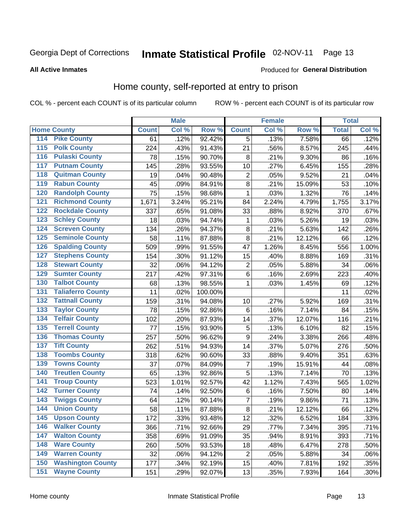# Inmate Statistical Profile 02-NOV-11 Page 13

#### **All Active Inmates**

#### Produced for General Distribution

#### Home county, self-reported at entry to prison

COL % - percent each COUNT is of its particular column

|                                 |              | <b>Male</b> |         |                | <b>Female</b> |        | <b>Total</b> |       |
|---------------------------------|--------------|-------------|---------|----------------|---------------|--------|--------------|-------|
| <b>Home County</b>              | <b>Count</b> | Col %       | Row %   | <b>Count</b>   | Col %         | Row %  | <b>Total</b> | Col % |
| 114<br><b>Pike County</b>       | 61           | .12%        | 92.42%  | 5              | .13%          | 7.58%  | 66           | .12%  |
| <b>Polk County</b><br>115       | 224          | .43%        | 91.43%  | 21             | .56%          | 8.57%  | 245          | .44%  |
| <b>Pulaski County</b><br>116    | 78           | .15%        | 90.70%  | 8              | .21%          | 9.30%  | 86           | .16%  |
| <b>Putnam County</b><br>117     | 145          | .28%        | 93.55%  | 10             | .27%          | 6.45%  | 155          | .28%  |
| 118<br><b>Quitman County</b>    | 19           | .04%        | 90.48%  | $\overline{2}$ | .05%          | 9.52%  | 21           | .04%  |
| <b>Rabun County</b><br>119      | 45           | .09%        | 84.91%  | 8              | .21%          | 15.09% | 53           | .10%  |
| <b>Randolph County</b><br>120   | 75           | .15%        | 98.68%  | $\mathbf{1}$   | .03%          | 1.32%  | 76           | .14%  |
| <b>Richmond County</b><br>121   | 1,671        | 3.24%       | 95.21%  | 84             | 2.24%         | 4.79%  | 1,755        | 3.17% |
| <b>Rockdale County</b><br>122   | 337          | .65%        | 91.08%  | 33             | .88%          | 8.92%  | 370          | .67%  |
| <b>Schley County</b><br>123     | 18           | .03%        | 94.74%  | 1              | .03%          | 5.26%  | 19           | .03%  |
| <b>Screven County</b><br>124    | 134          | .26%        | 94.37%  | 8              | .21%          | 5.63%  | 142          | .26%  |
| <b>Seminole County</b><br>125   | 58           | .11%        | 87.88%  | 8              | .21%          | 12.12% | 66           | .12%  |
| <b>Spalding County</b><br>126   | 509          | .99%        | 91.55%  | 47             | 1.26%         | 8.45%  | 556          | 1.00% |
| <b>Stephens County</b><br>127   | 154          | .30%        | 91.12%  | 15             | .40%          | 8.88%  | 169          | .31%  |
| <b>Stewart County</b><br>128    | 32           | .06%        | 94.12%  | $\overline{c}$ | .05%          | 5.88%  | 34           | .06%  |
| <b>Sumter County</b><br>129     | 217          | .42%        | 97.31%  | $\,6$          | .16%          | 2.69%  | 223          | .40%  |
| <b>Talbot County</b><br>130     | 68           | .13%        | 98.55%  | 1              | .03%          | 1.45%  | 69           | .12%  |
| <b>Taliaferro County</b><br>131 | 11           | .02%        | 100.00% |                |               |        | 11           | .02%  |
| <b>Tattnall County</b><br>132   | 159          | .31%        | 94.08%  | 10             | .27%          | 5.92%  | 169          | .31%  |
| <b>Taylor County</b><br>133     | 78           | .15%        | 92.86%  | 6              | .16%          | 7.14%  | 84           | .15%  |
| <b>Telfair County</b><br>134    | 102          | .20%        | 87.93%  | 14             | .37%          | 12.07% | 116          | .21%  |
| <b>Terrell County</b><br>135    | 77           | .15%        | 93.90%  | 5              | .13%          | 6.10%  | 82           | .15%  |
| <b>Thomas County</b><br>136     | 257          | .50%        | 96.62%  | 9              | .24%          | 3.38%  | 266          | .48%  |
| <b>Tift County</b><br>137       | 262          | .51%        | 94.93%  | 14             | .37%          | 5.07%  | 276          | .50%  |
| <b>Toombs County</b><br>138     | 318          | .62%        | 90.60%  | 33             | .88%          | 9.40%  | 351          | .63%  |
| <b>Towns County</b><br>139      | 37           | .07%        | 84.09%  | 7              | .19%          | 15.91% | 44           | .08%  |
| <b>Treutlen County</b><br>140   | 65           | .13%        | 92.86%  | 5              | .13%          | 7.14%  | 70           | .13%  |
| <b>Troup County</b><br>141      | 523          | 1.01%       | 92.57%  | 42             | 1.12%         | 7.43%  | 565          | 1.02% |
| <b>Turner County</b><br>142     | 74           | .14%        | 92.50%  | $\,6$          | .16%          | 7.50%  | 80           | .14%  |
| <b>Twiggs County</b><br>143     | 64           | .12%        | 90.14%  | $\overline{7}$ | .19%          | 9.86%  | 71           | .13%  |
| <b>Union County</b><br>144      | 58           | .11%        | 87.88%  | 8              | .21%          | 12.12% | 66           | .12%  |
| 145<br><b>Upson County</b>      | 172          | .33%        | 93.48%  | 12             | .32%          | 6.52%  | 184          | .33%  |
| <b>Walker County</b><br>146     | 366          | .71%        | 92.66%  | 29             | .77%          | 7.34%  | 395          | .71%  |
| <b>Walton County</b><br>147     | 358          | .69%        | 91.09%  | 35             | .94%          | 8.91%  | 393          | .71%  |
| <b>Ware County</b><br>148       | 260          | .50%        | 93.53%  | 18             | .48%          | 6.47%  | 278          | .50%  |
| <b>Warren County</b><br>149     | 32           | .06%        | 94.12%  | $\overline{2}$ | .05%          | 5.88%  | 34           | .06%  |
| <b>Washington County</b><br>150 | 177          | .34%        | 92.19%  | 15             | .40%          | 7.81%  | 192          | .35%  |
| <b>Wayne County</b><br>151      | 151          | .29%        | 92.07%  | 13             | .35%          | 7.93%  | 164          | .30%  |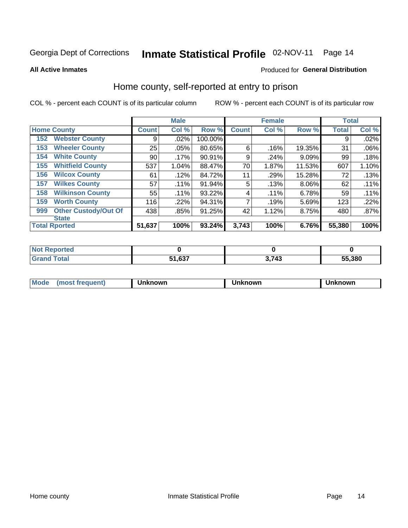# Inmate Statistical Profile 02-NOV-11 Page 14

**All Active Inmates** 

#### Produced for General Distribution

#### Home county, self-reported at entry to prison

COL % - percent each COUNT is of its particular column

|     |                             |              | <b>Male</b> |         |              | <b>Female</b> |          | <b>Total</b> |       |
|-----|-----------------------------|--------------|-------------|---------|--------------|---------------|----------|--------------|-------|
|     | <b>Home County</b>          | <b>Count</b> | Col %       | Row %   | <b>Count</b> | Col %         | Row %    | <b>Total</b> | Col % |
| 152 | <b>Webster County</b>       | 9            | .02%        | 100.00% |              |               |          | 9            | .02%  |
| 153 | <b>Wheeler County</b>       | 25           | .05%        | 80.65%  | 6            | .16%          | 19.35%   | 31           | .06%  |
| 154 | <b>White County</b>         | 90           | $.17\%$     | 90.91%  | 9            | .24%          | 9.09%    | 99           | .18%  |
| 155 | <b>Whitfield County</b>     | 537          | 1.04%       | 88.47%  | 70           | 1.87%         | 11.53%   | 607          | 1.10% |
| 156 | <b>Wilcox County</b>        | 61           | .12%        | 84.72%  | 11           | .29%          | 15.28%   | 72           | .13%  |
| 157 | <b>Wilkes County</b>        | 57           | .11%        | 91.94%  | 5            | .13%          | $8.06\%$ | 62           | .11%  |
| 158 | <b>Wilkinson County</b>     | 55           | $.11\%$     | 93.22%  | 4            | .11%          | 6.78%    | 59           | .11%  |
| 159 | <b>Worth County</b>         | 116          | .22%        | 94.31%  | 7            | .19%          | 5.69%    | 123          | .22%  |
| 999 | <b>Other Custody/Out Of</b> | 438          | .85%        | 91.25%  | 42           | 1.12%         | 8.75%    | 480          | .87%  |
|     | <b>State</b>                |              |             |         |              |               |          |              |       |
|     | <b>Total Rported</b>        | 51,637       | 100%        | 93.24%  | 3,743        | 100%          | 6.76%    | 55,380       | 100%  |

| Reported<br>NO         |                                   |            |        |
|------------------------|-----------------------------------|------------|--------|
| <b>c</b> otal<br>_____ | $\sim$<br>E4.<br><i>ו</i> כס, ו כ | <b>713</b> | 55,380 |

| Mode<br>nowr<br>.<br>nown<br>·wг. |
|-----------------------------------|
|-----------------------------------|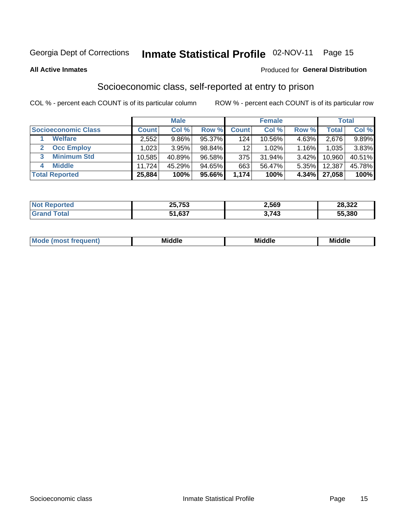### Inmate Statistical Profile 02-NOV-11 Page 15

#### **All Active Inmates**

#### Produced for General Distribution

### Socioeconomic class, self-reported at entry to prison

COL % - percent each COUNT is of its particular column

|                       |        | <b>Male</b> |        |              | <b>Female</b> |          |        | <b>Total</b> |
|-----------------------|--------|-------------|--------|--------------|---------------|----------|--------|--------------|
| Socioeconomic Class   | Count⊺ | Col %       | Row %  | <b>Count</b> | Col %         | Row %    | Total, | Col %        |
| <b>Welfare</b>        | 2,552  | 9.86%       | 95.37% | 124          | $10.56\%$     | 4.63%    | 2,676  | 9.89%        |
| <b>Occ Employ</b>     | 023    | 3.95%       | 98.84% | 12           | 1.02%         | 1.16%    | 1.035  | 3.83%        |
| <b>Minimum Std</b>    | 10,585 | 40.89%      | 96.58% | 375          | 31.94%        | $3.42\%$ | 10,960 | 40.51%       |
| <b>Middle</b>         | 11.724 | 45.29%      | 94.65% | 663          | 56.47%        | 5.35%    | 12,387 | 45.78%       |
| <b>Total Reported</b> | 25,884 | 100%        | 95.66% | 1,174        | 100%          | 4.34%    | 27,058 | 100%         |

| $N$ nt l<br>ted | 25.753<br>LJ. | 2,569 | 28,322 |
|-----------------|---------------|-------|--------|
|                 | 51,637        | 743   | 55,380 |

| ____<br>____ |
|--------------|
|--------------|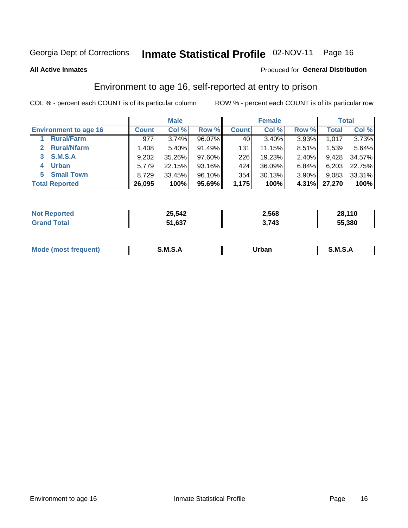### Inmate Statistical Profile 02-NOV-11 Page 16

#### **All Active Inmates**

#### Produced for General Distribution

### Environment to age 16, self-reported at entry to prison

COL % - percent each COUNT is of its particular column

|                                    |              | <b>Male</b> |           |              | <b>Female</b> |          |              | <b>Total</b> |
|------------------------------------|--------------|-------------|-----------|--------------|---------------|----------|--------------|--------------|
| <b>Environment to age 16</b>       | <b>Count</b> | Col%        | Row %     | <b>Count</b> | Col %         | Row %    | <b>Total</b> | Col %        |
| <b>Rural/Farm</b>                  | 977          | 3.74%       | 96.07%    | 40           | $3.40\%$      | 3.93%    | 1,017        | 3.73%        |
| <b>Rural/Nfarm</b><br>$\mathbf{2}$ | 1,408        | 5.40%       | 91.49%    | 131          | 11.15%        | 8.51%    | 1,539        | 5.64%        |
| <b>S.M.S.A</b><br>3 <sup>1</sup>   | 9,202        | 35.26%      | $97.60\%$ | 226          | 19.23%        | $2.40\%$ | 9,428        | 34.57%       |
| <b>Urban</b><br>4                  | 5,779        | 22.15%      | 93.16%    | 424          | 36.09%        | 6.84%    | 6,203        | 22.75%       |
| <b>Small Town</b><br>5.            | 8,729        | 33.45%      | 96.10%    | 354          | 30.13%        | 3.90%    | 9,083        | 33.31%       |
| <b>Total Reported</b>              | 26,095       | 100%        | 95.69%    | 1,175        | 100%          | 4.31%    | 27,270       | 100%         |

| <b>Not Reported</b> | 25,542 | 2,568 | 28,110 |
|---------------------|--------|-------|--------|
|                     | 51,637 | 8,743 | 55,380 |

| Mo | M<br>______ | Irhan<br>rva<br>______ | M<br>______ |
|----|-------------|------------------------|-------------|
|    |             |                        |             |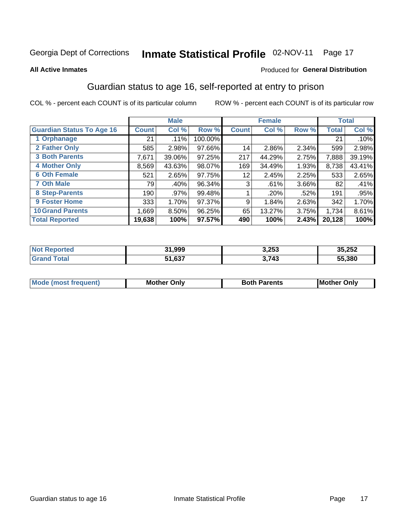### Inmate Statistical Profile 02-NOV-11 Page 17

#### **All Active Inmates**

#### Produced for General Distribution

### Guardian status to age 16, self-reported at entry to prison

COL % - percent each COUNT is of its particular column

|                                  |               | <b>Male</b> |         |              | <b>Female</b> |       |        | <b>Total</b> |
|----------------------------------|---------------|-------------|---------|--------------|---------------|-------|--------|--------------|
| <b>Guardian Status To Age 16</b> | <b>Count!</b> | Col %       | Row %   | <b>Count</b> | Col %         | Row % | Total  | Col %        |
| 1 Orphanage                      | 21            | .11%        | 100.00% |              |               |       | 21     | $.10\%$      |
| 2 Father Only                    | 585           | 2.98%       | 97.66%  | 14           | 2.86%         | 2.34% | 599    | 2.98%        |
| <b>3 Both Parents</b>            | 7,671         | 39.06%      | 97.25%  | 217          | 44.29%        | 2.75% | 7,888  | 39.19%       |
| <b>4 Mother Only</b>             | 8,569         | 43.63%      | 98.07%  | 169          | 34.49%        | 1.93% | 8,738  | 43.41%       |
| <b>6 Oth Female</b>              | 521           | 2.65%       | 97.75%  | 12           | 2.45%         | 2.25% | 533    | 2.65%        |
| <b>7 Oth Male</b>                | 79            | .40%        | 96.34%  | 3            | .61%          | 3.66% | 82     | .41%         |
| 8 Step-Parents                   | 190           | .97%        | 99.48%  |              | .20%          | .52%  | 191    | .95%         |
| 9 Foster Home                    | 333           | 1.70%       | 97.37%  | 9            | 1.84%         | 2.63% | 342    | 1.70%        |
| <b>10 Grand Parents</b>          | 1,669         | 8.50%       | 96.25%  | 65           | 13.27%        | 3.75% | 1,734  | 8.61%        |
| <b>Total Reported</b>            | 19,638        | 100%        | 97.57%  | 490          | 100%          | 2.43% | 20,128 | 100%         |

| Reported<br><b>Not</b> | 31,999<br>54 | 3,253 | 35,252 |
|------------------------|--------------|-------|--------|
| ⊺ota.                  | 1,637        | 3,743 | 55,380 |

| <b>Mode (most frequent)</b> | วทIv<br>- -<br>MΩ | <b>Roth</b><br>ີ <sup>ລ</sup> າrents | l Mc<br>Only<br>- - |
|-----------------------------|-------------------|--------------------------------------|---------------------|
|                             |                   |                                      |                     |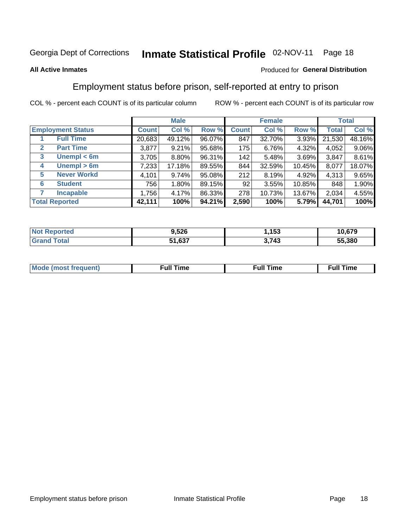#### Inmate Statistical Profile 02-NOV-11 Page 18

#### **All Active Inmates**

#### Produced for General Distribution

#### Employment status before prison, self-reported at entry to prison

COL % - percent each COUNT is of its particular column

|                                  |              | <b>Male</b> |        |              | <b>Female</b> |        |        | <b>Total</b> |
|----------------------------------|--------------|-------------|--------|--------------|---------------|--------|--------|--------------|
| <b>Employment Status</b>         | <b>Count</b> | Col %       | Row %  | <b>Count</b> | Col %         | Row %  | Total  | Col %        |
| <b>Full Time</b>                 | 20,683       | 49.12%      | 96.07% | 847          | 32.70%        | 3.93%  | 21,530 | 48.16%       |
| <b>Part Time</b><br>$\mathbf{2}$ | 3,877        | 9.21%       | 95.68% | 175          | 6.76%         | 4.32%  | 4,052  | 9.06%        |
| Unempl $<$ 6m<br>3               | 3,705        | 8.80%       | 96.31% | 142          | 5.48%         | 3.69%  | 3,847  | 8.61%        |
| Unempl > 6m<br>4                 | 7,233        | 17.18%      | 89.55% | 844          | 32.59%        | 10.45% | 8,077  | 18.07%       |
| <b>Never Workd</b><br>5          | 4,101        | 9.74%       | 95.08% | 212          | 8.19%         | 4.92%  | 4,313  | 9.65%        |
| <b>Student</b><br>6              | 756          | 1.80%       | 89.15% | 92           | 3.55%         | 10.85% | 848    | 1.90%        |
| <b>Incapable</b>                 | 1,756        | 4.17%       | 86.33% | 278          | 10.73%        | 13.67% | 2,034  | 4.55%        |
| <b>Total Reported</b>            | 42,111       | 100%        | 94.21% | 2,590        | 100%          | 5.79%  | 44,701 | 100%         |

| porteo<br>NO     | 9,526  | 153   | 10,679 |
|------------------|--------|-------|--------|
| $\sim$ 10 $\sim$ | 51,637 | 3,743 | 55.380 |

| Mc | ∙u∥<br>----<br>ıme | ίuΙ<br>Πmε |
|----|--------------------|------------|
|    |                    |            |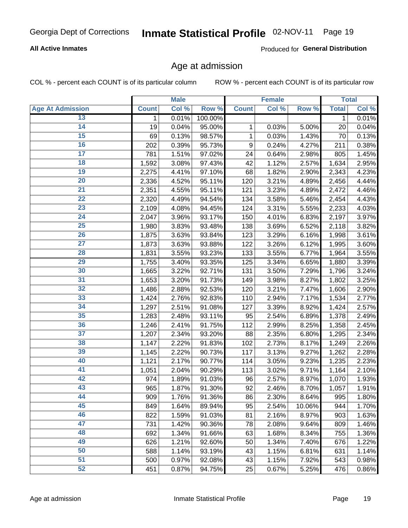#### **All Active Inmates**

Produced for General Distribution

#### Age at admission

COL % - percent each COUNT is of its particular column

|                         |              | <b>Male</b> |         |              | <b>Female</b> |        |              | <b>Total</b> |
|-------------------------|--------------|-------------|---------|--------------|---------------|--------|--------------|--------------|
| <b>Age At Admission</b> | <b>Count</b> | Col %       | Row %   | <b>Count</b> | Col %         | Row %  | <b>Total</b> | Col %        |
| 13                      | 1            | 0.01%       | 100.00% |              |               |        | 1            | 0.01%        |
| 14                      | 19           | 0.04%       | 95.00%  | 1            | 0.03%         | 5.00%  | 20           | 0.04%        |
| 15                      | 69           | 0.13%       | 98.57%  | 1            | 0.03%         | 1.43%  | 70           | 0.13%        |
| 16                      | 202          | 0.39%       | 95.73%  | 9            | 0.24%         | 4.27%  | 211          | 0.38%        |
| $\overline{17}$         | 781          | 1.51%       | 97.02%  | 24           | 0.64%         | 2.98%  | 805          | 1.45%        |
| 18                      | 1,592        | 3.08%       | 97.43%  | 42           | 1.12%         | 2.57%  | 1,634        | 2.95%        |
| 19                      | 2,275        | 4.41%       | 97.10%  | 68           | 1.82%         | 2.90%  | 2,343        | 4.23%        |
| 20                      | 2,336        | 4.52%       | 95.11%  | 120          | 3.21%         | 4.89%  | 2,456        | 4.44%        |
| $\overline{21}$         | 2,351        | 4.55%       | 95.11%  | 121          | 3.23%         | 4.89%  | 2,472        | 4.46%        |
| $\overline{22}$         | 2,320        | 4.49%       | 94.54%  | 134          | 3.58%         | 5.46%  | 2,454        | 4.43%        |
| 23                      | 2,109        | 4.08%       | 94.45%  | 124          | 3.31%         | 5.55%  | 2,233        | 4.03%        |
| $\overline{24}$         | 2,047        | 3.96%       | 93.17%  | 150          | 4.01%         | 6.83%  | 2,197        | 3.97%        |
| 25                      | 1,980        | 3.83%       | 93.48%  | 138          | 3.69%         | 6.52%  | 2,118        | 3.82%        |
| $\overline{26}$         | 1,875        | 3.63%       | 93.84%  | 123          | 3.29%         | 6.16%  | 1,998        | 3.61%        |
| $\overline{27}$         | 1,873        | 3.63%       | 93.88%  | 122          | 3.26%         | 6.12%  | 1,995        | 3.60%        |
| 28                      | 1,831        | 3.55%       | 93.23%  | 133          | 3.55%         | 6.77%  | 1,964        | 3.55%        |
| 29                      | 1,755        | 3.40%       | 93.35%  | 125          | 3.34%         | 6.65%  | 1,880        | 3.39%        |
| 30                      | 1,665        | 3.22%       | 92.71%  | 131          | 3.50%         | 7.29%  | 1,796        | 3.24%        |
| 31                      | 1,653        | 3.20%       | 91.73%  | 149          | 3.98%         | 8.27%  | 1,802        | 3.25%        |
| $\overline{32}$         | 1,486        | 2.88%       | 92.53%  | 120          | 3.21%         | 7.47%  | 1,606        | 2.90%        |
| 33                      | 1,424        | 2.76%       | 92.83%  | 110          | 2.94%         | 7.17%  | 1,534        | 2.77%        |
| 34                      | 1,297        | 2.51%       | 91.08%  | 127          | 3.39%         | 8.92%  | 1,424        | 2.57%        |
| 35                      | 1,283        | 2.48%       | 93.11%  | 95           | 2.54%         | 6.89%  | 1,378        | 2.49%        |
| 36                      | 1,246        | 2.41%       | 91.75%  | 112          | 2.99%         | 8.25%  | 1,358        | 2.45%        |
| $\overline{37}$         | 1,207        | 2.34%       | 93.20%  | 88           | 2.35%         | 6.80%  | 1,295        | 2.34%        |
| 38                      | 1,147        | 2.22%       | 91.83%  | 102          | 2.73%         | 8.17%  | 1,249        | 2.26%        |
| 39                      | 1,145        | 2.22%       | 90.73%  | 117          | 3.13%         | 9.27%  | 1,262        | 2.28%        |
| 40                      | 1,121        | 2.17%       | 90.77%  | 114          | 3.05%         | 9.23%  | 1,235        | 2.23%        |
| 41                      | 1,051        | 2.04%       | 90.29%  | 113          | 3.02%         | 9.71%  | 1,164        | 2.10%        |
| 42                      | 974          | 1.89%       | 91.03%  | 96           | 2.57%         | 8.97%  | 1,070        | 1.93%        |
| 43                      | 965          | 1.87%       | 91.30%  | 92           | 2.46%         | 8.70%  | 1,057        | 1.91%        |
| 44                      | 909          | 1.76%       | 91.36%  | 86           | 2.30%         | 8.64%  | 995          | 1.80%        |
| 45                      | 849          | 1.64%       | 89.94%  | 95           | 2.54%         | 10.06% | 944          | 1.70%        |
| 46                      | 822          | 1.59%       | 91.03%  | 81           | 2.16%         | 8.97%  | 903          | 1.63%        |
| 47                      | 731          | 1.42%       | 90.36%  | 78           | 2.08%         | 9.64%  | 809          | 1.46%        |
| 48                      | 692          | 1.34%       | 91.66%  | 63           | 1.68%         | 8.34%  | 755          | 1.36%        |
| 49                      | 626          | 1.21%       | 92.60%  | 50           | 1.34%         | 7.40%  | 676          | 1.22%        |
| 50                      | 588          | 1.14%       | 93.19%  | 43           | 1.15%         | 6.81%  | 631          | 1.14%        |
| 51                      | 500          | 0.97%       | 92.08%  | 43           | 1.15%         | 7.92%  | 543          | 0.98%        |
| 52                      | 451          | 0.87%       | 94.75%  | 25           | 0.67%         | 5.25%  | 476          | 0.86%        |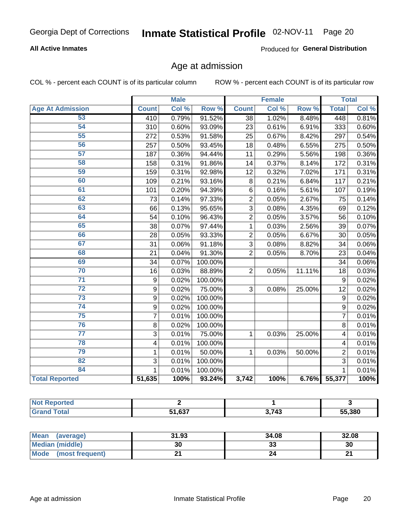#### **All Active Inmates**

Produced for General Distribution

### Age at admission

COL % - percent each COUNT is of its particular column

|                         | <b>Male</b>             |       | <b>Female</b> |                |       | <b>Total</b> |                         |       |
|-------------------------|-------------------------|-------|---------------|----------------|-------|--------------|-------------------------|-------|
| <b>Age At Admission</b> | <b>Count</b>            | Col % | Row %         | <b>Count</b>   | Col % | Row %        | <b>Total</b>            | Col % |
| 53                      | 410                     | 0.79% | 91.52%        | 38             | 1.02% | 8.48%        | 448                     | 0.81% |
| 54                      | 310                     | 0.60% | 93.09%        | 23             | 0.61% | 6.91%        | 333                     | 0.60% |
| 55                      | 272                     | 0.53% | 91.58%        | 25             | 0.67% | 8.42%        | 297                     | 0.54% |
| 56                      | 257                     | 0.50% | 93.45%        | 18             | 0.48% | 6.55%        | 275                     | 0.50% |
| 57                      | 187                     | 0.36% | 94.44%        | 11             | 0.29% | 5.56%        | 198                     | 0.36% |
| 58                      | 158                     | 0.31% | 91.86%        | 14             | 0.37% | 8.14%        | 172                     | 0.31% |
| 59                      | 159                     | 0.31% | 92.98%        | 12             | 0.32% | 7.02%        | 171                     | 0.31% |
| 60                      | 109                     | 0.21% | 93.16%        | 8              | 0.21% | 6.84%        | 117                     | 0.21% |
| 61                      | 101                     | 0.20% | 94.39%        | 6              | 0.16% | 5.61%        | 107                     | 0.19% |
| 62                      | 73                      | 0.14% | 97.33%        | $\overline{2}$ | 0.05% | 2.67%        | 75                      | 0.14% |
| 63                      | 66                      | 0.13% | 95.65%        | 3              | 0.08% | 4.35%        | 69                      | 0.12% |
| 64                      | 54                      | 0.10% | 96.43%        | $\overline{2}$ | 0.05% | 3.57%        | 56                      | 0.10% |
| 65                      | 38                      | 0.07% | 97.44%        | 1              | 0.03% | 2.56%        | 39                      | 0.07% |
| 66                      | 28                      | 0.05% | 93.33%        | $\overline{2}$ | 0.05% | 6.67%        | 30                      | 0.05% |
| 67                      | 31                      | 0.06% | 91.18%        | 3              | 0.08% | 8.82%        | 34                      | 0.06% |
| 68                      | $\overline{21}$         | 0.04% | 91.30%        | $\overline{2}$ | 0.05% | 8.70%        | $\overline{23}$         | 0.04% |
| 69                      | 34                      | 0.07% | 100.00%       |                |       |              | 34                      | 0.06% |
| 70                      | 16                      | 0.03% | 88.89%        | $\overline{2}$ | 0.05% | 11.11%       | 18                      | 0.03% |
| $\overline{71}$         | 9                       | 0.02% | 100.00%       |                |       |              | 9                       | 0.02% |
| $\overline{72}$         | 9                       | 0.02% | 75.00%        | 3              | 0.08% | 25.00%       | 12                      | 0.02% |
| $\overline{73}$         | 9                       | 0.02% | 100.00%       |                |       |              | 9                       | 0.02% |
| 74                      | $\boldsymbol{9}$        | 0.02% | 100.00%       |                |       |              | 9                       | 0.02% |
| $\overline{75}$         | $\overline{7}$          | 0.01% | 100.00%       |                |       |              | 7                       | 0.01% |
| 76                      | 8                       | 0.02% | 100.00%       |                |       |              | 8                       | 0.01% |
| $\overline{77}$         | 3                       | 0.01% | 75.00%        | 1              | 0.03% | 25.00%       | $\overline{\mathbf{4}}$ | 0.01% |
| 78                      | $\overline{\mathbf{4}}$ | 0.01% | 100.00%       |                |       |              | 4                       | 0.01% |
| 79                      | $\mathbf{1}$            | 0.01% | 50.00%        | 1              | 0.03% | 50.00%       | $\overline{2}$          | 0.01% |
| 82                      | 3                       | 0.01% | 100.00%       |                |       |              | $\overline{3}$          | 0.01% |
| 84                      | 1                       | 0.01% | 100.00%       |                |       |              |                         | 0.01% |
| <b>Total Reported</b>   | 51,635                  | 100%  | 93.24%        | 3,742          | 100%  | 6.76%        | 55,377                  | 100%  |

| . NOT<br>тео |        |       |        |
|--------------|--------|-------|--------|
|              | 51.637 | つ フィつ | 55,380 |

| Mean (average)         | 31.93 | 34.08   | 32.08  |
|------------------------|-------|---------|--------|
| <b>Median (middle)</b> | 30    | ົ<br>აა | 30     |
| Mode (most frequent)   |       |         | $\sim$ |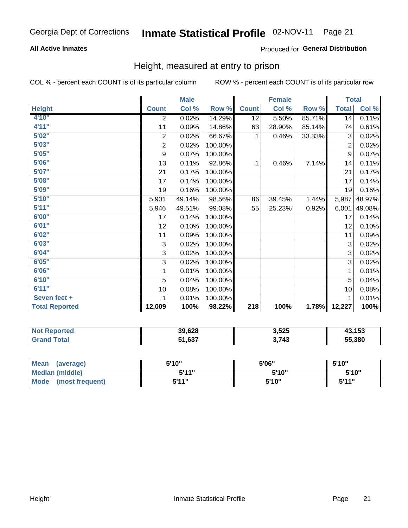#### **All Active Inmates**

#### Produced for General Distribution

#### Height, measured at entry to prison

COL % - percent each COUNT is of its particular column

|                       | <b>Male</b>      |        |         | <b>Female</b>    |        |        | <b>Total</b>     |        |
|-----------------------|------------------|--------|---------|------------------|--------|--------|------------------|--------|
| <b>Height</b>         | <b>Count</b>     | Col %  | Row %   | <b>Count</b>     | Col %  | Row %  | <b>Total</b>     | Col %  |
| 4'10"                 | $\overline{2}$   | 0.02%  | 14.29%  | 12               | 5.50%  | 85.71% | 14               | 0.11%  |
| 4'11''                | 11               | 0.09%  | 14.86%  | 63               | 28.90% | 85.14% | 74               | 0.61%  |
| 5'02''                | $\boldsymbol{2}$ | 0.02%  | 66.67%  | 1                | 0.46%  | 33.33% | 3                | 0.02%  |
| 5'03''                | $\overline{c}$   | 0.02%  | 100.00% |                  |        |        | $\overline{2}$   | 0.02%  |
| 5'05''                | $\boldsymbol{9}$ | 0.07%  | 100.00% |                  |        |        | $\boldsymbol{9}$ | 0.07%  |
| 5'06''                | 13               | 0.11%  | 92.86%  | 1                | 0.46%  | 7.14%  | 14               | 0.11%  |
| 5'07''                | 21               | 0.17%  | 100.00% |                  |        |        | 21               | 0.17%  |
| 5'08''                | 17               | 0.14%  | 100.00% |                  |        |        | 17               | 0.14%  |
| 5'09''                | 19               | 0.16%  | 100.00% |                  |        |        | 19               | 0.16%  |
| 5'10''                | 5,901            | 49.14% | 98.56%  | 86               | 39.45% | 1.44%  | 5,987            | 48.97% |
| 5'11''                | 5,946            | 49.51% | 99.08%  | 55               | 25.23% | 0.92%  | 6,001            | 49.08% |
| 6'00''                | 17               | 0.14%  | 100.00% |                  |        |        | 17               | 0.14%  |
| 6'01''                | 12               | 0.10%  | 100.00% |                  |        |        | 12               | 0.10%  |
| 6'02''                | 11               | 0.09%  | 100.00% |                  |        |        | 11               | 0.09%  |
| 6'03''                | 3                | 0.02%  | 100.00% |                  |        |        | 3                | 0.02%  |
| 6'04''                | 3                | 0.02%  | 100.00% |                  |        |        | 3                | 0.02%  |
| 6'05''                | 3                | 0.02%  | 100.00% |                  |        |        | 3                | 0.02%  |
| 6'06''                | 1                | 0.01%  | 100.00% |                  |        |        | 1                | 0.01%  |
| 6'10''                | 5                | 0.04%  | 100.00% |                  |        |        | 5                | 0.04%  |
| 6'11''                | 10               | 0.08%  | 100.00% |                  |        |        | 10               | 0.08%  |
| Seven feet +          | 1                | 0.01%  | 100.00% |                  |        |        | 1                | 0.01%  |
| <b>Total Reported</b> | 12,009           | 100%   | 98.22%  | $\overline{218}$ | 100%   | 1.78%  | 12,227           | 100%   |

| Reported<br>NO1 | 39,628                 | 3,525 | 12 152<br>70.IJJ |
|-----------------|------------------------|-------|------------------|
| ™otar           | 0.27<br>Г4<br>וכט, ו כ | 3.743 | 55,380           |

| <b>Mean</b><br>(average) | 5'10" | 5'06" | 5'10" |
|--------------------------|-------|-------|-------|
| Median (middle)          | 544"  | 5'10" | 5'10" |
| Mode<br>(most frequent)  | 5'11" | 5'10" | 544"  |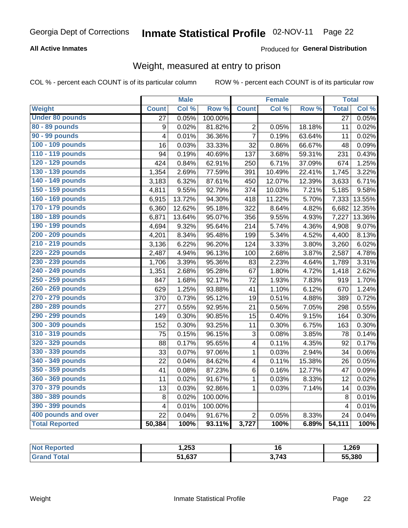#### **All Active Inmates**

#### Produced for General Distribution

### Weight, measured at entry to prison

COL % - percent each COUNT is of its particular column

|                        |                         | <b>Male</b> |                  |                         | Female |        | <b>Total</b>    |        |
|------------------------|-------------------------|-------------|------------------|-------------------------|--------|--------|-----------------|--------|
| <b>Weight</b>          | <b>Count</b>            | Col %       | Row <sup>%</sup> | <b>Count</b>            | Col %  | Row %  | <b>Total</b>    | Col %  |
| <b>Under 80 pounds</b> | $\overline{27}$         | 0.05%       | 100.00%          |                         |        |        | $\overline{27}$ | 0.05%  |
| 80 - 89 pounds         | 9                       | 0.02%       | 81.82%           | 2                       | 0.05%  | 18.18% | 11              | 0.02%  |
| 90 - 99 pounds         | 4                       | 0.01%       | 36.36%           | $\overline{7}$          | 0.19%  | 63.64% | 11              | 0.02%  |
| 100 - 109 pounds       | 16                      | 0.03%       | 33.33%           | 32                      | 0.86%  | 66.67% | 48              | 0.09%  |
| 110 - 119 pounds       | 94                      | 0.19%       | 40.69%           | 137                     | 3.68%  | 59.31% | 231             | 0.43%  |
| 120 - 129 pounds       | 424                     | 0.84%       | 62.91%           | 250                     | 6.71%  | 37.09% | 674             | 1.25%  |
| 130 - 139 pounds       | 1,354                   | 2.69%       | 77.59%           | 391                     | 10.49% | 22.41% | 1,745           | 3.22%  |
| 140 - 149 pounds       | 3,183                   | 6.32%       | 87.61%           | 450                     | 12.07% | 12.39% | 3,633           | 6.71%  |
| 150 - 159 pounds       | 4,811                   | 9.55%       | 92.79%           | 374                     | 10.03% | 7.21%  | 5,185           | 9.58%  |
| 160 - 169 pounds       | 6,915                   | 13.72%      | 94.30%           | 418                     | 11.22% | 5.70%  | 7,333           | 13.55% |
| 170 - 179 pounds       | 6,360                   | 12.62%      | 95.18%           | 322                     | 8.64%  | 4.82%  | 6,682           | 12.35% |
| 180 - 189 pounds       | 6,871                   | 13.64%      | 95.07%           | 356                     | 9.55%  | 4.93%  | 7,227           | 13.36% |
| 190 - 199 pounds       | 4,694                   | 9.32%       | 95.64%           | 214                     | 5.74%  | 4.36%  | 4,908           | 9.07%  |
| 200 - 209 pounds       | 4,201                   | 8.34%       | 95.48%           | 199                     | 5.34%  | 4.52%  | 4,400           | 8.13%  |
| 210 - 219 pounds       | 3,136                   | 6.22%       | 96.20%           | 124                     | 3.33%  | 3.80%  | 3,260           | 6.02%  |
| 220 - 229 pounds       | 2,487                   | 4.94%       | 96.13%           | 100                     | 2.68%  | 3.87%  | 2,587           | 4.78%  |
| 230 - 239 pounds       | 1,706                   | 3.39%       | 95.36%           | 83                      | 2.23%  | 4.64%  | 1,789           | 3.31%  |
| 240 - 249 pounds       | 1,351                   | 2.68%       | 95.28%           | 67                      | 1.80%  | 4.72%  | 1,418           | 2.62%  |
| 250 - 259 pounds       | 847                     | 1.68%       | 92.17%           | 72                      | 1.93%  | 7.83%  | 919             | 1.70%  |
| 260 - 269 pounds       | 629                     | 1.25%       | 93.88%           | 41                      | 1.10%  | 6.12%  | 670             | 1.24%  |
| 270 - 279 pounds       | 370                     | 0.73%       | 95.12%           | 19                      | 0.51%  | 4.88%  | 389             | 0.72%  |
| 280 - 289 pounds       | 277                     | 0.55%       | 92.95%           | 21                      | 0.56%  | 7.05%  | 298             | 0.55%  |
| 290 - 299 pounds       | 149                     | 0.30%       | 90.85%           | 15                      | 0.40%  | 9.15%  | 164             | 0.30%  |
| 300 - 309 pounds       | 152                     | 0.30%       | 93.25%           | 11                      | 0.30%  | 6.75%  | 163             | 0.30%  |
| 310 - 319 pounds       | 75                      | 0.15%       | 96.15%           | 3                       | 0.08%  | 3.85%  | 78              | 0.14%  |
| 320 - 329 pounds       | 88                      | 0.17%       | 95.65%           | 4                       | 0.11%  | 4.35%  | 92              | 0.17%  |
| 330 - 339 pounds       | 33                      | 0.07%       | 97.06%           | $\mathbf{1}$            | 0.03%  | 2.94%  | 34              | 0.06%  |
| 340 - 349 pounds       | 22                      | 0.04%       | 84.62%           | $\overline{\mathbf{4}}$ | 0.11%  | 15.38% | 26              | 0.05%  |
| 350 - 359 pounds       | 41                      | 0.08%       | 87.23%           | 6                       | 0.16%  | 12.77% | 47              | 0.09%  |
| 360 - 369 pounds       | 11                      | 0.02%       | 91.67%           | $\mathbf{1}$            | 0.03%  | 8.33%  | 12              | 0.02%  |
| 370 - 379 pounds       | 13                      | 0.03%       | 92.86%           | $\mathbf{1}$            | 0.03%  | 7.14%  | 14              | 0.03%  |
| 380 - 389 pounds       | $\bf 8$                 | 0.02%       | 100.00%          |                         |        |        | 8               | 0.01%  |
| 390 - 399 pounds       | $\overline{\mathbf{4}}$ | 0.01%       | 100.00%          |                         |        |        | $\overline{4}$  | 0.01%  |
| 400 pounds and over    | 22                      | 0.04%       | 91.67%           | $\overline{2}$          | 0.05%  | 8.33%  | 24              | 0.04%  |
| <b>Total Reported</b>  | 50,384                  | 100%        | 93.11%           | 3,727                   | 100%   | 6.89%  | 54,111          | 100%   |

| orted<br>NOT | 253, ا |       | 269,،  |
|--------------|--------|-------|--------|
| `ota         | EA COT | 3,743 | 55,380 |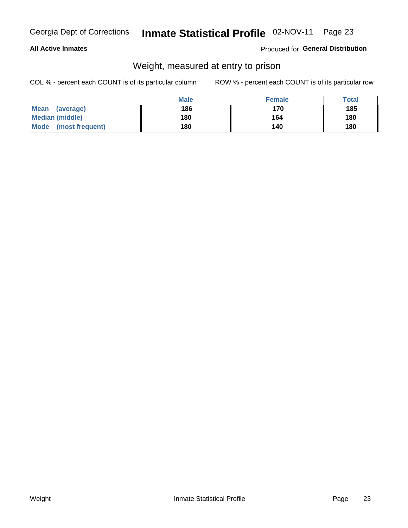#### **All Active Inmates**

#### Produced for General Distribution

### Weight, measured at entry to prison

COL % - percent each COUNT is of its particular column

|                          | <b>Male</b> | <b>Female</b> | Total |
|--------------------------|-------------|---------------|-------|
| <b>Mean</b><br>(average) | 186         | 170           | 185   |
| <b>Median (middle)</b>   | 180         | 164           | 180   |
| Mode<br>(most frequent)  | 180         | 140           | 180   |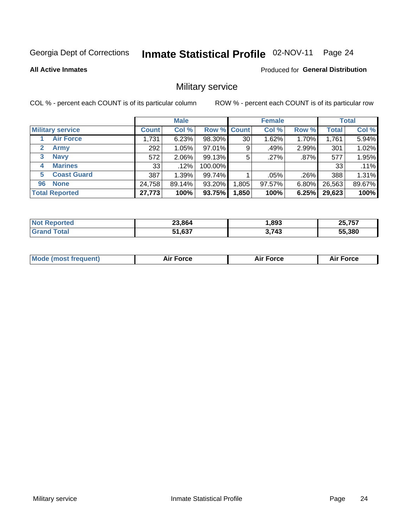#### Inmate Statistical Profile 02-NOV-11 Page 24

**All Active Inmates** 

**Produced for General Distribution** 

### Military service

COL % - percent each COUNT is of its particular column

|                             | <b>Male</b>  |          |                    | <b>Female</b> |        |         | <b>Total</b> |        |
|-----------------------------|--------------|----------|--------------------|---------------|--------|---------|--------------|--------|
| <b>Military service</b>     | <b>Count</b> | Col %    | <b>Row % Count</b> |               | Col %  | Row %   | <b>Total</b> | Col %  |
| <b>Air Force</b>            | 1,731        | 6.23%    | 98.30%             | 30            | 1.62%  | 1.70%   | 1,761        | 5.94%  |
| $\mathbf{2}$<br><b>Army</b> | 292          | 1.05%    | 97.01%             | 9             | .49%   | 2.99%   | 301          | 1.02%  |
| <b>Navy</b><br>3            | 572          | $2.06\%$ | 99.13%             | 5             | .27%   | $.87\%$ | 577          | 1.95%  |
| <b>Marines</b><br>4         | 33           | $.12\%$  | 100.00%            |               |        |         | 33           | .11%   |
| <b>Coast Guard</b><br>5     | 387          | 1.39%    | 99.74%             |               | .05%   | .26%    | 388          | 1.31%  |
| <b>None</b><br>96           | 24,758       | 89.14%   | 93.20%             | .805          | 97.57% | 6.80%   | 26,563       | 89.67% |
| <b>Total Reported</b>       | 27,773       | 100%     | 93.75%             | 1,850         | 100%   | 6.25%   | 29,623       | 100%   |

| тео | 23.864                | ,893 | $\mathbf{r}$ $\mathbf{r}$<br>つち<br>י כ<br>$\overline{\phantom{0}}$ |
|-----|-----------------------|------|--------------------------------------------------------------------|
|     | 027<br>$ -$<br>וכס, ו | 3713 | 55.380                                                             |

| <b>Mode (most frequent)</b> | <b>Air Force</b> | <b>Force</b> | <b>Force</b><br>Aır |
|-----------------------------|------------------|--------------|---------------------|
|                             |                  |              |                     |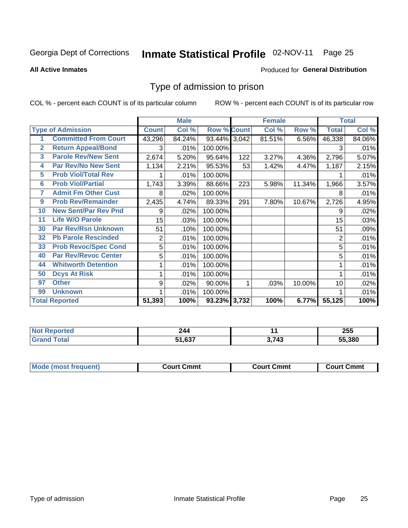#### Inmate Statistical Profile 02-NOV-11 Page 25

**All Active Inmates** 

#### Produced for General Distribution

#### Type of admission to prison

COL % - percent each COUNT is of its particular column

|                |                             |                  | <b>Male</b> |                    |     | <b>Female</b> |        | <b>Total</b>   |        |
|----------------|-----------------------------|------------------|-------------|--------------------|-----|---------------|--------|----------------|--------|
|                | <b>Type of Admission</b>    | <b>Count</b>     | Col %       | <b>Row % Count</b> |     | Col %         | Row %  | <b>Total</b>   | Col %  |
|                | <b>Committed From Court</b> | 43,296           | 84.24%      | 93.44% 3,042       |     | 81.51%        | 6.56%  | 46,338         | 84.06% |
| $\mathbf{2}$   | <b>Return Appeal/Bond</b>   | 3                | .01%        | 100.00%            |     |               |        | 3              | .01%   |
| $\overline{3}$ | <b>Parole Rev/New Sent</b>  | 2,674            | 5.20%       | 95.64%             | 122 | 3.27%         | 4.36%  | 2,796          | 5.07%  |
| 4              | <b>Par Rev/No New Sent</b>  | 1,134            | 2.21%       | 95.53%             | 53  | 1.42%         | 4.47%  | 1,187          | 2.15%  |
| 5              | <b>Prob Viol/Total Rev</b>  |                  | .01%        | 100.00%            |     |               |        |                | .01%   |
| 6              | <b>Prob Viol/Partial</b>    | 1,743            | 3.39%       | 88.66%             | 223 | 5.98%         | 11.34% | 1,966          | 3.57%  |
| 7              | <b>Admit Fm Other Cust</b>  | 8                | .02%        | 100.00%            |     |               |        | 8              | .01%   |
| 9              | <b>Prob Rev/Remainder</b>   | 2,435            | 4.74%       | 89.33%             | 291 | 7.80%         | 10.67% | 2,726          | 4.95%  |
| 10             | <b>New Sent/Par Rev Pnd</b> | 9                | .02%        | 100.00%            |     |               |        | 9              | .02%   |
| 11             | <b>Life W/O Parole</b>      | 15 <sub>15</sub> | .03%        | 100.00%            |     |               |        | 15             | .03%   |
| 30             | <b>Par Rev/Rsn Unknown</b>  | 51               | .10%        | 100.00%            |     |               |        | 51             | .09%   |
| 32             | <b>Pb Parole Rescinded</b>  | $\overline{c}$   | .01%        | 100.00%            |     |               |        | $\overline{2}$ | .01%   |
| 33             | <b>Prob Revoc/Spec Cond</b> | 5                | .01%        | 100.00%            |     |               |        | 5              | .01%   |
| 40             | <b>Par Rev/Revoc Center</b> | 5                | .01%        | 100.00%            |     |               |        | 5              | .01%   |
| 44             | <b>Whitworth Detention</b>  | 1                | .01%        | 100.00%            |     |               |        |                | .01%   |
| 50             | <b>Dcys At Risk</b>         | 1                | .01%        | 100.00%            |     |               |        |                | .01%   |
| 97             | <b>Other</b>                | 9                | .02%        | 90.00%             | 1   | .03%          | 10.00% | 10             | .02%   |
| 99             | <b>Unknown</b>              |                  | .01%        | 100.00%            |     |               |        |                | .01%   |
|                | <b>Total Reported</b>       | 51,393           | 100%        | 93.23% 3,732       |     | 100%          | 6.77%  | 55,125         | 100%   |

| <b>Not</b><br>ported | 24a<br>--- |     | 255    |
|----------------------|------------|-----|--------|
| ັota.                | 1,637ه     | 743 | 55.380 |

| <b>Mode (most frequent)</b><br><b>Court Cmmt</b><br>Court Cmmt<br><b>Court Cmmt</b> |  |  |
|-------------------------------------------------------------------------------------|--|--|
|                                                                                     |  |  |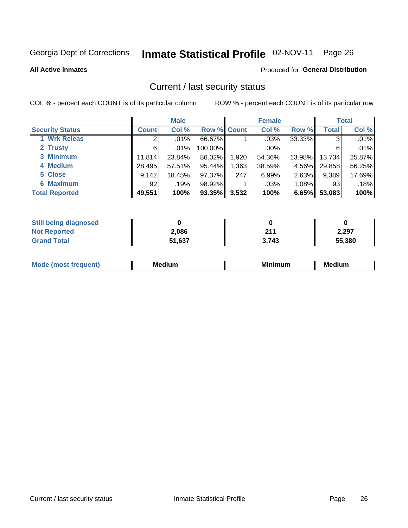### Inmate Statistical Profile 02-NOV-11 Page 26

**All Active Inmates** 

#### Produced for General Distribution

#### Current / last security status

COL % - percent each COUNT is of its particular column

|                        | <b>Male</b>     |         |             | <b>Female</b> |         |        | <b>Total</b> |        |
|------------------------|-----------------|---------|-------------|---------------|---------|--------|--------------|--------|
| <b>Security Status</b> | <b>Count</b>    | Col %   | Row % Count |               | Col %   | Row %  | <b>Total</b> | Col %  |
| <b>Wrk Releas</b>      | 2               | $.01\%$ | 66.67%      |               | $.03\%$ | 33.33% | 3            | .01%   |
| 2 Trusty               | 6               | $.01\%$ | 100.00%     |               | .00%    |        | 6            | .01%   |
| 3 Minimum              | 11,814          | 23.84%  | 86.02%      | 1,920         | 54.36%  | 13.98% | 13,734       | 25.87% |
| 4 Medium               | 28,495          | 57.51%  | 95.44%      | ,363          | 38.59%  | 4.56%  | 29,858       | 56.25% |
| 5 Close                | 9,142           | 18.45%  | 97.37%      | 247           | 6.99%   | 2.63%  | 9,389        | 17.69% |
| <b>6 Maximum</b>       | 92 <sub>1</sub> | .19%    | 98.92%      |               | .03%    | 1.08%  | 93           | .18%   |
| <b>Total Reported</b>  | 49,551          | 100%    | 93.35%      | 3,532         | 100%    | 6.65%  | 53,083       | 100%   |

| <b>Still being diagnosed</b> |        |       |        |
|------------------------------|--------|-------|--------|
| <b>Not Reported</b>          | 2,086  | 211   | 2,297  |
| <b>Grand Total</b>           | 51,637 | 3.743 | 55,380 |

| M | NЛ<br>. .<br>dilim<br>_____ | ---<br>-- | . .<br>Medium<br>Me |
|---|-----------------------------|-----------|---------------------|
|   |                             |           |                     |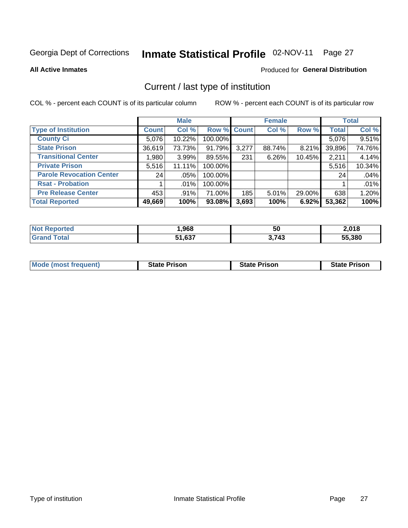#### Inmate Statistical Profile 02-NOV-11 Page 27

**All Active Inmates** 

#### Produced for General Distribution

### Current / last type of institution

COL % - percent each COUNT is of its particular column

|                                 |              | <b>Male</b> |             |       | <b>Female</b> |        |              | <b>Total</b> |
|---------------------------------|--------------|-------------|-------------|-------|---------------|--------|--------------|--------------|
| <b>Type of Institution</b>      | <b>Count</b> | Col %       | Row % Count |       | Col %         | Row %  | <b>Total</b> | Col %        |
| <b>County Ci</b>                | 5,076        | 10.22%      | 100.00%     |       |               |        | 5,076        | 9.51%        |
| <b>State Prison</b>             | 36,619       | 73.73%      | 91.79%      | 3,277 | 88.74%        | 8.21%  | 39,896       | 74.76%       |
| <b>Transitional Center</b>      | 1,980        | 3.99%       | 89.55%      | 231   | 6.26%         | 10.45% | 2,211        | 4.14%        |
| <b>Private Prison</b>           | 5,516        | 11.11%      | 100.00%     |       |               |        | 5,516        | 10.34%       |
| <b>Parole Revocation Center</b> | 24           | $.05\%$     | 100.00%     |       |               |        | 24           | .04%         |
| <b>Rsat - Probation</b>         |              | $.01\%$     | 100.00%     |       |               |        |              | .01%         |
| <b>Pre Release Center</b>       | 453          | $.91\%$     | 71.00%      | 185   | $5.01\%$      | 29.00% | 638          | 1.20%        |
| <b>Total Reported</b>           | 49,669       | 100%        | 93.08%      | 3,693 | 100%          | 6.92%  | 53,362       | 100%         |

| τеα             | ,968       | --<br>50 | 2,018  |
|-----------------|------------|----------|--------|
| $\sim$ 4 $\sim$ | .637<br>E7 | 3,743    | 55,380 |

| <b>Mode (most frequent)</b> | <b>State Prison</b> | <b>State Prison</b> | <b>State Prison</b> |
|-----------------------------|---------------------|---------------------|---------------------|
|                             |                     |                     |                     |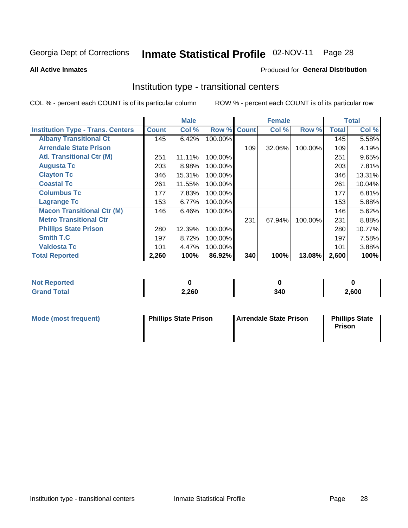#### Inmate Statistical Profile 02-NOV-11 Page 28

**All Active Inmates** 

#### Produced for General Distribution

#### Institution type - transitional centers

COL % - percent each COUNT is of its particular column

|                                          |              | <b>Male</b> |         |              | <b>Female</b> |         |              | <b>Total</b> |
|------------------------------------------|--------------|-------------|---------|--------------|---------------|---------|--------------|--------------|
| <b>Institution Type - Trans. Centers</b> | <b>Count</b> | Col %       | Row %   | <b>Count</b> | Col %         | Row %   | <b>Total</b> | Col %        |
| <b>Albany Transitional Ct</b>            | 145          | 6.42%       | 100.00% |              |               |         | 145          | 5.58%        |
| <b>Arrendale State Prison</b>            |              |             |         | 109          | 32.06%        | 100.00% | 109          | 4.19%        |
| <b>Atl. Transitional Ctr (M)</b>         | 251          | 11.11%      | 100.00% |              |               |         | 251          | 9.65%        |
| <b>Augusta Tc</b>                        | 203          | 8.98%       | 100.00% |              |               |         | 203          | 7.81%        |
| <b>Clayton Tc</b>                        | 346          | 15.31%      | 100.00% |              |               |         | 346          | 13.31%       |
| <b>Coastal Tc</b>                        | 261          | 11.55%      | 100.00% |              |               |         | 261          | 10.04%       |
| <b>Columbus Tc</b>                       | 177          | 7.83%       | 100.00% |              |               |         | 177          | 6.81%        |
| <b>Lagrange Tc</b>                       | 153          | 6.77%       | 100.00% |              |               |         | 153          | 5.88%        |
| <b>Macon Transitional Ctr (M)</b>        | 146          | 6.46%       | 100.00% |              |               |         | 146          | 5.62%        |
| <b>Metro Transitional Ctr</b>            |              |             |         | 231          | 67.94%        | 100.00% | 231          | 8.88%        |
| <b>Phillips State Prison</b>             | 280          | 12.39%      | 100.00% |              |               |         | 280          | 10.77%       |
| <b>Smith T.C</b>                         | 197          | 8.72%       | 100.00% |              |               |         | 197          | 7.58%        |
| <b>Valdosta Tc</b>                       | 101          | 4.47%       | 100.00% |              |               |         | 101          | 3.88%        |
| <b>Total Reported</b>                    | 2,260        | 100%        | 86.92%  | 340          | 100%          | 13.08%  | 2,600        | 100%         |

| orted |       |      |      |  |
|-------|-------|------|------|--|
|       | 2,260 | -245 | ,600 |  |

| Mode (most frequent) | <b>Phillips State Prison</b> | Arrendale State Prison | <b>Phillips State</b><br>Prison |
|----------------------|------------------------------|------------------------|---------------------------------|
|                      |                              |                        |                                 |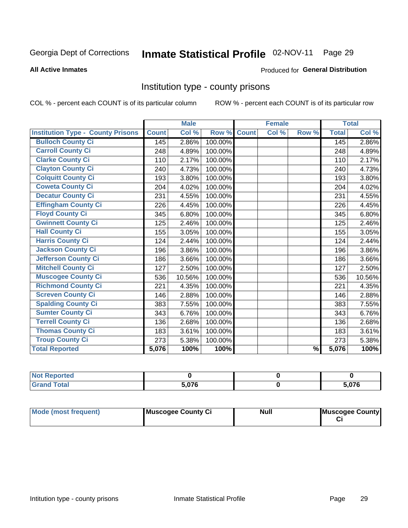# Inmate Statistical Profile 02-NOV-11 Page 29

#### **All Active Inmates**

#### Produced for General Distribution

#### Institution type - county prisons

COL % - percent each COUNT is of its particular column

|                                          |              | <b>Male</b> |         |              | <b>Female</b> |               |              | <b>Total</b> |
|------------------------------------------|--------------|-------------|---------|--------------|---------------|---------------|--------------|--------------|
| <b>Institution Type - County Prisons</b> | <b>Count</b> | Col %       | Row %   | <b>Count</b> | Col %         | Row %         | <b>Total</b> | Col %        |
| <b>Bulloch County Ci</b>                 | 145          | 2.86%       | 100.00% |              |               |               | 145          | 2.86%        |
| <b>Carroll County Ci</b>                 | 248          | 4.89%       | 100.00% |              |               |               | 248          | 4.89%        |
| <b>Clarke County Ci</b>                  | 110          | 2.17%       | 100.00% |              |               |               | 110          | 2.17%        |
| <b>Clayton County Ci</b>                 | 240          | 4.73%       | 100.00% |              |               |               | 240          | 4.73%        |
| <b>Colquitt County Ci</b>                | 193          | 3.80%       | 100.00% |              |               |               | 193          | 3.80%        |
| <b>Coweta County Ci</b>                  | 204          | 4.02%       | 100.00% |              |               |               | 204          | 4.02%        |
| <b>Decatur County Ci</b>                 | 231          | 4.55%       | 100.00% |              |               |               | 231          | 4.55%        |
| <b>Effingham County Ci</b>               | 226          | 4.45%       | 100.00% |              |               |               | 226          | 4.45%        |
| <b>Floyd County Ci</b>                   | 345          | 6.80%       | 100.00% |              |               |               | 345          | 6.80%        |
| <b>Gwinnett County Ci</b>                | 125          | 2.46%       | 100.00% |              |               |               | 125          | 2.46%        |
| <b>Hall County Ci</b>                    | 155          | 3.05%       | 100.00% |              |               |               | 155          | 3.05%        |
| <b>Harris County Ci</b>                  | 124          | 2.44%       | 100.00% |              |               |               | 124          | 2.44%        |
| <b>Jackson County Ci</b>                 | 196          | 3.86%       | 100.00% |              |               |               | 196          | 3.86%        |
| <b>Jefferson County Ci</b>               | 186          | 3.66%       | 100.00% |              |               |               | 186          | 3.66%        |
| <b>Mitchell County Ci</b>                | 127          | 2.50%       | 100.00% |              |               |               | 127          | 2.50%        |
| <b>Muscogee County Ci</b>                | 536          | 10.56%      | 100.00% |              |               |               | 536          | 10.56%       |
| <b>Richmond County Ci</b>                | 221          | 4.35%       | 100.00% |              |               |               | 221          | 4.35%        |
| <b>Screven County Ci</b>                 | 146          | 2.88%       | 100.00% |              |               |               | 146          | 2.88%        |
| <b>Spalding County Ci</b>                | 383          | 7.55%       | 100.00% |              |               |               | 383          | 7.55%        |
| <b>Sumter County Ci</b>                  | 343          | 6.76%       | 100.00% |              |               |               | 343          | 6.76%        |
| <b>Terrell County Ci</b>                 | 136          | 2.68%       | 100.00% |              |               |               | 136          | 2.68%        |
| <b>Thomas County Ci</b>                  | 183          | 3.61%       | 100.00% |              |               |               | 183          | 3.61%        |
| <b>Troup County Ci</b>                   | 273          | 5.38%       | 100.00% |              |               |               | 273          | 5.38%        |
| <b>Total Reported</b>                    | 5,076        | 100%        | 100%    |              |               | $\frac{9}{6}$ | 5,076        | 100%         |

| <b>Not</b><br>Reported       |     |       |
|------------------------------|-----|-------|
| <b>Total</b><br><b>Grand</b> | ^"^ | 5,076 |

| Mode (most frequent) | Muscogee County Ci | <b>Null</b> | Muscogee County |
|----------------------|--------------------|-------------|-----------------|
|                      |                    |             |                 |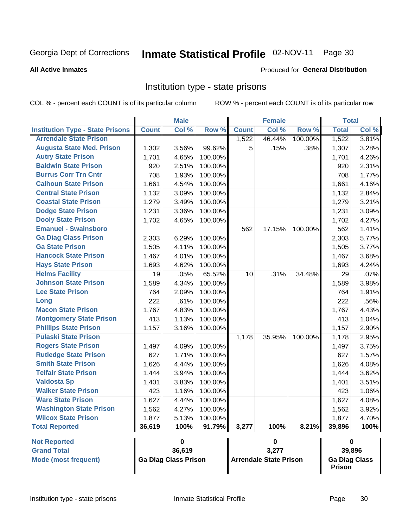#### Inmate Statistical Profile 02-NOV-11 Page 30

#### **All Active Inmates**

#### Produced for General Distribution

#### Institution type - state prisons

COL % - percent each COUNT is of its particular column

ROW % - percent each COUNT is of its particular row

|                                         |              | <b>Male</b>                 |         |              | <b>Female</b>                 |         | <b>Total</b>            |       |
|-----------------------------------------|--------------|-----------------------------|---------|--------------|-------------------------------|---------|-------------------------|-------|
| <b>Institution Type - State Prisons</b> | <b>Count</b> | Col %                       | Row %   | <b>Count</b> | Col %                         | Row %   | <b>Total</b>            | Col % |
| <b>Arrendale State Prison</b>           |              |                             |         | 1,522        | 46.44%                        | 100.00% | 1,522                   | 3.81% |
| <b>Augusta State Med. Prison</b>        | 1,302        | 3.56%                       | 99.62%  | 5            | .15%                          | .38%    | 1,307                   | 3.28% |
| <b>Autry State Prison</b>               | 1,701        | 4.65%                       | 100.00% |              |                               |         | 1,701                   | 4.26% |
| <b>Baldwin State Prison</b>             | 920          | 2.51%                       | 100.00% |              |                               |         | 920                     | 2.31% |
| <b>Burrus Corr Trn Cntr</b>             | 708          | 1.93%                       | 100.00% |              |                               |         | 708                     | 1.77% |
| <b>Calhoun State Prison</b>             | 1,661        | 4.54%                       | 100.00% |              |                               |         | 1,661                   | 4.16% |
| <b>Central State Prison</b>             | 1,132        | 3.09%                       | 100.00% |              |                               |         | 1,132                   | 2.84% |
| <b>Coastal State Prison</b>             | 1,279        | 3.49%                       | 100.00% |              |                               |         | 1,279                   | 3.21% |
| <b>Dodge State Prison</b>               | 1,231        | 3.36%                       | 100.00% |              |                               |         | 1,231                   | 3.09% |
| <b>Dooly State Prison</b>               | 1,702        | 4.65%                       | 100.00% |              |                               |         | 1,702                   | 4.27% |
| <b>Emanuel - Swainsboro</b>             |              |                             |         | 562          | 17.15%                        | 100.00% | 562                     | 1.41% |
| <b>Ga Diag Class Prison</b>             | 2,303        | 6.29%                       | 100.00% |              |                               |         | 2,303                   | 5.77% |
| <b>Ga State Prison</b>                  | 1,505        | 4.11%                       | 100.00% |              |                               |         | 1,505                   | 3.77% |
| <b>Hancock State Prison</b>             | 1,467        | 4.01%                       | 100.00% |              |                               |         | 1,467                   | 3.68% |
| <b>Hays State Prison</b>                | 1,693        | 4.62%                       | 100.00% |              |                               |         | 1,693                   | 4.24% |
| <b>Helms Facility</b>                   | 19           | .05%                        | 65.52%  | 10           | .31%                          | 34.48%  | 29                      | .07%  |
| <b>Johnson State Prison</b>             | 1,589        | 4.34%                       | 100.00% |              |                               |         | 1,589                   | 3.98% |
| <b>Lee State Prison</b>                 | 764          | 2.09%                       | 100.00% |              |                               |         | 764                     | 1.91% |
| Long                                    | 222          | .61%                        | 100.00% |              |                               |         | $\overline{222}$        | .56%  |
| <b>Macon State Prison</b>               | 1,767        | 4.83%                       | 100.00% |              |                               |         | 1,767                   | 4.43% |
| <b>Montgomery State Prison</b>          | 413          | 1.13%                       | 100.00% |              |                               |         | 413                     | 1.04% |
| <b>Phillips State Prison</b>            | 1,157        | 3.16%                       | 100.00% |              |                               |         | 1,157                   | 2.90% |
| <b>Pulaski State Prison</b>             |              |                             |         | 1,178        | 35.95%                        | 100.00% | 1,178                   | 2.95% |
| <b>Rogers State Prison</b>              | 1,497        | 4.09%                       | 100.00% |              |                               |         | 1,497                   | 3.75% |
| <b>Rutledge State Prison</b>            | 627          | 1.71%                       | 100.00% |              |                               |         | 627                     | 1.57% |
| <b>Smith State Prison</b>               | 1,626        | 4.44%                       | 100.00% |              |                               |         | 1,626                   | 4.08% |
| <b>Telfair State Prison</b>             | 1,444        | 3.94%                       | 100.00% |              |                               |         | 1,444                   | 3.62% |
| <b>Valdosta Sp</b>                      | 1,401        | 3.83%                       | 100.00% |              |                               |         | 1,401                   | 3.51% |
| <b>Walker State Prison</b>              | 423          | 1.16%                       | 100.00% |              |                               |         | 423                     | 1.06% |
| <b>Ware State Prison</b>                | 1,627        | 4.44%                       | 100.00% |              |                               |         | 1,627                   | 4.08% |
| <b>Washington State Prison</b>          | 1,562        | 4.27%                       | 100.00% |              |                               |         | 1,562                   | 3.92% |
| <b>Wilcox State Prison</b>              | 1,877        | 5.13%                       | 100.00% |              |                               |         | 1,877                   | 4.70% |
| <b>Total Reported</b>                   | 36,619       | 100%                        | 91.79%  | 3,277        | 100%                          | 8.21%   | 39,896                  | 100%  |
| <b>Not Reported</b>                     |              | $\overline{\mathbf{0}}$     |         |              | $\pmb{0}$                     |         | $\overline{\mathbf{0}}$ |       |
| <b>Grand Total</b>                      |              | 36,619                      |         |              | 3,277                         |         | 39,896                  |       |
| <b>Mode (most frequent)</b>             |              | <b>Ga Diag Class Prison</b> |         |              | <b>Arrendale State Prison</b> |         | <b>Ga Diag Class</b>    |       |

Prison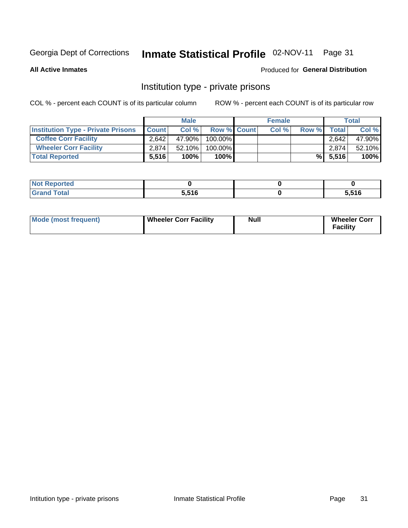### Inmate Statistical Profile 02-NOV-11 Page 31

**All Active Inmates** 

#### Produced for General Distribution

#### Institution type - private prisons

COL % - percent each COUNT is of its particular column

|                                           |                    | <b>Male</b> |                    | <b>Female</b> |       |            | <b>Total</b> |
|-------------------------------------------|--------------------|-------------|--------------------|---------------|-------|------------|--------------|
| <b>Institution Type - Private Prisons</b> | <b>Count</b>       | Col%        | <b>Row % Count</b> | Col %         | Row % | Total      | Col %        |
| <b>Coffee Corr Facility</b>               | 2.642              | 47.90%      | $100.00\%$         |               |       | 2.642      | 47.90%       |
| <b>Wheeler Corr Facility</b>              | 2.874 <sub>1</sub> | $52.10\%$   | 100.00%            |               |       | 2,874      | 52.10%       |
| <b>Total Reported</b>                     | 5,516              | 100%        | $100\%$            |               |       | $\%$ 5,516 | 100%         |

| <b>Reported</b><br><b>NOT</b><br>. |       |       |
|------------------------------------|-------|-------|
| 'otal                              | 5.516 | 5,516 |

| Mode (most frequent) | Wheeler Corr Facility | <b>Null</b> | <b>Wheeler Corr</b><br><b>Facility</b> |
|----------------------|-----------------------|-------------|----------------------------------------|
|----------------------|-----------------------|-------------|----------------------------------------|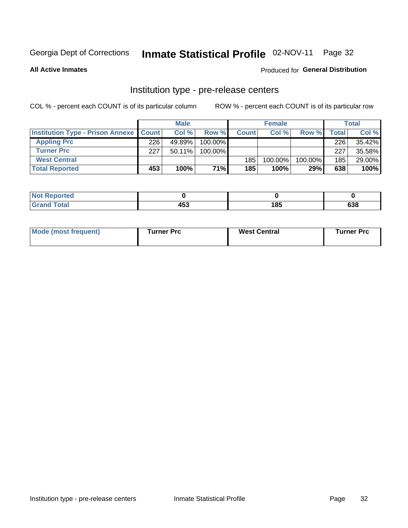### Inmate Statistical Profile 02-NOV-11 Page 32

**All Active Inmates** 

#### Produced for General Distribution

### Institution type - pre-release centers

COL % - percent each COUNT is of its particular column

|                                                   |     | <b>Male</b> |            |              | <b>Female</b> |         |              | <b>Total</b> |
|---------------------------------------------------|-----|-------------|------------|--------------|---------------|---------|--------------|--------------|
| <b>Institution Type - Prison Annexe   Count  </b> |     | Col %       | Row %      | <b>Count</b> | Col %         | Row %   | <b>Total</b> | Col %        |
| <b>Appling Prc</b>                                | 226 | 49.89%      | 100.00%    |              |               |         | 226          | 35.42%       |
| <b>Turner Prc</b>                                 | 227 | $50.11\%$   | $100.00\%$ |              |               |         | 227          | 35.58%       |
| <b>West Central</b>                               |     |             |            | 185          | 100.00%       | 100.00% | 185          | 29.00%       |
| <b>Total Reported</b>                             | 453 | 100%        | 71%        | 185          | 100%          | 29%     | 638          | 100%         |

|   | $\overline{ }$ | .   | coo |
|---|----------------|-----|-----|
| - | . .            | . . | סטס |

| Mode (most frequent) | Turner Prc | <b>West Central</b> | Turner Prc |
|----------------------|------------|---------------------|------------|
|----------------------|------------|---------------------|------------|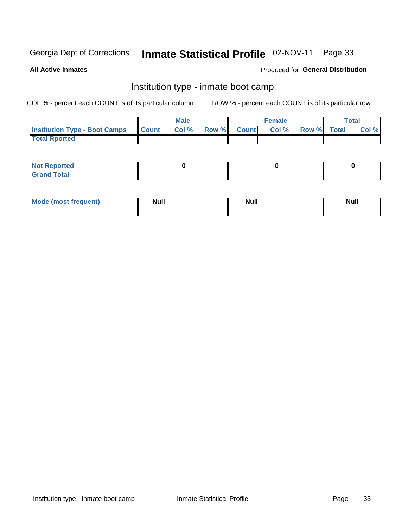#### Inmate Statistical Profile 02-NOV-11 Page 33

**All Active Inmates** 

#### Produced for General Distribution

### Institution type - inmate boot camp

COL % - percent each COUNT is of its particular column

|                                      |              | <b>Male</b> |             | <b>Female</b> |             | Total |
|--------------------------------------|--------------|-------------|-------------|---------------|-------------|-------|
| <b>Institution Type - Boot Camps</b> | <b>Count</b> | Col %       | Row % Count | Col%          | Row % Total | Col % |
| <b>Total Rported</b>                 |              |             |             |               |             |       |

| <b>Not Reported</b><br>, , , , , |  |  |
|----------------------------------|--|--|
| Total<br><b>C</b> <sub>He</sub>  |  |  |

| <b>AhoM</b>       | <b>Null</b> | <b>Null</b> | Ab d' |
|-------------------|-------------|-------------|-------|
| <b>"requent</b> ) |             |             |       |
|                   |             |             |       |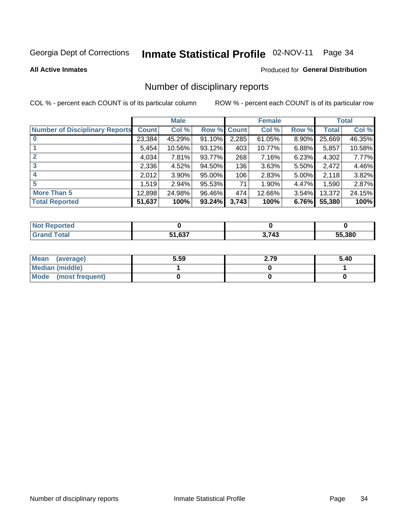### Inmate Statistical Profile 02-NOV-11 Page 34

#### **All Active Inmates**

#### Produced for General Distribution

#### Number of disciplinary reports

COL % - percent each COUNT is of its particular column

|                                       |              | <b>Male</b> |        |       | <b>Female</b> |          |              | <b>Total</b> |
|---------------------------------------|--------------|-------------|--------|-------|---------------|----------|--------------|--------------|
| <b>Number of Disciplinary Reports</b> | <b>Count</b> | Col %       | Row %  | Count | Col %         | Row %    | <b>Total</b> | Col %        |
|                                       | 23,384       | 45.29%      | 91.10% | 2,285 | 61.05%        | $8.90\%$ | 25,669       | 46.35%       |
|                                       | 5,454        | 10.56%      | 93.12% | 403   | 10.77%        | 6.88%    | 5,857        | 10.58%       |
|                                       | 4,034        | 7.81%       | 93.77% | 268   | 7.16%         | 6.23%    | 4,302        | 7.77%        |
| 3                                     | 2,336        | 4.52%       | 94.50% | 136   | 3.63%         | $5.50\%$ | 2,472        | 4.46%        |
| 4                                     | 2,012        | $3.90\%$    | 95.00% | 106   | 2.83%         | 5.00%    | 2,118        | 3.82%        |
| 5                                     | 1,519        | $2.94\%$    | 95.53% | 71    | 1.90%         | 4.47%    | 1,590        | 2.87%        |
| <b>More Than 5</b>                    | 12,898       | 24.98%      | 96.46% | 474   | 12.66%        | $3.54\%$ | 13,372       | 24.15%       |
| <b>Total Reported</b>                 | 51,637       | 100%        | 93.24% | 3,743 | 100%          | 6.76%    | 55,380       | 100%         |

| <b>rted</b><br>NO |        |               |              |
|-------------------|--------|---------------|--------------|
| <b>Total</b>      | 51.637 | 3 743<br>- 10 | 55.380<br>ממ |

| Mean (average)       | 5.59 | 2.79 | 5.40 |
|----------------------|------|------|------|
| Median (middle)      |      |      |      |
| Mode (most frequent) |      |      |      |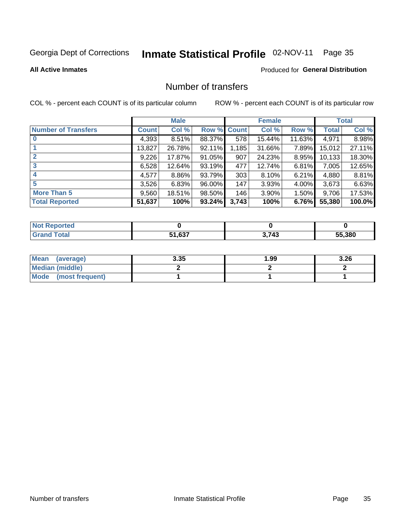# Inmate Statistical Profile 02-NOV-11 Page 35

**All Active Inmates** 

#### Produced for General Distribution

### Number of transfers

COL % - percent each COUNT is of its particular column

|                            |         | <b>Male</b> |             |       | <b>Female</b> |          |              | <b>Total</b> |
|----------------------------|---------|-------------|-------------|-------|---------------|----------|--------------|--------------|
| <b>Number of Transfers</b> | Count l | Col %       | Row % Count |       | Col %         | Row %    | <b>Total</b> | Col %        |
|                            | 4,393   | 8.51%       | 88.37%      | 578   | 15.44%        | 11.63%   | 4,971        | 8.98%        |
|                            | 13,827  | 26.78%      | 92.11%      | 1,185 | 31.66%        | 7.89%    | 15,012       | 27.11%       |
| $\mathbf{2}$               | 9,226   | 17.87%      | 91.05%      | 907   | 24.23%        | 8.95%    | 10,133       | 18.30%       |
| 3                          | 6,528   | 12.64%      | 93.19%      | 477   | 12.74%        | 6.81%    | 7,005        | 12.65%       |
|                            | 4,577   | 8.86%       | 93.79%      | 303   | 8.10%         | $6.21\%$ | 4,880        | 8.81%        |
| 5                          | 3,526   | 6.83%       | 96.00%      | 147   | 3.93%         | 4.00%    | 3,673        | 6.63%        |
| <b>More Than 5</b>         | 9,560   | 18.51%      | 98.50%      | 146   | 3.90%         | $1.50\%$ | 9,706        | 17.53%       |
| <b>Total Reported</b>      | 51,637  | 100%        | 93.24%      | 3,743 | 100%          | 6.76%    | 55,380       | 100.0%       |

| <b>rted</b><br>NO |                      |               |        |
|-------------------|----------------------|---------------|--------|
| <b>Total</b>      | <b>EA COT</b><br>.03 | 3 743<br>- 77 | 55.380 |

| Mean (average)       | 3.35 | 99. ، | 3.26 |
|----------------------|------|-------|------|
| Median (middle)      |      |       |      |
| Mode (most frequent) |      |       |      |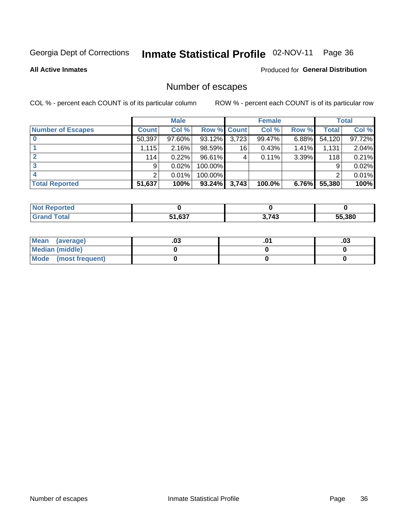### Inmate Statistical Profile 02-NOV-11 Page 36

**All Active Inmates** 

#### **Produced for General Distribution**

### Number of escapes

COL % - percent each COUNT is of its particular column

|                          |              | <b>Male</b> |                    |       | <b>Female</b> |          |              | <b>Total</b> |
|--------------------------|--------------|-------------|--------------------|-------|---------------|----------|--------------|--------------|
| <b>Number of Escapes</b> | <b>Count</b> | Col %       | <b>Row % Count</b> |       | Col %         | Row %    | <b>Total</b> | Col %        |
|                          | 50,397       | 97.60%      | 93.12%             | 3,723 | 99.47%        | 6.88%    | 54,120       | 97.72%       |
|                          | 1,115        | 2.16%       | 98.59%             | 16    | 0.43%         | $1.41\%$ | 1,131        | 2.04%        |
| 2                        | 114          | 0.22%       | 96.61%             | 4     | 0.11%         | 3.39%    | 118          | 0.21%        |
| 3                        | 9            | 0.02%       | 100.00%            |       |               |          | 9            | $0.02\%$     |
|                          | 2            | 0.01%       | 100.00%            |       |               |          | 2            | 0.01%        |
| <b>Total Reported</b>    | 51,637       | 100%        | 93.24%             | 3,743 | 100.0%        | $6.76\%$ | 55,380       | 100%         |

| neo |        |       |               |
|-----|--------|-------|---------------|
|     | 51.637 | 3,743 | 55.380<br>ה ה |

| Mean (average)         | .ט. | .03 |
|------------------------|-----|-----|
| <b>Median (middle)</b> |     |     |
| Mode (most frequent)   |     |     |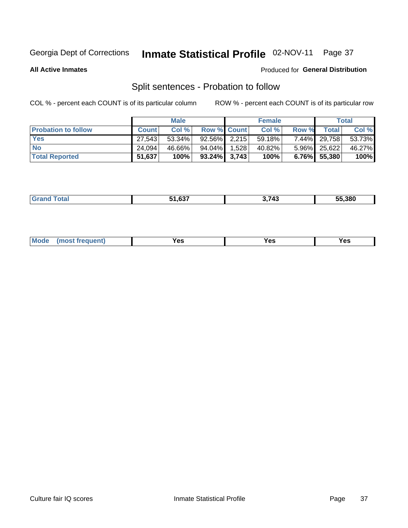# Inmate Statistical Profile 02-NOV-11 Page 37

**All Active Inmates** 

#### Produced for General Distribution

## Split sentences - Probation to follow

COL % - percent each COUNT is of its particular column

|                            |              | <b>Male</b> |                 |       | <b>Female</b> |          |                 | <b>Total</b> |
|----------------------------|--------------|-------------|-----------------|-------|---------------|----------|-----------------|--------------|
| <b>Probation to follow</b> | <b>Count</b> | Col%        | Row % Count     |       | Col %         | Row %    | <b>Total</b>    | Col %        |
| <b>Yes</b>                 | 27.543       | 53.34%      | $92.56\%$ 2.215 |       | 59.18%        | $7.44\%$ | 29,758          | 53.73%       |
| <b>No</b>                  | 24.094       | 46.66%      | 94.04%          | 1,528 | 40.82%        |          | 5.96% 25,622    | 46.27%       |
| <b>Total Reported</b>      | 51,637       | 100%        | $93.24\%$ 3,743 |       | 100%          |          | $6.76\%$ 55,380 | 100%         |

|  |  | 51 637<br>. נטו | $\rightarrow$ $\rightarrow$ $\sim$<br>$\overline{ }$<br>… | 55.380 |
|--|--|-----------------|-----------------------------------------------------------|--------|
|--|--|-----------------|-----------------------------------------------------------|--------|

| M<br>reauent)<br>/٥<br>$\sim$<br>v.,<br>.<br>w<br>$\cdot$ - $\cdot$ |
|---------------------------------------------------------------------|
|---------------------------------------------------------------------|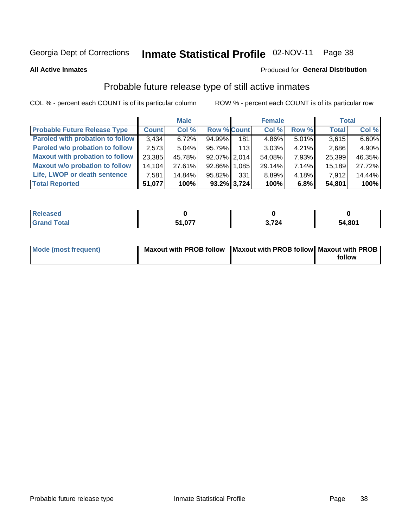# Inmate Statistical Profile 02-NOV-11 Page 38

**All Active Inmates** 

#### Produced for General Distribution

### Probable future release type of still active inmates

COL % - percent each COUNT is of its particular column

|                                         |              | <b>Male</b> |                    |     | <b>Female</b> |          | <b>Total</b> |        |
|-----------------------------------------|--------------|-------------|--------------------|-----|---------------|----------|--------------|--------|
| <b>Probable Future Release Type</b>     | <b>Count</b> | Col %       | <b>Row % Count</b> |     | Col %         | Row %    | <b>Total</b> | Col %  |
| <b>Paroled with probation to follow</b> | 3,434        | 6.72%       | 94.99%             | 181 | 4.86%         | $5.01\%$ | 3,615        | 6.60%  |
| Paroled w/o probation to follow         | 2,573        | $5.04\%$    | 95.79%             | 113 | 3.03%         | 4.21%    | 2,686        | 4.90%  |
| <b>Maxout with probation to follow</b>  | 23,385       | 45.78%      | 92.07% 2.014       |     | 54.08%        | 7.93%    | 25,399       | 46.35% |
| <b>Maxout w/o probation to follow</b>   | 14,104       | 27.61%      | 92.86% 1,085       |     | 29.14%        | 7.14%    | 15,189       | 27.72% |
| Life, LWOP or death sentence            | 7,581        | 14.84%      | 95.82%             | 331 | 8.89%         | 4.18%    | 7,912        | 14.44% |
| <b>Total Reported</b>                   | 51,077       | 100%        | 93.2% 3.724        |     | 100%          | $6.8\%$  | 54,801       | 100%   |

| ased        |     |      |        |
|-------------|-----|------|--------|
| <b>otal</b> | 077 | .724 | 54,801 |

| <b>Mode (most frequent)</b> | Maxout with PROB follow   Maxout with PROB follow   Maxout with PROB |        |
|-----------------------------|----------------------------------------------------------------------|--------|
|                             |                                                                      | follow |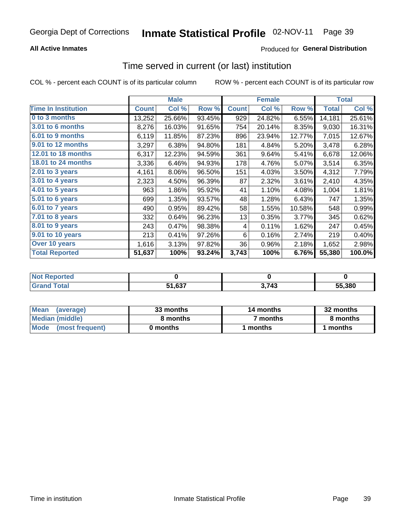### **All Active Inmates**

### **Produced for General Distribution**

### Time served in current (or last) institution

COL % - percent each COUNT is of its particular column

|                            |              | <b>Male</b> |        |              | <b>Female</b> |        |              | <b>Total</b> |
|----------------------------|--------------|-------------|--------|--------------|---------------|--------|--------------|--------------|
| <b>Time In Institution</b> | <b>Count</b> | Col %       | Row %  | <b>Count</b> | Col %         | Row %  | <b>Total</b> | Col %        |
| 0 to 3 months              | 13,252       | 25.66%      | 93.45% | 929          | 24.82%        | 6.55%  | 14,181       | 25.61%       |
| 3.01 to 6 months           | 8,276        | 16.03%      | 91.65% | 754          | 20.14%        | 8.35%  | 9,030        | 16.31%       |
| 6.01 to 9 months           | 6,119        | 11.85%      | 87.23% | 896          | 23.94%        | 12.77% | 7,015        | 12.67%       |
| 9.01 to 12 months          | 3,297        | 6.38%       | 94.80% | 181          | 4.84%         | 5.20%  | 3,478        | 6.28%        |
| 12.01 to 18 months         | 6,317        | 12.23%      | 94.59% | 361          | 9.64%         | 5.41%  | 6,678        | 12.06%       |
| <b>18.01 to 24 months</b>  | 3,336        | 6.46%       | 94.93% | 178          | 4.76%         | 5.07%  | 3,514        | 6.35%        |
| 2.01 to 3 years            | 4,161        | 8.06%       | 96.50% | 151          | 4.03%         | 3.50%  | 4,312        | 7.79%        |
| $3.01$ to 4 years          | 2,323        | 4.50%       | 96.39% | 87           | 2.32%         | 3.61%  | 2,410        | 4.35%        |
| 4.01 to 5 years            | 963          | 1.86%       | 95.92% | 41           | 1.10%         | 4.08%  | 1,004        | 1.81%        |
| 5.01 to 6 years            | 699          | 1.35%       | 93.57% | 48           | 1.28%         | 6.43%  | 747          | 1.35%        |
| 6.01 to 7 years            | 490          | 0.95%       | 89.42% | 58           | 1.55%         | 10.58% | 548          | 0.99%        |
| 7.01 to 8 years            | 332          | 0.64%       | 96.23% | 13           | 0.35%         | 3.77%  | 345          | 0.62%        |
| $8.01$ to 9 years          | 243          | 0.47%       | 98.38% | 4            | 0.11%         | 1.62%  | 247          | 0.45%        |
| 9.01 to 10 years           | 213          | 0.41%       | 97.26% | 6            | 0.16%         | 2.74%  | 219          | 0.40%        |
| Over 10 years              | 1,616        | 3.13%       | 97.82% | 36           | 0.96%         | 2.18%  | 1,652        | 2.98%        |
| <b>Total Reported</b>      | 51,637       | 100%        | 93.24% | 3,743        | 100%          | 6.76%  | 55,380       | 100.0%       |

| onred |                            |                       |        |
|-------|----------------------------|-----------------------|--------|
| ้าfaเ | $. \sim -$<br>-4<br>$\sim$ | $.71^{\circ}$<br>- 74 | 55.380 |

| <b>Mean</b><br>(average) | 33 months | 14 months | 32 months |  |
|--------------------------|-----------|-----------|-----------|--|
| Median (middle)          | 8 months  | 7 months  | 8 months  |  |
| Mode (most frequent)     | 0 months  | months    | l months  |  |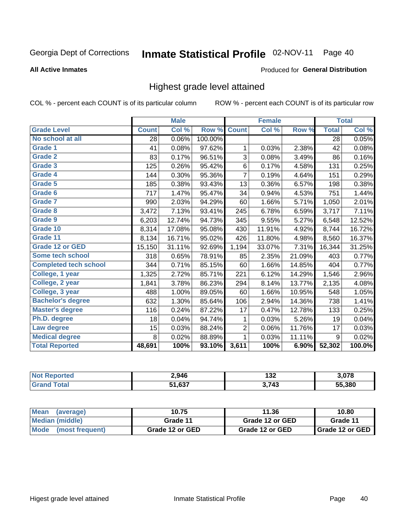#### Inmate Statistical Profile 02-NOV-11 Page 40

#### **All Active Inmates**

#### Produced for General Distribution

### Highest grade level attained

COL % - percent each COUNT is of its particular column

|                              |              | <b>Male</b> |         |              | <b>Female</b> |        |              | <b>Total</b> |
|------------------------------|--------------|-------------|---------|--------------|---------------|--------|--------------|--------------|
| <b>Grade Level</b>           | <b>Count</b> | Col %       | Row %   | <b>Count</b> | Col %         | Row %  | <b>Total</b> | Col %        |
| No school at all             | 28           | 0.06%       | 100.00% |              |               |        | 28           | 0.05%        |
| <b>Grade 1</b>               | 41           | 0.08%       | 97.62%  | 1            | 0.03%         | 2.38%  | 42           | 0.08%        |
| <b>Grade 2</b>               | 83           | 0.17%       | 96.51%  | 3            | 0.08%         | 3.49%  | 86           | 0.16%        |
| Grade 3                      | 125          | 0.26%       | 95.42%  | $\,6$        | 0.17%         | 4.58%  | 131          | 0.25%        |
| Grade 4                      | 144          | 0.30%       | 95.36%  | 7            | 0.19%         | 4.64%  | 151          | 0.29%        |
| Grade 5                      | 185          | 0.38%       | 93.43%  | 13           | 0.36%         | 6.57%  | 198          | 0.38%        |
| Grade 6                      | 717          | 1.47%       | 95.47%  | 34           | 0.94%         | 4.53%  | 751          | 1.44%        |
| <b>Grade 7</b>               | 990          | 2.03%       | 94.29%  | 60           | 1.66%         | 5.71%  | 1,050        | 2.01%        |
| Grade 8                      | 3,472        | 7.13%       | 93.41%  | 245          | 6.78%         | 6.59%  | 3,717        | 7.11%        |
| Grade 9                      | 6,203        | 12.74%      | 94.73%  | 345          | 9.55%         | 5.27%  | 6,548        | 12.52%       |
| Grade 10                     | 8,314        | 17.08%      | 95.08%  | 430          | 11.91%        | 4.92%  | 8,744        | 16.72%       |
| Grade 11                     | 8,134        | 16.71%      | 95.02%  | 426          | 11.80%        | 4.98%  | 8,560        | 16.37%       |
| <b>Grade 12 or GED</b>       | 15,150       | 31.11%      | 92.69%  | 1,194        | 33.07%        | 7.31%  | 16,344       | 31.25%       |
| Some tech school             | 318          | 0.65%       | 78.91%  | 85           | 2.35%         | 21.09% | 403          | 0.77%        |
| <b>Completed tech school</b> | 344          | 0.71%       | 85.15%  | 60           | 1.66%         | 14.85% | 404          | 0.77%        |
| College, 1 year              | 1,325        | 2.72%       | 85.71%  | 221          | 6.12%         | 14.29% | 1,546        | 2.96%        |
| College, 2 year              | 1,841        | 3.78%       | 86.23%  | 294          | 8.14%         | 13.77% | 2,135        | 4.08%        |
| College, 3 year              | 488          | 1.00%       | 89.05%  | 60           | 1.66%         | 10.95% | 548          | 1.05%        |
| <b>Bachelor's degree</b>     | 632          | 1.30%       | 85.64%  | 106          | 2.94%         | 14.36% | 738          | 1.41%        |
| <b>Master's degree</b>       | 116          | 0.24%       | 87.22%  | 17           | 0.47%         | 12.78% | 133          | 0.25%        |
| Ph.D. degree                 | 18           | 0.04%       | 94.74%  | 1            | 0.03%         | 5.26%  | 19           | 0.04%        |
| Law degree                   | 15           | 0.03%       | 88.24%  | 2            | 0.06%         | 11.76% | 17           | 0.03%        |
| <b>Medical degree</b>        | 8            | 0.02%       | 88.89%  | 1            | 0.03%         | 11.11% | 9            | 0.02%        |
| <b>Total Reported</b>        | 48,691       | 100%        | 93.10%  | 3,611        | 100%          | 6.90%  | 52,302       | 100.0%       |

| <b>Not Reported</b>     | 2,946  | 199<br>IJZ | הדה י  |
|-------------------------|--------|------------|--------|
| <b>Total</b><br>' Grano | 51.637 | 3,743      | 55.380 |

| <b>Mean</b><br>(average)       | 10.75           | 11.36           | 10.80             |
|--------------------------------|-----------------|-----------------|-------------------|
| <b>Median (middle)</b>         | Grade 11        | Grade 12 or GED | Grade 11          |
| <b>Mode</b><br>(most frequent) | Grade 12 or GED | Grade 12 or GED | I Grade 12 or GED |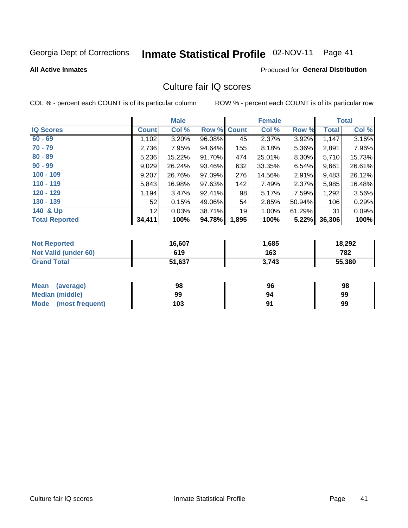# Inmate Statistical Profile 02-NOV-11 Page 41

#### **All Active Inmates**

### **Produced for General Distribution**

### Culture fair IQ scores

COL % - percent each COUNT is of its particular column

|                       |                 | <b>Male</b> |             |       | <b>Female</b> |        |              | <b>Total</b> |
|-----------------------|-----------------|-------------|-------------|-------|---------------|--------|--------------|--------------|
| <b>IQ Scores</b>      | <b>Count</b>    | Col %       | Row % Count |       | Col %         | Row %  | <b>Total</b> | Col %        |
| $60 - 69$             | 1,102           | 3.20%       | 96.08%      | 45    | 2.37%         | 3.92%  | 1,147        | 3.16%        |
| $70 - 79$             | 2,736           | 7.95%       | 94.64%      | 155   | 8.18%         | 5.36%  | 2,891        | 7.96%        |
| $80 - 89$             | 5,236           | 15.22%      | 91.70%      | 474   | 25.01%        | 8.30%  | 5,710        | 15.73%       |
| $90 - 99$             | 9,029           | 26.24%      | 93.46%      | 632   | 33.35%        | 6.54%  | 9,661        | 26.61%       |
| $100 - 109$           | 9,207           | 26.76%      | 97.09%      | 276   | 14.56%        | 2.91%  | 9,483        | 26.12%       |
| $110 - 119$           | 5,843           | 16.98%      | 97.63%      | 142   | 7.49%         | 2.37%  | 5,985        | 16.48%       |
| $120 - 129$           | 1,194           | 3.47%       | 92.41%      | 98    | 5.17%         | 7.59%  | 1,292        | 3.56%        |
| $130 - 139$           | 52              | 0.15%       | 49.06%      | 54    | 2.85%         | 50.94% | 106          | 0.29%        |
| 140 & Up              | 12 <sup>°</sup> | 0.03%       | 38.71%      | 19    | 1.00%         | 61.29% | 31           | 0.09%        |
| <b>Total Reported</b> | 34,411          | 100%        | 94.78%      | 1,895 | 100%          | 5.22%  | 36,306       | 100%         |

| <b>Not Reported</b>         | 16,607 | 685. ا | 18,292 |
|-----------------------------|--------|--------|--------|
| <b>Not Valid (under 60)</b> | 619    | 163    | 782    |
| <b>Grand Total</b>          | 51,637 | 3,743  | 55,380 |

| Mean<br>(average)       | 98  | 96 | 98 |
|-------------------------|-----|----|----|
| Median (middle)         | 99  | 94 | 99 |
| Mode<br>(most frequent) | 103 |    | 99 |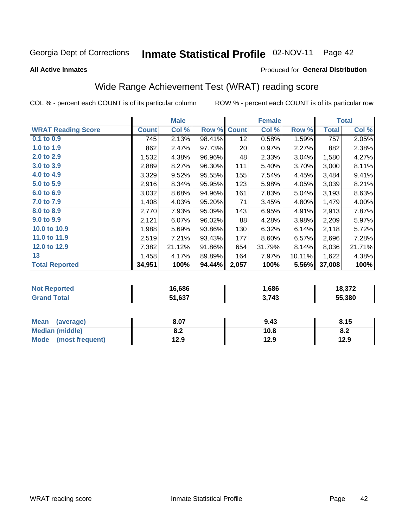#### Inmate Statistical Profile 02-NOV-11 Page 42

#### **All Active Inmates**

#### Produced for General Distribution

## Wide Range Achievement Test (WRAT) reading score

COL % - percent each COUNT is of its particular column

|                           |              | <b>Male</b> |        |              | <b>Female</b> |        |              | <b>Total</b> |
|---------------------------|--------------|-------------|--------|--------------|---------------|--------|--------------|--------------|
| <b>WRAT Reading Score</b> | <b>Count</b> | Col %       | Row %  | <b>Count</b> | Col %         | Row %  | <b>Total</b> | Col %        |
| 0.1 to 0.9                | 745          | 2.13%       | 98.41% | 12           | 0.58%         | 1.59%  | 757          | 2.05%        |
| 1.0 to 1.9                | 862          | 2.47%       | 97.73% | 20           | 0.97%         | 2.27%  | 882          | 2.38%        |
| 2.0 to 2.9                | 1,532        | 4.38%       | 96.96% | 48           | 2.33%         | 3.04%  | 1,580        | 4.27%        |
| 3.0 to 3.9                | 2,889        | 8.27%       | 96.30% | 111          | 5.40%         | 3.70%  | 3,000        | 8.11%        |
| 4.0 to 4.9                | 3,329        | 9.52%       | 95.55% | 155          | 7.54%         | 4.45%  | 3,484        | 9.41%        |
| 5.0 to 5.9                | 2,916        | 8.34%       | 95.95% | 123          | 5.98%         | 4.05%  | 3,039        | 8.21%        |
| 6.0 to 6.9                | 3,032        | 8.68%       | 94.96% | 161          | 7.83%         | 5.04%  | 3,193        | 8.63%        |
| 7.0 to 7.9                | 1,408        | 4.03%       | 95.20% | 71           | 3.45%         | 4.80%  | 1,479        | 4.00%        |
| 8.0 to 8.9                | 2,770        | 7.93%       | 95.09% | 143          | 6.95%         | 4.91%  | 2,913        | 7.87%        |
| 9.0 to 9.9                | 2,121        | 6.07%       | 96.02% | 88           | 4.28%         | 3.98%  | 2,209        | 5.97%        |
| 10.0 to 10.9              | 1,988        | 5.69%       | 93.86% | 130          | 6.32%         | 6.14%  | 2,118        | 5.72%        |
| 11.0 to 11.9              | 2,519        | 7.21%       | 93.43% | 177          | 8.60%         | 6.57%  | 2,696        | 7.28%        |
| 12.0 to 12.9              | 7,382        | 21.12%      | 91.86% | 654          | 31.79%        | 8.14%  | 8,036        | 21.71%       |
| 13                        | 1,458        | 4.17%       | 89.89% | 164          | 7.97%         | 10.11% | 1,622        | 4.38%        |
| <b>Total Reported</b>     | 34,951       | 100%        | 94.44% | 2,057        | 100%          | 5.56%  | 37,008       | 100%         |

| <b>orteg</b><br>NO | 16,686 | .686  | 18,372 |
|--------------------|--------|-------|--------|
| int                | 51,637 | 3,743 | 55.380 |

| <b>Mean</b><br>(average)       | 8.07       | 9.43 | 8.15 |
|--------------------------------|------------|------|------|
| <b>Median (middle)</b>         | י ה<br>0.Z | 10.8 | O.A  |
| <b>Mode</b><br>(most frequent) | 12.9       | 12.9 | 12.9 |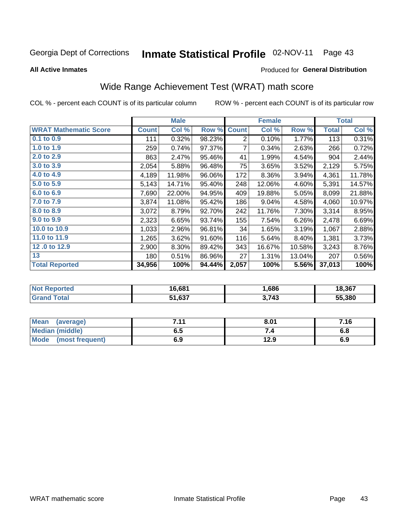#### Inmate Statistical Profile 02-NOV-11 Page 43

**All Active Inmates** 

#### Produced for General Distribution

## Wide Range Achievement Test (WRAT) math score

COL % - percent each COUNT is of its particular column

|                              |              | <b>Male</b> |        |                | <b>Female</b> |        |              | <b>Total</b> |
|------------------------------|--------------|-------------|--------|----------------|---------------|--------|--------------|--------------|
| <b>WRAT Mathematic Score</b> | <b>Count</b> | Col %       | Row %  | <b>Count</b>   | Col %         | Row %  | <b>Total</b> | Col %        |
| $0.1$ to $0.9$               | 111          | 0.32%       | 98.23% | $\overline{2}$ | 0.10%         | 1.77%  | 113          | 0.31%        |
| 1.0 to 1.9                   | 259          | 0.74%       | 97.37% | 7              | 0.34%         | 2.63%  | 266          | 0.72%        |
| 2.0 to 2.9                   | 863          | 2.47%       | 95.46% | 41             | 1.99%         | 4.54%  | 904          | 2.44%        |
| 3.0 to 3.9                   | 2,054        | 5.88%       | 96.48% | 75             | 3.65%         | 3.52%  | 2,129        | 5.75%        |
| 4.0 to 4.9                   | 4,189        | 11.98%      | 96.06% | 172            | 8.36%         | 3.94%  | 4,361        | 11.78%       |
| 5.0 to 5.9                   | 5,143        | 14.71%      | 95.40% | 248            | 12.06%        | 4.60%  | 5,391        | 14.57%       |
| 6.0 to 6.9                   | 7,690        | 22.00%      | 94.95% | 409            | 19.88%        | 5.05%  | 8,099        | 21.88%       |
| 7.0 to 7.9                   | 3,874        | 11.08%      | 95.42% | 186            | 9.04%         | 4.58%  | 4,060        | 10.97%       |
| 8.0 to 8.9                   | 3,072        | 8.79%       | 92.70% | 242            | 11.76%        | 7.30%  | 3,314        | 8.95%        |
| 9.0 to 9.9                   | 2,323        | 6.65%       | 93.74% | 155            | 7.54%         | 6.26%  | 2,478        | 6.69%        |
| 10.0 to 10.9                 | 1,033        | 2.96%       | 96.81% | 34             | 1.65%         | 3.19%  | 1,067        | 2.88%        |
| 11.0 to 11.9                 | 1,265        | 3.62%       | 91.60% | 116            | 5.64%         | 8.40%  | 1,381        | 3.73%        |
| 12.0 to 12.9                 | 2,900        | 8.30%       | 89.42% | 343            | 16.67%        | 10.58% | 3,243        | 8.76%        |
| 13                           | 180          | 0.51%       | 86.96% | 27             | 1.31%         | 13.04% | 207          | 0.56%        |
| <b>Total Reported</b>        | 34,956       | 100%        | 94.44% | 2,057          | 100%          | 5.56%  | 37,013       | 100%         |

| <b>Not Reported</b> | 16,681 | .,686 | 18,367 |
|---------------------|--------|-------|--------|
| Total<br>l Grand T  | 51,637 | 3,743 | 55,380 |

| Mean (average)       | 7 4 4<br>. | 8.01 | 7.16 |
|----------------------|------------|------|------|
| Median (middle)      | ง. ว       | 54   | o.o  |
| Mode (most frequent) | 6.9        | 12.9 | 6.9  |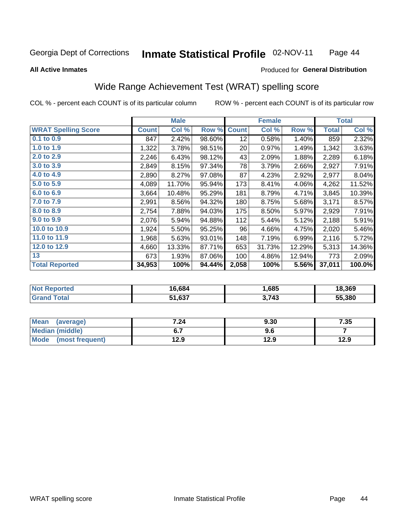#### Inmate Statistical Profile 02-NOV-11 Page 44

#### **All Active Inmates**

### Produced for General Distribution

### Wide Range Achievement Test (WRAT) spelling score

COL % - percent each COUNT is of its particular column

|                            |              | <b>Male</b> |        |              | <b>Female</b> |        |              | <b>Total</b> |
|----------------------------|--------------|-------------|--------|--------------|---------------|--------|--------------|--------------|
| <b>WRAT Spelling Score</b> | <b>Count</b> | Col %       | Row %  | <b>Count</b> | Col %         | Row %  | <b>Total</b> | Col %        |
| 0.1 to 0.9                 | 847          | 2.42%       | 98.60% | 12           | 0.58%         | 1.40%  | 859          | 2.32%        |
| 1.0 to 1.9                 | 1,322        | 3.78%       | 98.51% | 20           | 0.97%         | 1.49%  | 1,342        | 3.63%        |
| 2.0 to 2.9                 | 2,246        | 6.43%       | 98.12% | 43           | 2.09%         | 1.88%  | 2,289        | 6.18%        |
| 3.0 to 3.9                 | 2,849        | 8.15%       | 97.34% | 78           | 3.79%         | 2.66%  | 2,927        | 7.91%        |
| 4.0 to 4.9                 | 2,890        | 8.27%       | 97.08% | 87           | 4.23%         | 2.92%  | 2,977        | 8.04%        |
| 5.0 to 5.9                 | 4,089        | 11.70%      | 95.94% | 173          | 8.41%         | 4.06%  | 4,262        | 11.52%       |
| 6.0 to 6.9                 | 3,664        | 10.48%      | 95.29% | 181          | 8.79%         | 4.71%  | 3,845        | 10.39%       |
| 7.0 to 7.9                 | 2,991        | 8.56%       | 94.32% | 180          | 8.75%         | 5.68%  | 3,171        | 8.57%        |
| 8.0 to 8.9                 | 2,754        | 7.88%       | 94.03% | 175          | 8.50%         | 5.97%  | 2,929        | 7.91%        |
| 9.0 to 9.9                 | 2,076        | 5.94%       | 94.88% | 112          | 5.44%         | 5.12%  | 2,188        | 5.91%        |
| 10.0 to 10.9               | 1,924        | 5.50%       | 95.25% | 96           | 4.66%         | 4.75%  | 2,020        | 5.46%        |
| 11.0 to 11.9               | 1,968        | 5.63%       | 93.01% | 148          | 7.19%         | 6.99%  | 2,116        | 5.72%        |
| 12.0 to 12.9               | 4,660        | 13.33%      | 87.71% | 653          | 31.73%        | 12.29% | 5,313        | 14.36%       |
| 13                         | 673          | 1.93%       | 87.06% | 100          | 4.86%         | 12.94% | 773          | 2.09%        |
| <b>Total Reported</b>      | 34,953       | 100%        | 94.44% | 2,058        | 100%          | 5.56%  | 37,011       | 100.0%       |

| orted<br>NO | 16.684 | .685  | 18,369 |
|-------------|--------|-------|--------|
| $5 - 4 - 1$ | 51,637 | 3,743 | 55,380 |

| <b>Mean</b><br>(average) | 7.24 | 9.30 | 7.35 |
|--------------------------|------|------|------|
| Median (middle)          | ν.,  | 9.6  |      |
| Mode<br>(most frequent)  | l2.9 | 12.9 | 12.9 |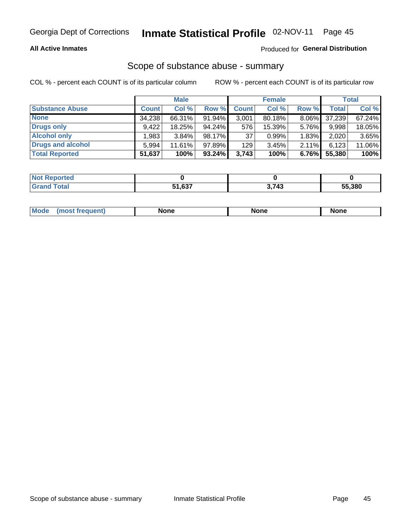### **All Active Inmates**

### Produced for General Distribution

# Scope of substance abuse - summary

COL % - percent each COUNT is of its particular column

|                        |              | <b>Male</b> |        |              | <b>Female</b> |          |              | <b>Total</b> |
|------------------------|--------------|-------------|--------|--------------|---------------|----------|--------------|--------------|
| <b>Substance Abuse</b> | <b>Count</b> | Col %       | Row %  | <b>Count</b> | Col %         | Row %    | <b>Total</b> | Col %        |
| <b>None</b>            | 34,238       | 66.31%      | 91.94% | 3,001        | 80.18%        | $8.06\%$ | 37,239       | 67.24%       |
| <b>Drugs only</b>      | 9.422        | 18.25%      | 94.24% | 576          | 15.39%        | 5.76%    | 9,998        | 18.05%       |
| <b>Alcohol only</b>    | .983         | $3.84\%$    | 98.17% | 37           | 0.99%         | 1.83%    | 2,020        | 3.65%        |
| Drugs and alcohol      | 5.994        | 11.61%      | 97.89% | 129          | 3.45%         | 2.11%    | 6,123        | 11.06%       |
| <b>Total Reported</b>  | 51,637       | 100%        | 93.24% | 3,743        | 100%          | 6.76%    | 55,380       | 100%         |

| <b>Not Reported</b> |        |       |        |
|---------------------|--------|-------|--------|
| <b>Grand Total</b>  | 51,637 | 3,743 | 55,380 |

| Mode<br>None<br><b>None</b><br>None<br>most<br>quenti<br>___ |
|--------------------------------------------------------------|
|--------------------------------------------------------------|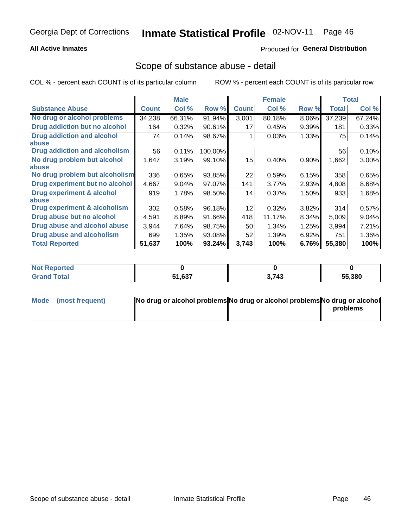### **All Active Inmates**

### **Produced for General Distribution**

### Scope of substance abuse - detail

COL % - percent each COUNT is of its particular column

|                                      |              | <b>Male</b> |         |              | <b>Female</b> |       |              | <b>Total</b> |
|--------------------------------------|--------------|-------------|---------|--------------|---------------|-------|--------------|--------------|
| <b>Substance Abuse</b>               | <b>Count</b> | Col %       | Row %   | <b>Count</b> | Col %         | Row % | <b>Total</b> | Col %        |
| No drug or alcohol problems          | 34,238       | 66.31%      | 91.94%  | 3,001        | 80.18%        | 8.06% | 37,239       | 67.24%       |
| Drug addiction but no alcohol        | 164          | 0.32%       | 90.61%  | 17           | 0.45%         | 9.39% | 181          | 0.33%        |
| <b>Drug addiction and alcohol</b>    | 74           | 0.14%       | 98.67%  |              | 0.03%         | 1.33% | 75           | 0.14%        |
| <b>labuse</b>                        |              |             |         |              |               |       |              |              |
| <b>Drug addiction and alcoholism</b> | 56           | 0.11%       | 100.00% |              |               |       | 56           | 0.10%        |
| No drug problem but alcohol          | 1,647        | 3.19%       | 99.10%  | 15           | 0.40%         | 0.90% | 1,662        | $3.00\%$     |
| <b>labuse</b>                        |              |             |         |              |               |       |              |              |
| No drug problem but alcoholism       | 336          | 0.65%       | 93.85%  | 22           | 0.59%         | 6.15% | 358          | 0.65%        |
| Drug experiment but no alcohol       | 4,667        | 9.04%       | 97.07%  | 141          | 3.77%         | 2.93% | 4,808        | 8.68%        |
| <b>Drug experiment &amp; alcohol</b> | 919          | 1.78%       | 98.50%  | 14           | 0.37%         | 1.50% | 933          | 1.68%        |
| <b>labuse</b>                        |              |             |         |              |               |       |              |              |
| Drug experiment & alcoholism         | 302          | 0.58%       | 96.18%  | 12           | 0.32%         | 3.82% | 314          | 0.57%        |
| Drug abuse but no alcohol            | 4,591        | 8.89%       | 91.66%  | 418          | 11.17%        | 8.34% | 5,009        | $9.04\%$     |
| Drug abuse and alcohol abuse         | 3,944        | 7.64%       | 98.75%  | 50           | 1.34%         | 1.25% | 3,994        | 7.21%        |
| <b>Drug abuse and alcoholism</b>     | 699          | 1.35%       | 93.08%  | 52           | 1.39%         | 6.92% | 751          | 1.36%        |
| <b>Total Reported</b>                | 51,637       | 100%        | 93.24%  | 3,743        | 100%          | 6.76% | 55,380       | 100%         |

| orted<br>NOT |        |       |        |
|--------------|--------|-------|--------|
| <b>otal</b>  | 51,637 | 3,743 | 55,380 |

| Mode (most frequent) | No drug or alcohol problems No drug or alcohol problems No drug or alcohol |          |
|----------------------|----------------------------------------------------------------------------|----------|
|                      |                                                                            | problems |
|                      |                                                                            |          |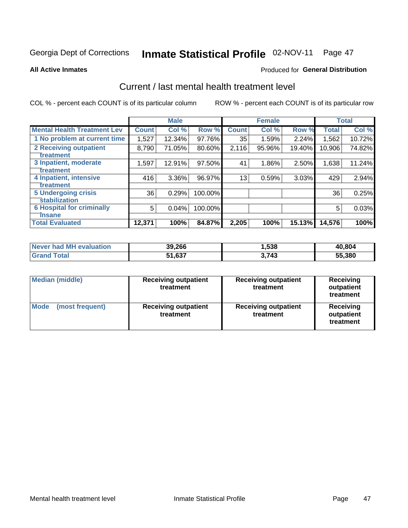# Inmate Statistical Profile 02-NOV-11 Page 47

#### **All Active Inmates**

### **Produced for General Distribution**

### Current / last mental health treatment level

COL % - percent each COUNT is of its particular column

|                                    |              | <b>Male</b> |         |              | <b>Female</b> |        |              | <b>Total</b> |
|------------------------------------|--------------|-------------|---------|--------------|---------------|--------|--------------|--------------|
| <b>Mental Health Treatment Lev</b> | <b>Count</b> | Col %       | Row %   | <b>Count</b> | Col %         | Row %  | <b>Total</b> | Col %        |
| 1 No problem at current time       | 1,527        | 12.34%      | 97.76%  | 35           | 1.59%         | 2.24%  | 1,562        | 10.72%       |
| 2 Receiving outpatient             | 8,790        | 71.05%      | 80.60%  | 2,116        | 95.96%        | 19.40% | 10,906       | 74.82%       |
| <b>Treatment</b>                   |              |             |         |              |               |        |              |              |
| 3 Inpatient, moderate              | 1,597        | 12.91%      | 97.50%  | 41           | 1.86%         | 2.50%  | 1,638        | 11.24%       |
| Treatment                          |              |             |         |              |               |        |              |              |
| 4 Inpatient, intensive             | 416          | 3.36%       | 96.97%  | 13           | 0.59%         | 3.03%  | 429          | 2.94%        |
| <b>Treatment</b>                   |              |             |         |              |               |        |              |              |
| <b>5 Undergoing crisis</b>         | 36           | 0.29%       | 100.00% |              |               |        | 36           | 0.25%        |
| <b>Stabilization</b>               |              |             |         |              |               |        |              |              |
| <b>6 Hospital for criminally</b>   | 5            | 0.04%       | 100.00% |              |               |        | 5            | 0.03%        |
| <b>Tinsane</b>                     |              |             |         |              |               |        |              |              |
| <b>Total Evaluated</b>             | 12,371       | 100%        | 84.87%  | 2,205        | 100%          | 15.13% | 14,576       | 100%         |

| Never had MH evaluation | 39,266 | ,538  | 40,804 |
|-------------------------|--------|-------|--------|
| Total<br><b>Grand</b>   | 51,637 | 3,743 | 55,380 |

| <b>Median (middle)</b>         | <b>Receiving outpatient</b><br>treatment | <b>Receiving outpatient</b><br>treatment | <b>Receiving</b><br>outpatient<br>treatment |  |  |
|--------------------------------|------------------------------------------|------------------------------------------|---------------------------------------------|--|--|
| <b>Mode</b><br>(most frequent) | <b>Receiving outpatient</b><br>treatment | <b>Receiving outpatient</b><br>treatment | Receiving<br>outpatient<br>treatment        |  |  |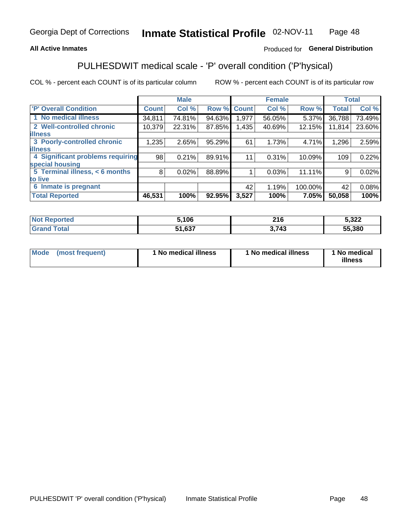### **All Active Inmates**

### Produced for General Distribution

## PULHESDWIT medical scale - 'P' overall condition ('P'hysical)

COL % - percent each COUNT is of its particular column

|                                  |              | <b>Male</b> |        |              | <b>Female</b> |         |                 | <b>Total</b> |
|----------------------------------|--------------|-------------|--------|--------------|---------------|---------|-----------------|--------------|
| 'P' Overall Condition            | <b>Count</b> | Col %       | Row %  | <b>Count</b> | Col %         | Row %   | <b>Total</b>    | Col %        |
| 1 No medical illness             | 34,811       | 74.81%      | 94.63% | 1,977        | 56.05%        | 5.37%   | 36,788          | 73.49%       |
| 2 Well-controlled chronic        | 10,379       | 22.31%      | 87.85% | 1,435        | 40.69%        | 12.15%  | 11,814          | 23.60%       |
| <b>illness</b>                   |              |             |        |              |               |         |                 |              |
| 3 Poorly-controlled chronic      | 1,235        | 2.65%       | 95.29% | 61           | 1.73%         | 4.71%   | 1,296           | 2.59%        |
| <b>illness</b>                   |              |             |        |              |               |         |                 |              |
| 4 Significant problems requiring | 98           | 0.21%       | 89.91% | 11           | 0.31%         | 10.09%  | 109             | 0.22%        |
| special housing                  |              |             |        |              |               |         |                 |              |
| 5 Terminal illness, < 6 months   | 8            | 0.02%       | 88.89% |              | 0.03%         | 11.11%  | 9               | 0.02%        |
| to live                          |              |             |        |              |               |         |                 |              |
| 6 Inmate is pregnant             |              |             |        | 42           | 1.19%         | 100.00% | 42 <sup>1</sup> | 0.08%        |
| <b>Total Reported</b>            | 46,531       | 100%        | 92.95% | 3,527        | 100%          | 7.05%   | 50,058          | 100%         |

| тес | 5.106           | 216 | $E$ 222<br>J,JZZ |
|-----|-----------------|-----|------------------|
|     | C <sub>27</sub> | 712 | 55.380           |

| Mode | (most frequent) | 1 No medical illness | 1 No medical illness | 1 No medical<br>illness |
|------|-----------------|----------------------|----------------------|-------------------------|
|------|-----------------|----------------------|----------------------|-------------------------|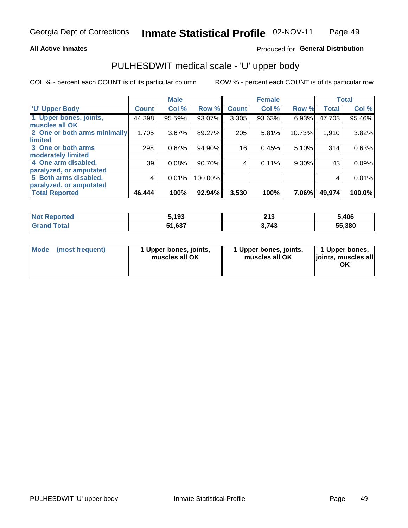### **All Active Inmates**

### Produced for General Distribution

# PULHESDWIT medical scale - 'U' upper body

COL % - percent each COUNT is of its particular column

|                              |              | <b>Male</b> |         |              | <b>Female</b> |        |              | <b>Total</b> |
|------------------------------|--------------|-------------|---------|--------------|---------------|--------|--------------|--------------|
| <b>U' Upper Body</b>         | <b>Count</b> | Col %       | Row %   | <b>Count</b> | Col %         | Row %  | <b>Total</b> | Col %        |
| 1 Upper bones, joints,       | 44,398       | 95.59%      | 93.07%  | 3,305        | 93.63%        | 6.93%  | 47,703       | 95.46%       |
| muscles all OK               |              |             |         |              |               |        |              |              |
| 2 One or both arms minimally | 1,705        | 3.67%       | 89.27%  | 205          | 5.81%         | 10.73% | 1,910        | 3.82%        |
| limited                      |              |             |         |              |               |        |              |              |
| 3 One or both arms           | 298          | 0.64%       | 94.90%  | 16           | 0.45%         | 5.10%  | 314          | 0.63%        |
| <b>moderately limited</b>    |              |             |         |              |               |        |              |              |
| 4 One arm disabled,          | 39           | 0.08%       | 90.70%  | 4            | 0.11%         | 9.30%  | 43           | 0.09%        |
| paralyzed, or amputated      |              |             |         |              |               |        |              |              |
| 5 Both arms disabled,        | 4            | 0.01%       | 100.00% |              |               |        | 4            | 0.01%        |
| paralyzed, or amputated      |              |             |         |              |               |        |              |              |
| <b>Total Reported</b>        | 46,444       | 100%        | 92.94%  | 3,530        | 100%          | 7.06%  | 49,974       | 100.0%       |

| <b>Not Reported</b> | 5,193  | າ4 າ<br>د ا ع | 5,406  |
|---------------------|--------|---------------|--------|
| <b>Grand Total</b>  | 51,637 | 3,743         | 55,380 |

| Mode (most frequent) | 1 Upper bones, joints,<br>muscles all OK | 1 Upper bones, joints,<br>muscles all OK | 1 Upper bones,<br>joints, muscles all<br>ΟK |
|----------------------|------------------------------------------|------------------------------------------|---------------------------------------------|
|----------------------|------------------------------------------|------------------------------------------|---------------------------------------------|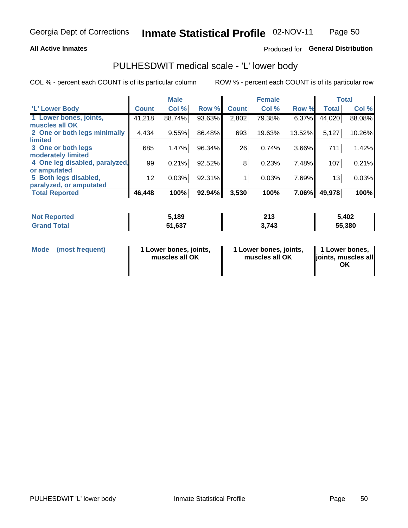#### **All Active Inmates**

### Produced for General Distribution

### PULHESDWIT medical scale - 'L' lower body

COL % - percent each COUNT is of its particular column

|                                |                 | <b>Male</b> |        |              | <b>Female</b> |        |                 | <b>Total</b> |
|--------------------------------|-----------------|-------------|--------|--------------|---------------|--------|-----------------|--------------|
| 'L' Lower Body                 | <b>Count</b>    | Col %       | Row %  | <b>Count</b> | Col %         | Row %  | <b>Total</b>    | Col %        |
| 1 Lower bones, joints,         | 41,218          | 88.74%      | 93.63% | 2,802        | 79.38%        | 6.37%  | 44,020          | 88.08%       |
| muscles all OK                 |                 |             |        |              |               |        |                 |              |
| 2 One or both legs minimally   | 4,434           | 9.55%       | 86.48% | 693          | 19.63%        | 13.52% | 5,127           | 10.26%       |
| limited                        |                 |             |        |              |               |        |                 |              |
| 3 One or both legs             | 685             | 1.47%       | 96.34% | 26           | 0.74%         | 3.66%  | 711             | 1.42%        |
| moderately limited             |                 |             |        |              |               |        |                 |              |
| 4 One leg disabled, paralyzed, | 99              | 0.21%       | 92.52% | 8            | 0.23%         | 7.48%  | 107             | 0.21%        |
| or amputated                   |                 |             |        |              |               |        |                 |              |
| 5 Both legs disabled,          | 12 <sub>2</sub> | 0.03%       | 92.31% |              | 0.03%         | 7.69%  | 13 <sub>1</sub> | 0.03%        |
| paralyzed, or amputated        |                 |             |        |              |               |        |                 |              |
| <b>Total Reported</b>          | 46,448          | 100%        | 92.94% | 3,530        | 100%          | 7.06%  | 49,978          | 100%         |

| <b>Not Reported</b>          | 5,189  | າ4 າ<br>2 I J | 5,402  |
|------------------------------|--------|---------------|--------|
| <b>Total</b><br><b>Grand</b> | 51,637 | 3,743         | 55,380 |

|  | Mode (most frequent) | 1 Lower bones, joints,<br>muscles all OK | 1 Lower bones, joints,<br>muscles all OK | 1 Lower bones,<br>joints, muscles all<br>ΟK |
|--|----------------------|------------------------------------------|------------------------------------------|---------------------------------------------|
|--|----------------------|------------------------------------------|------------------------------------------|---------------------------------------------|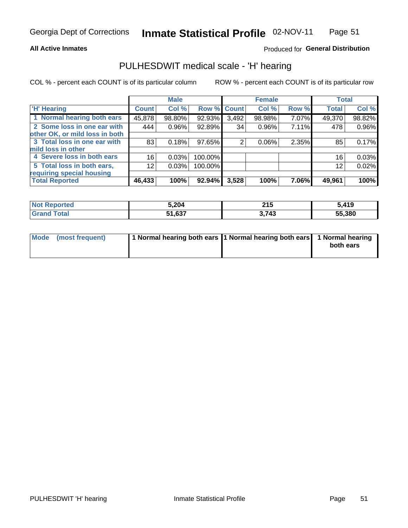### **All Active Inmates**

### Produced for General Distribution

### PULHESDWIT medical scale - 'H' hearing

COL % - percent each COUNT is of its particular column

|                                |              | <b>Male</b> |             |       | <b>Female</b> |       | <b>Total</b> |        |
|--------------------------------|--------------|-------------|-------------|-------|---------------|-------|--------------|--------|
| <b>'H' Hearing</b>             | <b>Count</b> | Col %       | Row % Count |       | Col %         | Row % | <b>Total</b> | Col %  |
| 1 Normal hearing both ears     | 45,878       | 98.80%      | 92.93%      | 3,492 | 98.98%        | 7.07% | 49,370       | 98.82% |
| 2 Some loss in one ear with    | 444          | 0.96%       | 92.89%      | 34    | 0.96%         | 7.11% | 478          | 0.96%  |
| other OK, or mild loss in both |              |             |             |       |               |       |              |        |
| 3 Total loss in one ear with   | 83           | 0.18%       | 97.65%      | 2     | 0.06%         | 2.35% | 85           | 0.17%  |
| mild loss in other             |              |             |             |       |               |       |              |        |
| 4 Severe loss in both ears     | 16           | 0.03%       | 100.00%     |       |               |       | 16           | 0.03%  |
| 5 Total loss in both ears,     | 12           | 0.03%       | 100.00%     |       |               |       | 12           | 0.02%  |
| requiring special housing      |              |             |             |       |               |       |              |        |
| <b>Total Reported</b>          | 46,433       | 100%        | $92.94\%$   | 3,528 | 100%          | 7.06% | 49,961       | 100%   |

| <b>Not Renc</b><br>∽orted | 5,204           | <b>94 E</b><br>2 I J | .419   |
|---------------------------|-----------------|----------------------|--------|
| Total                     | 51 G27<br>טט, ו | 3,743                | 55,380 |

| Mode (most frequent) | 1 Normal hearing both ears 1 Normal hearing both ears 1 Normal hearing | both ears |
|----------------------|------------------------------------------------------------------------|-----------|
|                      |                                                                        |           |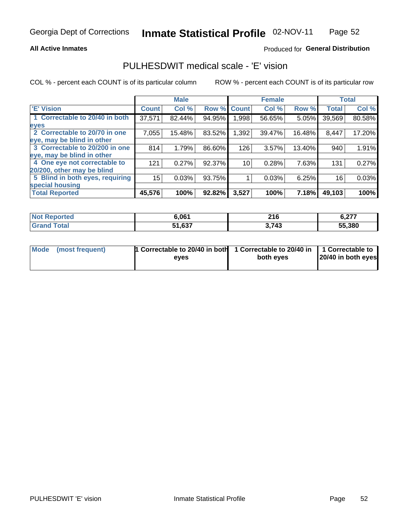### **All Active Inmates**

### Produced for General Distribution

### PULHESDWIT medical scale - 'E' vision

COL % - percent each COUNT is of its particular column

|                                 |              | <b>Male</b> |        |              | <b>Female</b> |        |              | <b>Total</b> |
|---------------------------------|--------------|-------------|--------|--------------|---------------|--------|--------------|--------------|
| <b>E' Vision</b>                | <b>Count</b> | Col %       | Row %  | <b>Count</b> | Col %         | Row %  | <b>Total</b> | Col %        |
| 1 Correctable to 20/40 in both  | 37,571       | 82.44%      | 94.95% | .998         | 56.65%        | 5.05%  | 39,569       | 80.58%       |
| eyes                            |              |             |        |              |               |        |              |              |
| 2 Correctable to 20/70 in one   | 7,055        | 15.48%      | 83.52% | 1,392        | 39.47%        | 16.48% | 8,447        | 17.20%       |
| eye, may be blind in other      |              |             |        |              |               |        |              |              |
| 3 Correctable to 20/200 in one  | 814          | 1.79%       | 86.60% | 126          | 3.57%         | 13.40% | 940          | 1.91%        |
| eye, may be blind in other      |              |             |        |              |               |        |              |              |
| 4 One eye not correctable to    | 121          | 0.27%       | 92.37% | 10           | 0.28%         | 7.63%  | 131          | 0.27%        |
| 20/200, other may be blind      |              |             |        |              |               |        |              |              |
| 5 Blind in both eyes, requiring | 15           | 0.03%       | 93.75% |              | 0.03%         | 6.25%  | 16           | 0.03%        |
| special housing                 |              |             |        |              |               |        |              |              |
| <b>Total Reported</b>           | 45,576       | 100%        | 92.82% | 3,527        | 100%          | 7.18%  | 49,103       | 100%         |

| <b>Not Reported</b>          | 6,061  | <b>01C</b><br>4 I V | ` ^""<br>0.41 |
|------------------------------|--------|---------------------|---------------|
| <b>Total</b><br><b>Grand</b> | 51,637 | 3,743               | 55,380        |

| Mode (most frequent) | 1 Correctable to 20/40 in both<br>eves | 1 Correctable to 20/40 in   1 Correctable to  <br>both eves | 20/40 in both eyes |
|----------------------|----------------------------------------|-------------------------------------------------------------|--------------------|
|                      |                                        |                                                             |                    |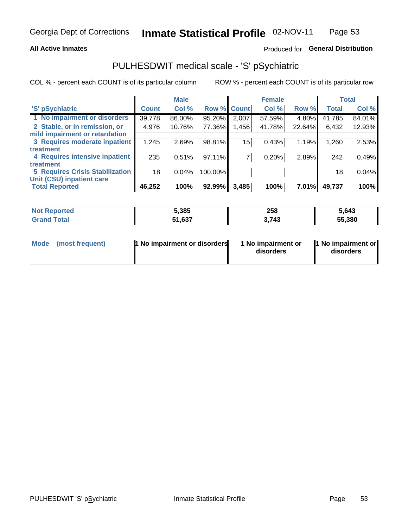### **All Active Inmates**

### Produced for General Distribution

## PULHESDWIT medical scale - 'S' pSychiatric

COL % - percent each COUNT is of its particular column

|                                        |              | <b>Male</b> |         |             | <b>Female</b> |              |              | <b>Total</b> |
|----------------------------------------|--------------|-------------|---------|-------------|---------------|--------------|--------------|--------------|
| 'S' pSychiatric                        | <b>Count</b> | Col %       |         | Row % Count | Col %         | Row %        | <b>Total</b> | Col %        |
| 1 No impairment or disorders           | 39,778       | 86.00%      | 95.20%  | 2,007       | 57.59%        | 4.80%        | 41,785       | 84.01%       |
| 2 Stable, or in remission, or          | 4,976        | 10.76%      | 77.36%  | 1,456       | 41.78%        | 22.64%       | 6,432        | 12.93%       |
| mild impairment or retardation         |              |             |         |             |               |              |              |              |
| 3 Requires moderate inpatient          | 1,245        | 2.69%       | 98.81%  | 15          | 0.43%         | 1.19%        | 1,260        | 2.53%        |
| treatment                              |              |             |         |             |               |              |              |              |
| 4 Requires intensive inpatient         | 235          | 0.51%       | 97.11%  |             | 0.20%         | 2.89%        | 242          | 0.49%        |
| treatment                              |              |             |         |             |               |              |              |              |
| <b>5 Requires Crisis Stabilization</b> | 18           | 0.04%       | 100.00% |             |               |              | 18           | 0.04%        |
| Unit (CSU) inpatient care              |              |             |         |             |               |              |              |              |
| <b>Total Reported</b>                  | 46,252       | 100%        | 92.99%  | 3,485       | 100%          | <b>7.01%</b> | 49,737       | 100%         |

| <b>Not Reported</b> | 5,385  | 258   | 5,643  |
|---------------------|--------|-------|--------|
| Total               | 51,637 | 3,743 | 55,380 |

| Mode<br>1 No impairment or disorders<br>(most frequent) | 1 No impairment or<br>disorders | 1 No impairment or<br>disorders |
|---------------------------------------------------------|---------------------------------|---------------------------------|
|---------------------------------------------------------|---------------------------------|---------------------------------|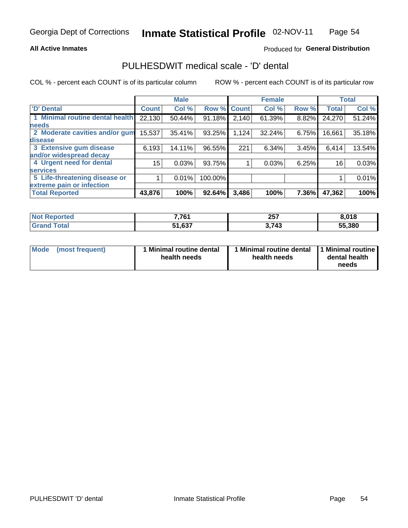### **All Active Inmates**

### Produced for General Distribution

### PULHESDWIT medical scale - 'D' dental

COL % - percent each COUNT is of its particular column

|                                 |              | <b>Male</b> |         |              | <b>Female</b> |       |              | <b>Total</b> |
|---------------------------------|--------------|-------------|---------|--------------|---------------|-------|--------------|--------------|
| 'D' Dental                      | <b>Count</b> | Col %       | Row %   | <b>Count</b> | Col %         | Row % | <b>Total</b> | Col %        |
| 1 Minimal routine dental health | 22,130       | 50.44%      | 91.18%  | 2,140        | 61.39%        | 8.82% | 24,270       | 51.24%       |
| <b>needs</b>                    |              |             |         |              |               |       |              |              |
| 2 Moderate cavities and/or gum  | 15,537       | 35.41%      | 93.25%  | 1,124        | 32.24%        | 6.75% | 16,661       | 35.18%       |
| disease                         |              |             |         |              |               |       |              |              |
| 3 Extensive gum disease         | 6,193        | 14.11%      | 96.55%  | 221          | 6.34%         | 3.45% | 6,414        | 13.54%       |
| and/or widespread decay         |              |             |         |              |               |       |              |              |
| 4 Urgent need for dental        | 15           | 0.03%       | 93.75%  |              | 0.03%         | 6.25% | 16           | 0.03%        |
| <b>services</b>                 |              |             |         |              |               |       |              |              |
| 5 Life-threatening disease or   |              | 0.01%       | 100.00% |              |               |       |              | 0.01%        |
| extreme pain or infection       |              |             |         |              |               |       |              |              |
| <b>Total Reported</b>           | 43,876       | 100%        | 92.64%  | 3,486        | 100%          | 7.36% | 47,362       | 100%         |

| <b>Not Reported</b> | 77C4   | 257<br>20 I<br>__ | 8,018  |
|---------------------|--------|-------------------|--------|
| <b>Total</b>        | 51,637 | 3,743             | 55,380 |

| 1 Minimal routine dental<br>Mode<br>(most frequent)<br>health needs | 1 Minimal routine dental 1 Minimal routine<br>health needs | dental health<br>needs |
|---------------------------------------------------------------------|------------------------------------------------------------|------------------------|
|---------------------------------------------------------------------|------------------------------------------------------------|------------------------|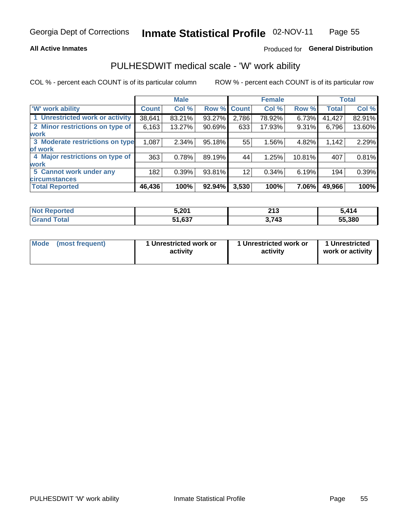### **All Active Inmates**

### Produced for General Distribution

### PULHESDWIT medical scale - 'W' work ability

COL % - percent each COUNT is of its particular column

|                                 |              | <b>Male</b> |        |             | <b>Female</b> |        |              | <b>Total</b> |
|---------------------------------|--------------|-------------|--------|-------------|---------------|--------|--------------|--------------|
| 'W' work ability                | <b>Count</b> | Col %       |        | Row % Count | Col %         | Row %  | <b>Total</b> | Col %        |
| 1 Unrestricted work or activity | 38,641       | 83.21%      | 93.27% | 2,786       | 78.92%        | 6.73%  | 41,427       | 82.91%       |
| 2 Minor restrictions on type of | 6,163        | 13.27%      | 90.69% | 633         | 17.93%        | 9.31%  | 6,796        | 13.60%       |
| <b>work</b>                     |              |             |        |             |               |        |              |              |
| 3 Moderate restrictions on type | 1,087        | 2.34%       | 95.18% | 55          | 1.56%         | 4.82%  | 1,142        | 2.29%        |
| lof work                        |              |             |        |             |               |        |              |              |
| 4 Major restrictions on type of | 363          | 0.78%       | 89.19% | 44          | 1.25%         | 10.81% | 407          | 0.81%        |
| <b>work</b>                     |              |             |        |             |               |        |              |              |
| 5 Cannot work under any         | 182          | 0.39%       | 93.81% | 12          | 0.34%         | 6.19%  | 194          | 0.39%        |
| <b>circumstances</b>            |              |             |        |             |               |        |              |              |
| <b>Total Reported</b>           | 46,436       | 100%        | 92.94% | 3,530       | 100%          | 7.06%  | 49,966       | 100%         |

| <b>Enorted</b><br>NO1 | 5,201<br>. . <i>.</i> | <b>049</b><br>4 I J<br>$\sim$ | . 41/<br>14 |
|-----------------------|-----------------------|-------------------------------|-------------|
| <b>Total</b>          | 1,637<br>- -<br>34    | 3,743                         | 55,380      |

| Mode            | 1 Unrestricted work or | 1 Unrestricted work or | 1 Unrestricted   |
|-----------------|------------------------|------------------------|------------------|
| (most frequent) | activity               | activity               | work or activity |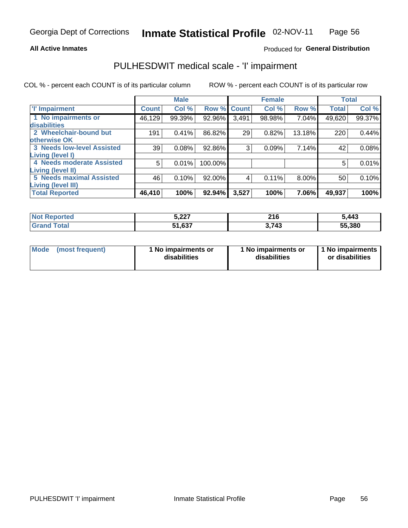### **All Active Inmates**

### Produced for General Distribution

## PULHESDWIT medical scale - 'I' impairment

COL % - percent each COUNT is of its particular column

|                                                              |              | <b>Male</b> |             |       | <b>Female</b> |        |              | <b>Total</b> |
|--------------------------------------------------------------|--------------|-------------|-------------|-------|---------------|--------|--------------|--------------|
| <b>T' Impairment</b>                                         | <b>Count</b> | Col %       | Row % Count |       | Col %         | Row %  | <b>Total</b> | Col %        |
| 1 No impairments or<br>disabilities                          | 46,129       | 99.39%      | 92.96%      | 3,491 | 98.98%        | 7.04%  | 49,620       | 99.37%       |
| 2 Wheelchair-bound but                                       | 191          | 0.41%       | 86.82%      | 29    | 0.82%         | 13.18% | 220          | 0.44%        |
| otherwise OK<br><b>3 Needs low-level Assisted</b>            | 39           | 0.08%       | 92.86%      | 3     | 0.09%         | 7.14%  | 42           | 0.08%        |
| Living (level I)<br>4 Needs moderate Assisted                | 5            | 0.01%       | 100.00%     |       |               |        | 5            | 0.01%        |
| <b>Living (level II)</b>                                     |              |             |             |       |               |        |              |              |
| <b>5 Needs maximal Assisted</b><br><b>Living (level III)</b> | 46           | 0.10%       | 92.00%      | 4     | 0.11%         | 8.00%  | 50           | 0.10%        |
| <b>Total Reported</b>                                        | 46,410       | 100%        | 92.94%      | 3,527 | 100%          | 7.06%  | 49,937       | 100%         |

| <b>Not</b><br>Reported | 5,227  | 216<br>$\sim$ | 5,443  |
|------------------------|--------|---------------|--------|
| Total                  | 51,637 | <b>713</b>    | 55,380 |

| Mode | (most frequent) | 1 No impairments or<br>disabilities | 1 No impairments or<br>disabilities | 1 No impairments<br>or disabilities |
|------|-----------------|-------------------------------------|-------------------------------------|-------------------------------------|
|------|-----------------|-------------------------------------|-------------------------------------|-------------------------------------|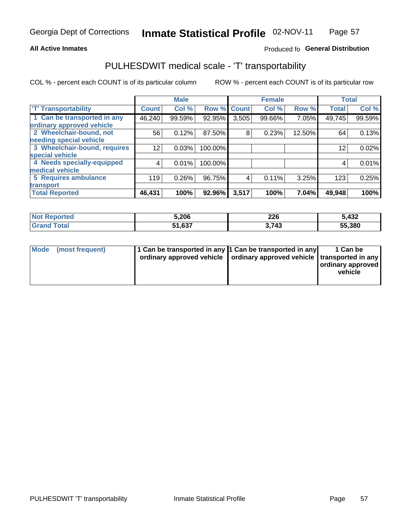### **All Active Inmates**

### Produced fo General Distribution

### PULHESDWIT medical scale - 'T' transportability

COL % - percent each COUNT is of its particular column

|                              |                    | <b>Male</b> |         |              | <b>Female</b> |        |              | <b>Total</b> |
|------------------------------|--------------------|-------------|---------|--------------|---------------|--------|--------------|--------------|
| <b>T' Transportability</b>   | Count <sup>!</sup> | Col %       | Row %   | <b>Count</b> | Col %         | Row %  | <b>Total</b> | Col %        |
| 1 Can be transported in any  | 46,240             | 99.59%      | 92.95%  | 3,505        | 99.66%        | 7.05%  | 49,745       | 99.59%       |
| ordinary approved vehicle    |                    |             |         |              |               |        |              |              |
| 2 Wheelchair-bound, not      | 56                 | 0.12%       | 87.50%  | 8            | 0.23%         | 12.50% | 64           | 0.13%        |
| needing special vehicle      |                    |             |         |              |               |        |              |              |
| 3 Wheelchair-bound, requires | 12                 | 0.03%       | 100.00% |              |               |        | 12           | 0.02%        |
| special vehicle              |                    |             |         |              |               |        |              |              |
| 4 Needs specially-equipped   | 4                  | 0.01%       | 100.00% |              |               |        | 4            | 0.01%        |
| medical vehicle              |                    |             |         |              |               |        |              |              |
| <b>5 Requires ambulance</b>  | 119                | 0.26%       | 96.75%  | 4            | 0.11%         | 3.25%  | 123          | 0.25%        |
| transport                    |                    |             |         |              |               |        |              |              |
| <b>Total Reported</b>        | 46, 431            | 100%        | 92.96%  | 3,517        | 100%          | 7.04%  | 49,948       | 100%         |

| :ported    | 5,206  | 226<br>___        | 5,432  |
|------------|--------|-------------------|--------|
| <b>ota</b> | 51.637 | <b>713</b><br>- 7 | 55,380 |

|  | Mode (most frequent) | 1 Can be transported in any 1 Can be transported in any<br>ordinary approved vehicle   ordinary approved vehicle   transported in any |  | 1 Can be<br>  ordinary approved  <br>vehicle |
|--|----------------------|---------------------------------------------------------------------------------------------------------------------------------------|--|----------------------------------------------|
|--|----------------------|---------------------------------------------------------------------------------------------------------------------------------------|--|----------------------------------------------|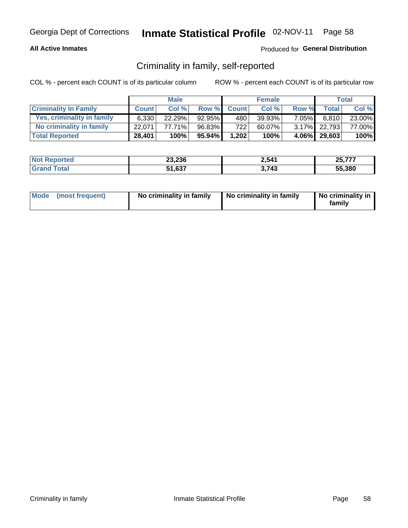### **All Active Inmates**

### Produced for General Distribution

### Criminality in family, self-reported

COL % - percent each COUNT is of its particular column

|                              |              | <b>Male</b> |        |              | <b>Female</b> |          |              | <b>Total</b> |
|------------------------------|--------------|-------------|--------|--------------|---------------|----------|--------------|--------------|
| <b>Criminality In Family</b> | <b>Count</b> | Col %       | Row %  | <b>Count</b> | Col %         | Row %    | <b>Total</b> | Col %        |
| Yes, criminality in family   | 6.330        | $22.29\%$   | 92.95% | 480          | $39.93\%$     | $7.05\%$ | 6.810        | 23.00%       |
| No criminality in family     | 22.071       | 77.71%      | 96.83% | 722          | 60.07%        |          | 3.17% 22,793 | 77.00%       |
| <b>Total Reported</b>        | 28,401       | 100%        | 95.94% | 1,202        | 100%          |          | 4.06% 29,603 | 100%         |

| <b>Not</b><br>Reported | 23,236       | 2,541 | $\sim$ $ \sim$ $-$ |
|------------------------|--------------|-------|--------------------|
| <b>ota</b>             | 51,637<br>E4 | . 743 | 55.380             |

|  | Mode (most frequent) | No criminality in family | No criminality in family | No criminality in<br>family |
|--|----------------------|--------------------------|--------------------------|-----------------------------|
|--|----------------------|--------------------------|--------------------------|-----------------------------|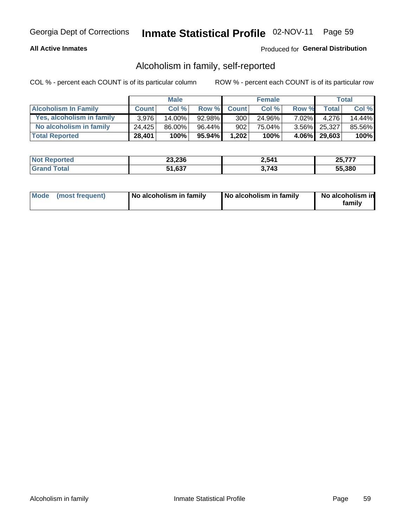### **All Active Inmates**

### Produced for General Distribution

### Alcoholism in family, self-reported

COL % - percent each COUNT is of its particular column

|                             |              | <b>Male</b> |        |              | <b>Female</b> |          |              | Total  |
|-----------------------------|--------------|-------------|--------|--------------|---------------|----------|--------------|--------|
| <b>Alcoholism In Family</b> | <b>Count</b> | Col %       | Row %  | <b>Count</b> | Col %         | Row %    | <b>Total</b> | Col %  |
| Yes, alcoholism in family   | 3.976        | 14.00%      | 92.98% | 300          | 24.96%        | $7.02\%$ | 4.276        | 14.44% |
| No alcoholism in family     | 24.425       | 86.00%      | 96.44% | 902          | 75.04%        |          | 3.56% 25,327 | 85.56% |
| <b>Total Reported</b>       | 28,401       | 100%        | 95.94% | 1,202        | 100%          |          | 4.06% 29,603 | 100%   |

| <b>Not Reported</b>   | 23,236 | 2,541 | $\sim$ $ \sim$ $-$ |
|-----------------------|--------|-------|--------------------|
| Гоtal<br><b>Grand</b> | 51,637 | 743   | 55.380             |

|  | Mode (most frequent) | No alcoholism in family | No alcoholism in family | No alcoholism in<br>family |
|--|----------------------|-------------------------|-------------------------|----------------------------|
|--|----------------------|-------------------------|-------------------------|----------------------------|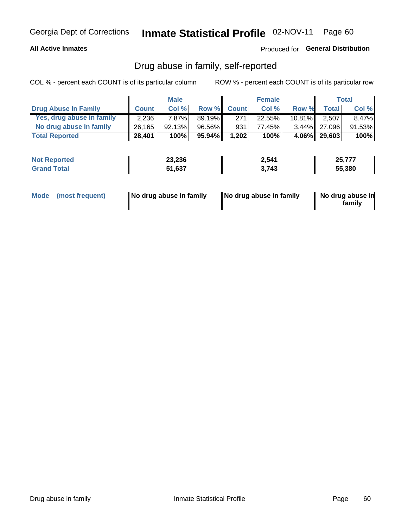### **All Active Inmates**

### Produced for General Distribution

### Drug abuse in family, self-reported

COL % - percent each COUNT is of its particular column

|                           |              | <b>Male</b> |        |              | <b>Female</b> |           |              | Total  |
|---------------------------|--------------|-------------|--------|--------------|---------------|-----------|--------------|--------|
| Drug Abuse In Family      | <b>Count</b> | Col%        | Row %  | <b>Count</b> | Col%          | Row %     | Total        | Col %  |
| Yes, drug abuse in family | 2.236        | 7.87%l      | 89.19% | 271          | 22.55%        | $10.81\%$ | 2,507        | 8.47%  |
| No drug abuse in family   | 26,165       | 92.13%      | 96.56% | 931          | 77.45%        |           | 3.44% 27,096 | 91.53% |
| <b>Total Reported</b>     | 28,401       | 100%        | 95.94% | 1,202        | 100%          | 4.06%     | 29,603       | 100%   |

| <b>Not Reported</b>   | 23,236 | 2,541 | $\sim$ $ \sim$ $-$ |
|-----------------------|--------|-------|--------------------|
| Гоtal<br><b>Grand</b> | 51,637 | 743   | 55.380             |

|  | Mode (most frequent) | No drug abuse in family | No drug abuse in family | No drug abuse in<br>familv |
|--|----------------------|-------------------------|-------------------------|----------------------------|
|--|----------------------|-------------------------|-------------------------|----------------------------|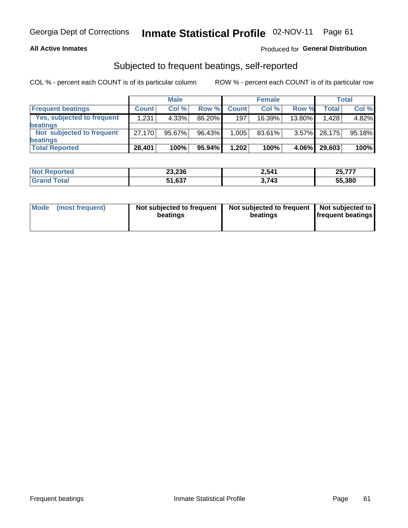### **All Active Inmates**

### Produced for General Distribution

### Subjected to frequent beatings, self-reported

COL % - percent each COUNT is of its particular column

|                                   |              | <b>Male</b> |        |              | <b>Female</b> |          |        | Total  |
|-----------------------------------|--------------|-------------|--------|--------------|---------------|----------|--------|--------|
| <b>Frequent beatings</b>          | <b>Count</b> | Col %       | Row %  | <b>Count</b> | Col %         | Row %    | Total  | Col %  |
| <b>Yes, subjected to frequent</b> | 1,231        | 4.33%       | 86.20% | 197          | 16.39%        | 13.80%   | 1,428  | 4.82%  |
| <b>beatings</b>                   |              |             |        |              |               |          |        |        |
| Not subjected to frequent         | 27.170       | 95.67%      | 96.43% | 1,005        | 83.61%        | $3.57\%$ | 28,175 | 95.18% |
| <b>beatings</b>                   |              |             |        |              |               |          |        |        |
| <b>Total Reported</b>             | 28,401       | 100%        | 95.94% | 1,202        | 100%          | 4.06%    | 29,603 | 100%   |

| <b>Not Reported</b> | 23,236 | 2,541 | $\sim$ $  -$<br>25,777 |
|---------------------|--------|-------|------------------------|
| <b>Grand Total</b>  | 51,637 | 3,743 | 55,380                 |

| Mode (most frequent) | Not subjected to frequent<br>beatings | Not subjected to frequent<br>beatings | Not subjected to<br><b>frequent beatings</b> |
|----------------------|---------------------------------------|---------------------------------------|----------------------------------------------|
|                      |                                       |                                       |                                              |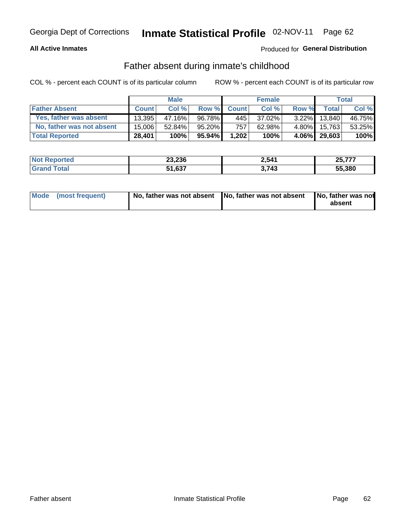### **All Active Inmates**

### **Produced for General Distribution**

### Father absent during inmate's childhood

COL % - percent each COUNT is of its particular column

|                           |              | <b>Male</b> |           |              | <b>Female</b> |          |                 | Total  |
|---------------------------|--------------|-------------|-----------|--------------|---------------|----------|-----------------|--------|
| <b>Father Absent</b>      | <b>Count</b> | Col%        | Row %     | <b>Count</b> | Col %         | Row %    | <b>Total</b>    | Col %  |
| Yes, father was absent    | 13.395       | 47.16%      | 96.78%    | 445          | 37.02%        | $3.22\%$ | 13.840          | 46.75% |
| No, father was not absent | 15.006       | 52.84%      | 95.20%    | 757          | 62.98%        | $4.80\%$ | 15.763          | 53.25% |
| <b>Total Reported</b>     | 28,401       | 100%        | $95.94\%$ | 1,202        | 100%          |          | $4.06\%$ 29,603 | 100%   |

| <b>Not Reported</b>      | 23,236 | 2,541 | 25,777 |
|--------------------------|--------|-------|--------|
| <b>∣Grand T</b><br>Total | 51,637 | .743  | 55,380 |

|  | Mode (most frequent) | No, father was not absent No, father was not absent |  | No, father was not<br>absent |
|--|----------------------|-----------------------------------------------------|--|------------------------------|
|--|----------------------|-----------------------------------------------------|--|------------------------------|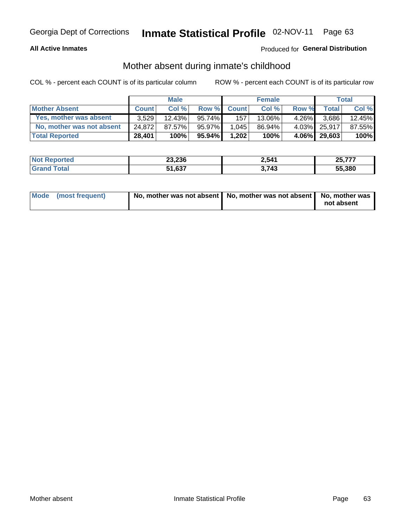### **All Active Inmates**

### Produced for General Distribution

### Mother absent during inmate's childhood

COL % - percent each COUNT is of its particular column

|                           |              | <b>Male</b> |           |              | <b>Female</b> |          |              | Total  |
|---------------------------|--------------|-------------|-----------|--------------|---------------|----------|--------------|--------|
| <b>Mother Absent</b>      | <b>Count</b> | Col%        | Row %     | <b>Count</b> | Col %         | Row %    | <b>Total</b> | Col %  |
| Yes, mother was absent    | 3.529        | $12.43\%$   | $95.74\%$ | 157          | 13.06%        | $4.26\%$ | 3,686        | 12.45% |
| No, mother was not absent | 24.872       | 87.57%      | 95.97%    | 1.045        | 86.94%        |          | 4.03% 25,917 | 87.55% |
| <b>Total Reported</b>     | 28,401       | 100%        | $95.94\%$ | 1,202        | 100%          |          | 4.06% 29,603 | 100%   |

| <b>Not</b><br>Reported | 23,236       | 2,541 | $\sim$ $ \sim$ $-$ |
|------------------------|--------------|-------|--------------------|
| <b>ota</b>             | 51,637<br>E4 | . 743 | 55.380             |

| Mode (most frequent) | No, mother was not absent   No, mother was not absent   No, mother was | not absent |
|----------------------|------------------------------------------------------------------------|------------|
|                      |                                                                        |            |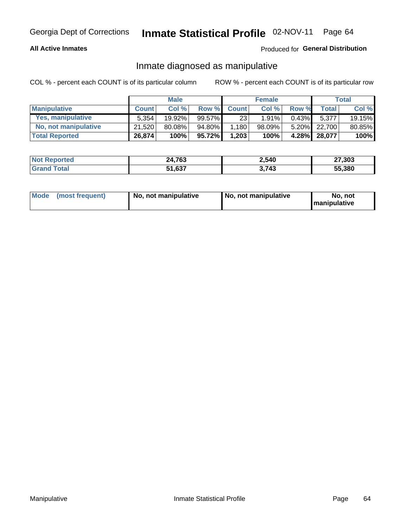### **All Active Inmates**

### Produced for General Distribution

### Inmate diagnosed as manipulative

COL % - percent each COUNT is of its particular column

|                       |              | <b>Male</b> |           |              | <b>Female</b> |          |              | Total  |
|-----------------------|--------------|-------------|-----------|--------------|---------------|----------|--------------|--------|
| <b>Manipulative</b>   | <b>Count</b> | Col %       | Row %     | <b>Count</b> | Col%          | Row %    | <b>Total</b> | Col %  |
| Yes, manipulative     | 5.354        | 19.92%      | $99.57\%$ | 23           | 1.91%         | 0.43%    | 5,377        | 19.15% |
| No, not manipulative  | 21,520       | 80.08%      | 94.80%    | .180         | 98.09%        | $5.20\%$ | 22.700       | 80.85% |
| <b>Total Reported</b> | 26,874       | 100%        | $95.72\%$ | 1,203        | 100%          | 4.28%    | 28,077       | 100%   |

| <b>Not Reported</b>        | 24,763 | 2,540       | 27,303 |
|----------------------------|--------|-------------|--------|
| <b>ota</b><br><b>Grand</b> | 51,637 | ว 74ว<br>−∙ | 55,380 |

| Mode | (most frequent) | No, not manipulative | No, not manipulative | No. not<br><b>I</b> manipulative |
|------|-----------------|----------------------|----------------------|----------------------------------|
|------|-----------------|----------------------|----------------------|----------------------------------|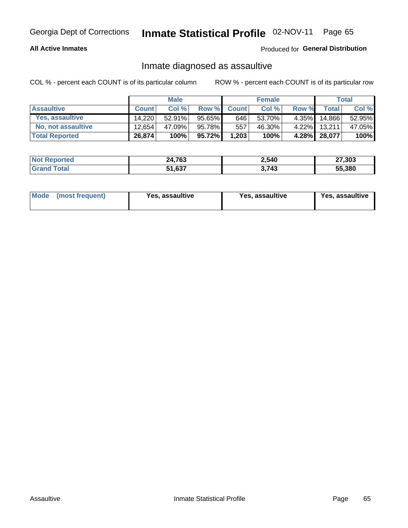### **All Active Inmates**

Produced for General Distribution

### Inmate diagnosed as assaultive

COL % - percent each COUNT is of its particular column

|                           |              | <b>Male</b> |        |                  | <b>Female</b> |       |              | Total  |
|---------------------------|--------------|-------------|--------|------------------|---------------|-------|--------------|--------|
| <b>Assaultive</b>         | <b>Count</b> | Col %       | Row %  | <b>Count</b>     | Col %         | Row % | <b>Total</b> | Col %  |
| Yes, assaultive           | 14.220       | $52.91\%$   | 95.65% | 646              | 53.70%        | 4.35% | 14,866       | 52.95% |
| <b>No, not assaultive</b> | 12.654       | 47.09%      | 95.78% | 557 <sub>1</sub> | 46.30%        | 4.22% | 13,211       | 47.05% |
| <b>Total Reported</b>     | 26,874       | 100%        | 95.72% | 1,203            | 100%          |       | 4.28% 28,077 | 100%   |

| <b>Not</b><br>Reported | 24,763       | 2,540 | 27,303 |
|------------------------|--------------|-------|--------|
| `ota                   | 1,637ه<br>C4 | . 743 | 55.380 |

| Mode (most frequent)<br>Yes, assaultive | Yes, assaultive | <b>Yes, assaultive</b> |
|-----------------------------------------|-----------------|------------------------|
|-----------------------------------------|-----------------|------------------------|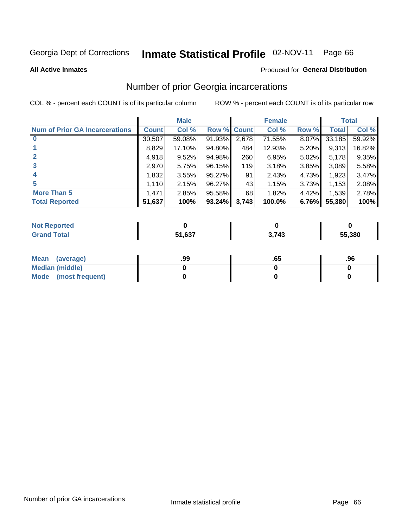#### Inmate Statistical Profile 02-NOV-11 Page 66

**All Active Inmates** 

### **Produced for General Distribution**

### Number of prior Georgia incarcerations

COL % - percent each COUNT is of its particular column

|                                       |              | <b>Male</b> |                    |       | <b>Female</b> |       |        | <b>Total</b> |
|---------------------------------------|--------------|-------------|--------------------|-------|---------------|-------|--------|--------------|
| <b>Num of Prior GA Incarcerations</b> | <b>Count</b> | Col %       | <b>Row % Count</b> |       | Col %         | Row % | Total  | Col %        |
| $\bf{0}$                              | 30,507       | 59.08%      | 91.93%             | 2,678 | 71.55%        | 8.07% | 33,185 | 59.92%       |
|                                       | 8,829        | 17.10%      | 94.80%             | 484   | 12.93%        | 5.20% | 9,313  | 16.82%       |
| $\mathbf{2}$                          | 4,918        | 9.52%       | 94.98%             | 260   | 6.95%         | 5.02% | 5,178  | 9.35%        |
| 3                                     | 2,970        | 5.75%       | 96.15%             | 119   | 3.18%         | 3.85% | 3,089  | 5.58%        |
| 4                                     | 1,832        | 3.55%       | 95.27%             | 91    | 2.43%         | 4.73% | 1,923  | 3.47%        |
| 5                                     | 1,110        | 2.15%       | 96.27%             | 43'   | 1.15%         | 3.73% | 1,153  | 2.08%        |
| <b>More Than 5</b>                    | 1,471        | 2.85%       | 95.58%             | 68    | 1.82%         | 4.42% | 1,539  | 2.78%        |
| <b>Total Reported</b>                 | 51,637       | 100%        | 93.24%             | 3,743 | 100.0%        | 6.76% | 55,380 | 100%         |

| <b>Reported</b><br><b>NOT</b> |        |       |        |
|-------------------------------|--------|-------|--------|
| <b>Total</b><br>Gra           | 51,637 | 3,743 | 55,380 |

| Mean (average)         | .99 | כס. | .96 |
|------------------------|-----|-----|-----|
| <b>Median (middle)</b> |     |     |     |
| Mode (most frequent)   |     |     |     |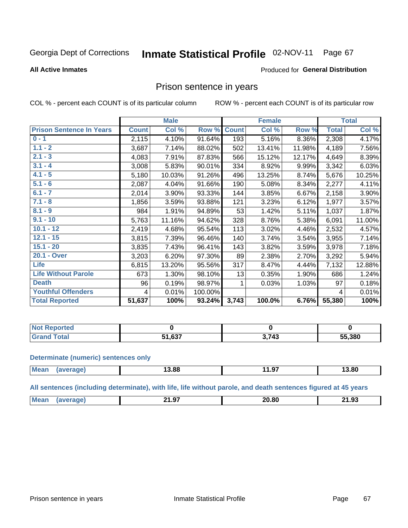#### Inmate Statistical Profile 02-NOV-11 Page 67

#### **All Active Inmates**

#### Produced for General Distribution

### Prison sentence in years

COL % - percent each COUNT is of its particular column

ROW % - percent each COUNT is of its particular row

|                                 |              | <b>Male</b> |         |              | <b>Female</b> |        |              | <b>Total</b> |
|---------------------------------|--------------|-------------|---------|--------------|---------------|--------|--------------|--------------|
| <b>Prison Sentence In Years</b> | <b>Count</b> | Col %       | Row %   | <b>Count</b> | Col %         | Row %  | <b>Total</b> | Col %        |
| $0 - 1$                         | 2,115        | 4.10%       | 91.64%  | 193          | 5.16%         | 8.36%  | 2,308        | 4.17%        |
| $1.1 - 2$                       | 3,687        | 7.14%       | 88.02%  | 502          | 13.41%        | 11.98% | 4,189        | 7.56%        |
| $2.1 - 3$                       | 4,083        | 7.91%       | 87.83%  | 566          | 15.12%        | 12.17% | 4,649        | 8.39%        |
| $3.1 - 4$                       | 3,008        | 5.83%       | 90.01%  | 334          | 8.92%         | 9.99%  | 3,342        | 6.03%        |
| $4.1 - 5$                       | 5,180        | 10.03%      | 91.26%  | 496          | 13.25%        | 8.74%  | 5,676        | 10.25%       |
| $5.1 - 6$                       | 2,087        | 4.04%       | 91.66%  | 190          | 5.08%         | 8.34%  | 2,277        | 4.11%        |
| $6.1 - 7$                       | 2,014        | 3.90%       | 93.33%  | 144          | 3.85%         | 6.67%  | 2,158        | 3.90%        |
| $7.1 - 8$                       | 1,856        | 3.59%       | 93.88%  | 121          | 3.23%         | 6.12%  | 1,977        | 3.57%        |
| $8.1 - 9$                       | 984          | 1.91%       | 94.89%  | 53           | 1.42%         | 5.11%  | 1,037        | 1.87%        |
| $9.1 - 10$                      | 5,763        | 11.16%      | 94.62%  | 328          | 8.76%         | 5.38%  | 6,091        | 11.00%       |
| $10.1 - 12$                     | 2,419        | 4.68%       | 95.54%  | 113          | 3.02%         | 4.46%  | 2,532        | 4.57%        |
| $12.1 - 15$                     | 3,815        | 7.39%       | 96.46%  | 140          | 3.74%         | 3.54%  | 3,955        | 7.14%        |
| $15.1 - 20$                     | 3,835        | 7.43%       | 96.41%  | 143          | 3.82%         | 3.59%  | 3,978        | 7.18%        |
| 20.1 - Over                     | 3,203        | 6.20%       | 97.30%  | 89           | 2.38%         | 2.70%  | 3,292        | 5.94%        |
| Life                            | 6,815        | 13.20%      | 95.56%  | 317          | 8.47%         | 4.44%  | 7,132        | 12.88%       |
| <b>Life Without Parole</b>      | 673          | 1.30%       | 98.10%  | 13           | 0.35%         | 1.90%  | 686          | 1.24%        |
| <b>Death</b>                    | 96           | 0.19%       | 98.97%  | 1            | 0.03%         | 1.03%  | 97           | 0.18%        |
| <b>Youthful Offenders</b>       | 4            | 0.01%       | 100.00% |              |               |        | 4            | 0.01%        |
| <b>Total Reported</b>           | 51,637       | 100%        | 93.24%  | 3,743        | 100.0%        | 6.76%  | 55,380       | 100%         |

| ported<br>I NOT |               |              |        |
|-----------------|---------------|--------------|--------|
|                 | $\sim$<br>.oo | פול י<br>,,, | 55,380 |

#### **Determinate (numeric) sentences only**

| Mean | 13.88 | $-$<br>. .<br>1.J | 3.80 |
|------|-------|-------------------|------|
|      |       |                   |      |

All sentences (including determinate), with life, life without parole, and death sentences figured at 45 years

| Me:<br>20 RN<br>$\sim$<br>. .<br>21.Y<br>____ | 21.93<br>__ |
|-----------------------------------------------|-------------|
|-----------------------------------------------|-------------|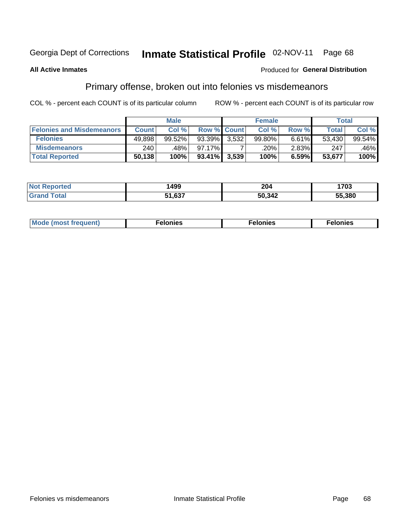#### Inmate Statistical Profile 02-NOV-11 Page 68

#### **All Active Inmates**

#### Produced for General Distribution

### Primary offense, broken out into felonies vs misdemeanors

COL % - percent each COUNT is of its particular column

|                                  |              | <b>Male</b> |                 |                    | <b>Female</b> |          | Total  |         |
|----------------------------------|--------------|-------------|-----------------|--------------------|---------------|----------|--------|---------|
| <b>Felonies and Misdemeanors</b> | <b>Count</b> | Col%        |                 | <b>Row % Count</b> | Col%          | Row %    | Total, | Col %   |
| <b>Felonies</b>                  | 49,898       | 99.52%      | 93.39%          | 3.532              | 99.80%        | 6.61%    | 53.430 | 99.54%  |
| <b>Misdemeanors</b>              | 240          | .48%        | 97.17%          |                    | .20%          | $2.83\%$ | 247    | $.46\%$ |
| <b>Total Reported</b>            | 50,138       | 100%        | $93.41\%$ 3,539 |                    | 100%          | 6.59%    | 53,677 | 100%    |

| <b>Not</b><br>rted           | 1499   | 204    | 1703   |
|------------------------------|--------|--------|--------|
| <b>'Grand</b><br><b>otal</b> | 51,637 | 10,342 | 55.380 |

|  | Mo | . | a masa sa sa<br>. | onies<br>. |
|--|----|---|-------------------|------------|
|--|----|---|-------------------|------------|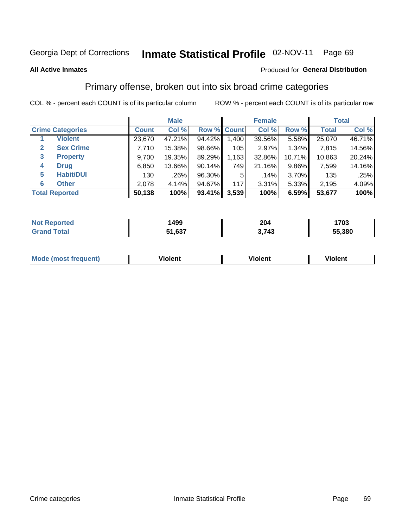#### **All Active Inmates**

#### Produced for **General Distribution**

### Primary offense, broken out into six broad crime categories

|                                  | <b>Male</b>  |        |           | <b>Female</b>      |        |        | <b>Total</b> |        |
|----------------------------------|--------------|--------|-----------|--------------------|--------|--------|--------------|--------|
| <b>Crime Categories</b>          | <b>Count</b> | Col %  |           | <b>Row % Count</b> | Col %  | Row %  | <b>Total</b> | Col %  |
| <b>Violent</b>                   | 23,670       | 47.21% | 94.42%    | 1,400              | 39.56% | 5.58%  | 25,070       | 46.71% |
| <b>Sex Crime</b><br>$\mathbf{2}$ | 7,710        | 15.38% | 98.66%    | 105                | 2.97%  | 1.34%  | 7,815        | 14.56% |
| $\mathbf{3}$<br><b>Property</b>  | 9,700        | 19.35% | 89.29%    | 1,163              | 32.86% | 10.71% | 10,863       | 20.24% |
| <b>Drug</b><br>4                 | 6,850        | 13.66% | $90.14\%$ | 749                | 21.16% | 9.86%  | 7,599        | 14.16% |
| <b>Habit/DUI</b><br>5            | 130          | .26%   | 96.30%    | 5                  | .14%   | 3.70%  | 135          | .25%   |
| <b>Other</b><br>6                | 2,078        | 4.14%  | 94.67%    | 117                | 3.31%  | 5.33%  | 2,195        | 4.09%  |
| <b>Total Reported</b>            | 50,138       | 100%   | 93.41%    | 3,539              | 100%   | 6.59%  | 53,677       | 100%   |

| rted<br>NO | 1499   | 204         | 1703   |
|------------|--------|-------------|--------|
|            | 51,637 | ≀ 713<br>−~ | 55.380 |

| Mode<br>freauent)<br>anst tr | .<br>/iolent | <br>Violent | .<br><b>Tiolent</b> |
|------------------------------|--------------|-------------|---------------------|
|                              |              |             |                     |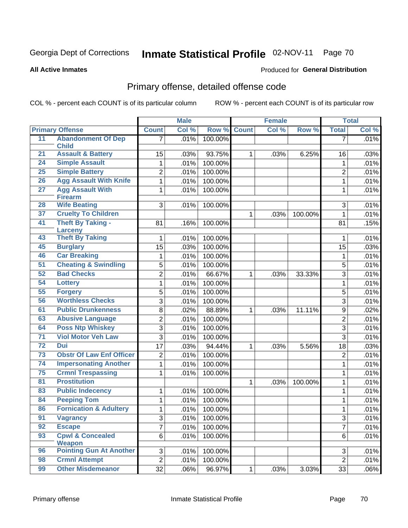**All Active Inmates**

### Produced for **General Distribution**

## Primary offense, detailed offense code

|                 |                                       |                 | <b>Male</b> |         |              | <b>Female</b> |         |                | <b>Total</b> |
|-----------------|---------------------------------------|-----------------|-------------|---------|--------------|---------------|---------|----------------|--------------|
|                 | <b>Primary Offense</b>                | <b>Count</b>    | Col %       | Row %   | <b>Count</b> | Col %         | Row %   | <b>Total</b>   | Col %        |
| 11              | <b>Abandonment Of Dep</b>             | 7 <sup>1</sup>  | .01%        | 100.00% |              |               |         | $\overline{7}$ | .01%         |
|                 | <b>Child</b>                          |                 |             |         |              |               |         |                |              |
| 21              | <b>Assault &amp; Battery</b>          | 15              | .03%        | 93.75%  | 1            | .03%          | 6.25%   | 16             | .03%         |
| 24              | <b>Simple Assault</b>                 | 1               | .01%        | 100.00% |              |               |         | 1              | .01%         |
| 25              | <b>Simple Battery</b>                 | $\overline{2}$  | .01%        | 100.00% |              |               |         | $\overline{2}$ | .01%         |
| 26              | <b>Agg Assault With Knife</b>         | $\mathbf{1}$    | .01%        | 100.00% |              |               |         | 1              | .01%         |
| $\overline{27}$ | <b>Agg Assault With</b>               | $\mathbf{1}$    | .01%        | 100.00% |              |               |         | $\mathbf{1}$   | .01%         |
| 28              | <b>Firearm</b><br><b>Wife Beating</b> | 3               | .01%        | 100.00% |              |               |         | 3              | .01%         |
| 37              | <b>Cruelty To Children</b>            |                 |             |         | 1            | .03%          | 100.00% | $\mathbf{1}$   | .01%         |
| 41              | <b>Theft By Taking -</b>              | 81              | .16%        | 100.00% |              |               |         | 81             | .15%         |
|                 | <b>Larceny</b>                        |                 |             |         |              |               |         |                |              |
| 43              | <b>Theft By Taking</b>                | 1               | .01%        | 100.00% |              |               |         | 1              | .01%         |
| 45              | <b>Burglary</b>                       | $\overline{15}$ | .03%        | 100.00% |              |               |         | 15             | .03%         |
| 46              | <b>Car Breaking</b>                   | 1               | .01%        | 100.00% |              |               |         | 1              | .01%         |
| 51              | <b>Cheating &amp; Swindling</b>       | $\overline{5}$  | .01%        | 100.00% |              |               |         | 5              | .01%         |
| 52              | <b>Bad Checks</b>                     | $\overline{2}$  | .01%        | 66.67%  | 1            | .03%          | 33.33%  | 3              | .01%         |
| 54              | Lottery                               | $\mathbf{1}$    | .01%        | 100.00% |              |               |         | 1              | .01%         |
| 55              | <b>Forgery</b>                        | 5               | .01%        | 100.00% |              |               |         | 5              | .01%         |
| 56              | <b>Worthless Checks</b>               | 3               | .01%        | 100.00% |              |               |         | 3              | .01%         |
| 61              | <b>Public Drunkenness</b>             | 8               | .02%        | 88.89%  | 1            | .03%          | 11.11%  | 9              | .02%         |
| 63              | <b>Abusive Language</b>               | $\overline{2}$  | .01%        | 100.00% |              |               |         | $\overline{2}$ | .01%         |
| 64              | <b>Poss Ntp Whiskey</b>               | $\overline{3}$  | .01%        | 100.00% |              |               |         | $\overline{3}$ | .01%         |
| 71              | <b>Viol Motor Veh Law</b>             | 3               | .01%        | 100.00% |              |               |         | 3              | .01%         |
| 72              | Dui                                   | $\overline{17}$ | .03%        | 94.44%  | 1            | .03%          | 5.56%   | 18             | .03%         |
| 73              | <b>Obstr Of Law Enf Officer</b>       | $\overline{2}$  | .01%        | 100.00% |              |               |         | $\overline{2}$ | .01%         |
| 74              | <b>Impersonating Another</b>          | 1               | .01%        | 100.00% |              |               |         | 1              | .01%         |
| 75              | <b>Crmnl Trespassing</b>              | 1               | .01%        | 100.00% |              |               |         | $\mathbf{1}$   | .01%         |
| 81              | <b>Prostitution</b>                   |                 |             |         | 1            | .03%          | 100.00% | 1              | .01%         |
| 83              | <b>Public Indecency</b>               | 1               | .01%        | 100.00% |              |               |         | $\mathbf{1}$   | .01%         |
| 84              | <b>Peeping Tom</b>                    | 1               | .01%        | 100.00% |              |               |         | 1              | .01%         |
| 86              | <b>Fornication &amp; Adultery</b>     | $\mathbf{1}$    | .01%        | 100.00% |              |               |         | 1              | .01%         |
| 91              | <b>Vagrancy</b>                       | $\mathbf{3}$    | .01%        | 100.00% |              |               |         | 3              | .01%         |
| 92              | <b>Escape</b>                         | $\overline{7}$  | .01%        | 100.00% |              |               |         | $\overline{7}$ | .01%         |
| 93              | <b>Cpwl &amp; Concealed</b>           | 6 <sup>1</sup>  | .01%        | 100.00% |              |               |         | 6              | .01%         |
|                 | Weapon                                |                 |             |         |              |               |         |                |              |
| 96              | <b>Pointing Gun At Another</b>        | 3 <sup>1</sup>  | .01%        | 100.00% |              |               |         | 3              | .01%         |
| 98              | <b>Crmnl Attempt</b>                  | $\overline{2}$  | .01%        | 100.00% |              |               |         | $\overline{2}$ | .01%         |
| 99              | <b>Other Misdemeanor</b>              | 32              | .06%        | 96.97%  | $\mathbf{1}$ | .03%          | 3.03%   | 33             | .06%         |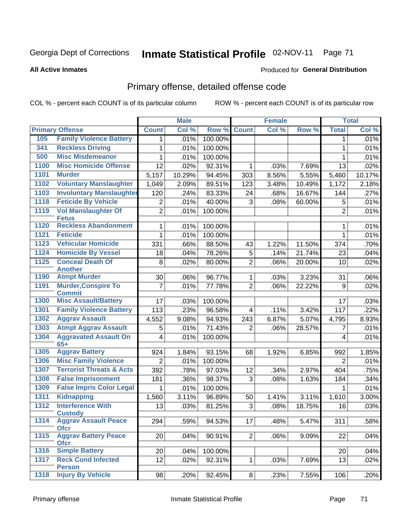#### **All Active Inmates**

#### Produced for **General Distribution**

## Primary offense, detailed offense code

|      |                                             |                | <b>Male</b> |         |                | <b>Female</b> |        |                | <b>Total</b> |
|------|---------------------------------------------|----------------|-------------|---------|----------------|---------------|--------|----------------|--------------|
|      | <b>Primary Offense</b>                      | <b>Count</b>   | Col %       | Row %   | <b>Count</b>   | Col %         | Row %  | <b>Total</b>   | Col %        |
| 105  | <b>Family Violence Battery</b>              | 1 <sup>1</sup> | .01%        | 100.00% |                |               |        | 1              | .01%         |
| 341  | <b>Reckless Driving</b>                     | 1              | .01%        | 100.00% |                |               |        | $\mathbf{1}$   | .01%         |
| 500  | <b>Misc Misdemeanor</b>                     | 1              | .01%        | 100.00% |                |               |        | 1              | .01%         |
| 1100 | <b>Misc Homicide Offense</b>                | 12             | .02%        | 92.31%  | 1              | .03%          | 7.69%  | 13             | .02%         |
| 1101 | <b>Murder</b>                               | 5,157          | 10.29%      | 94.45%  | 303            | 8.56%         | 5.55%  | 5,460          | 10.17%       |
| 1102 | <b>Voluntary Manslaughter</b>               | 1,049          | 2.09%       | 89.51%  | 123            | 3.48%         | 10.49% | 1,172          | 2.18%        |
| 1103 | <b>Involuntary Manslaughter</b>             | 120            | .24%        | 83.33%  | 24             | .68%          | 16.67% | 144            | .27%         |
| 1118 | <b>Feticide By Vehicle</b>                  | $\overline{2}$ | .01%        | 40.00%  | 3              | .08%          | 60.00% | 5              | .01%         |
| 1119 | <b>Vol Manslaughter Of</b><br><b>Fetus</b>  | $\overline{2}$ | .01%        | 100.00% |                |               |        | $\overline{2}$ | .01%         |
| 1120 | <b>Reckless Abandonment</b>                 | 1              | .01%        | 100.00% |                |               |        | 1              | .01%         |
| 1121 | <b>Feticide</b>                             | $\mathbf 1$    | .01%        | 100.00% |                |               |        | $\mathbf{1}$   | .01%         |
| 1123 | <b>Vehicular Homicide</b>                   | 331            | .66%        | 88.50%  | 43             | 1.22%         | 11.50% | 374            | .70%         |
| 1124 | <b>Homicide By Vessel</b>                   | 18             | .04%        | 78.26%  | 5              | .14%          | 21.74% | 23             | .04%         |
| 1125 | <b>Conceal Death Of</b><br><b>Another</b>   | 8              | .02%        | 80.00%  | $\overline{2}$ | .06%          | 20.00% | 10             | .02%         |
| 1190 | <b>Atmpt Murder</b>                         | 30             | .06%        | 96.77%  | $\mathbf 1$    | .03%          | 3.23%  | 31             | $.06\%$      |
| 1191 | <b>Murder, Conspire To</b><br><b>Commit</b> | $\overline{7}$ | .01%        | 77.78%  | $\overline{2}$ | .06%          | 22.22% | 9              | .02%         |
| 1300 | <b>Misc Assault/Battery</b>                 | 17             | .03%        | 100.00% |                |               |        | 17             | .03%         |
| 1301 | <b>Family Violence Battery</b>              | 113            | .23%        | 96.58%  | $\overline{4}$ | .11%          | 3.42%  | 117            | .22%         |
| 1302 | <b>Aggrav Assault</b>                       | 4,552          | 9.08%       | 94.93%  | 243            | 6.87%         | 5.07%  | 4,795          | 8.93%        |
| 1303 | <b>Atmpt Aggrav Assault</b>                 | 5              | .01%        | 71.43%  | 2              | .06%          | 28.57% | 7              | .01%         |
| 1304 | <b>Aggravated Assault On</b><br>$65+$       | $\overline{4}$ | .01%        | 100.00% |                |               |        | 4              | .01%         |
| 1305 | <b>Aggrav Battery</b>                       | 924            | 1.84%       | 93.15%  | 68             | 1.92%         | 6.85%  | 992            | 1.85%        |
| 1306 | <b>Misc Family Violence</b>                 | $\overline{2}$ | .01%        | 100.00% |                |               |        | $\overline{2}$ | .01%         |
| 1307 | <b>Terrorist Threats &amp; Acts</b>         | 392            | .78%        | 97.03%  | 12             | .34%          | 2.97%  | 404            | .75%         |
| 1308 | <b>False Imprisonment</b>                   | 181            | .36%        | 98.37%  | 3              | .08%          | 1.63%  | 184            | $.34\%$      |
| 1309 | <b>False Impris Color Legal</b>             | 1              | .01%        | 100.00% |                |               |        | 1              | .01%         |
| 1311 | <b>Kidnapping</b>                           | 1,560          | 3.11%       | 96.89%  | 50             | 1.41%         | 3.11%  | 1,610          | 3.00%        |
| 1312 | <b>Interference With</b><br><b>Custody</b>  | 13             | .03%        | 81.25%  | 3              | .08%          | 18.75% | 16             | .03%         |
| 1314 | <b>Aggrav Assault Peace</b><br><b>Ofcr</b>  | 294            | .59%        | 94.53%  | 17             | .48%          | 5.47%  | 311            | .58%         |
| 1315 | <b>Aggrav Battery Peace</b><br><b>Ofcr</b>  | 20             | .04%        | 90.91%  | $\overline{2}$ | .06%          | 9.09%  | 22             | .04%         |
| 1316 | <b>Simple Battery</b>                       | 20             | .04%        | 100.00% |                |               |        | 20             | .04%         |
| 1317 | <b>Reck Cond Infected</b><br><b>Person</b>  | 12             | .02%        | 92.31%  | $\mathbf{1}$   | .03%          | 7.69%  | 13             | .02%         |
| 1318 | <b>Injury By Vehicle</b>                    | 98             | .20%        | 92.45%  | 8              | .23%          | 7.55%  | 106            | .20%         |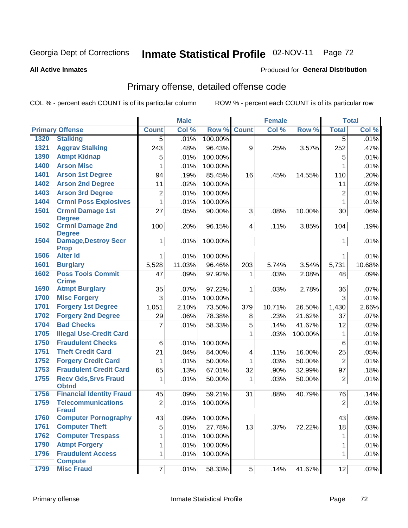#### **All Active Inmates**

#### Produced for **General Distribution**

## Primary offense, detailed offense code

|      |                                             |                | <b>Male</b> |         |                | <b>Female</b> |         |                | <b>Total</b> |
|------|---------------------------------------------|----------------|-------------|---------|----------------|---------------|---------|----------------|--------------|
|      | <b>Primary Offense</b>                      | <b>Count</b>   | Col %       | Row %   | <b>Count</b>   | Col %         | Row %   | <b>Total</b>   | Col %        |
| 1320 | <b>Stalking</b>                             | $\overline{5}$ | .01%        | 100.00% |                |               |         | $\overline{5}$ | .01%         |
| 1321 | <b>Aggrav Stalking</b>                      | 243            | .48%        | 96.43%  | 9              | .25%          | 3.57%   | 252            | .47%         |
| 1390 | <b>Atmpt Kidnap</b>                         | 5              | .01%        | 100.00% |                |               |         | $\mathbf 5$    | .01%         |
| 1400 | <b>Arson Misc</b>                           | 1              | .01%        | 100.00% |                |               |         | 1              | .01%         |
| 1401 | <b>Arson 1st Degree</b>                     | 94             | .19%        | 85.45%  | 16             | .45%          | 14.55%  | 110            | .20%         |
| 1402 | <b>Arson 2nd Degree</b>                     | 11             | .02%        | 100.00% |                |               |         | 11             | .02%         |
| 1403 | <b>Arson 3rd Degree</b>                     | 2              | .01%        | 100.00% |                |               |         | $\overline{2}$ | .01%         |
| 1404 | <b>Crmnl Poss Explosives</b>                | $\mathbf{1}$   | .01%        | 100.00% |                |               |         | 1              | .01%         |
| 1501 | <b>Crmnl Damage 1st</b><br><b>Degree</b>    | 27             | .05%        | 90.00%  | 3              | .08%          | 10.00%  | 30             | .06%         |
| 1502 | <b>Crmnl Damage 2nd</b><br><b>Degree</b>    | 100            | .20%        | 96.15%  | 4 <sup>1</sup> | .11%          | 3.85%   | 104            | .19%         |
| 1504 | <b>Damage, Destroy Secr</b><br><b>Prop</b>  | $\mathbf{1}$   | .01%        | 100.00% |                |               |         | 1              | .01%         |
| 1506 | <b>Alter Id</b>                             | $\mathbf{1}$   | .01%        | 100.00% |                |               |         | $\mathbf 1$    | .01%         |
| 1601 | <b>Burglary</b>                             | 5,528          | 11.03%      | 96.46%  | 203            | 5.74%         | 3.54%   | 5,731          | 10.68%       |
| 1602 | <b>Poss Tools Commit</b><br><b>Crime</b>    | 47             | .09%        | 97.92%  | $\mathbf{1}$   | .03%          | 2.08%   | 48             | .09%         |
| 1690 | <b>Atmpt Burglary</b>                       | 35             | .07%        | 97.22%  | 1              | .03%          | 2.78%   | 36             | .07%         |
| 1700 | <b>Misc Forgery</b>                         | 3              | .01%        | 100.00% |                |               |         | $\mathbf{3}$   | .01%         |
| 1701 | <b>Forgery 1st Degree</b>                   | 1,051          | 2.10%       | 73.50%  | 379            | 10.71%        | 26.50%  | 1,430          | 2.66%        |
| 1702 | <b>Forgery 2nd Degree</b>                   | 29             | .06%        | 78.38%  | 8              | .23%          | 21.62%  | 37             | .07%         |
| 1704 | <b>Bad Checks</b>                           | $\overline{7}$ | .01%        | 58.33%  | 5              | .14%          | 41.67%  | 12             | .02%         |
| 1705 | <b>Illegal Use-Credit Card</b>              |                |             |         | $\mathbf{1}$   | .03%          | 100.00% | 1              | .01%         |
| 1750 | <b>Fraudulent Checks</b>                    | 6              | .01%        | 100.00% |                |               |         | 6              | .01%         |
| 1751 | <b>Theft Credit Card</b>                    | 21             | .04%        | 84.00%  | $\overline{4}$ | .11%          | 16.00%  | 25             | .05%         |
| 1752 | <b>Forgery Credit Card</b>                  | $\mathbf 1$    | .01%        | 50.00%  | $\mathbf{1}$   | .03%          | 50.00%  | $\overline{2}$ | .01%         |
| 1753 | <b>Fraudulent Credit Card</b>               | 65             | .13%        | 67.01%  | 32             | .90%          | 32.99%  | 97             | .18%         |
| 1755 | <b>Recv Gds, Srvs Fraud</b><br><b>Obtnd</b> | 1              | .01%        | 50.00%  | 1              | .03%          | 50.00%  | $\overline{2}$ | .01%         |
| 1756 | <b>Financial Identity Fraud</b>             | 45             | .09%        | 59.21%  | 31             | .88%          | 40.79%  | 76             | .14%         |
| 1759 | <b>Telecommunications</b><br><b>Fraud</b>   | $\overline{2}$ | .01%        | 100.00% |                |               |         | $\overline{2}$ | .01%         |
| 1760 | <b>Computer Pornography</b>                 | 43             | .09%        | 100.00% |                |               |         | 43             | .08%         |
| 1761 | <b>Computer Theft</b>                       | $\overline{5}$ | .01%        | 27.78%  | 13             | .37%          | 72.22%  | 18             | .03%         |
| 1762 | <b>Computer Trespass</b>                    | $\mathbf 1$    | .01%        | 100.00% |                |               |         | 1              | .01%         |
| 1790 | <b>Atmpt Forgery</b>                        | 1              | .01%        | 100.00% |                |               |         | 1              | .01%         |
| 1796 | <b>Fraudulent Access</b><br><b>Compute</b>  | $\mathbf{1}$   | .01%        | 100.00% |                |               |         | $\mathbf 1$    | .01%         |
| 1799 | <b>Misc Fraud</b>                           | 7              | .01%        | 58.33%  | 5 <sup>1</sup> | .14%          | 41.67%  | 12             | .02%         |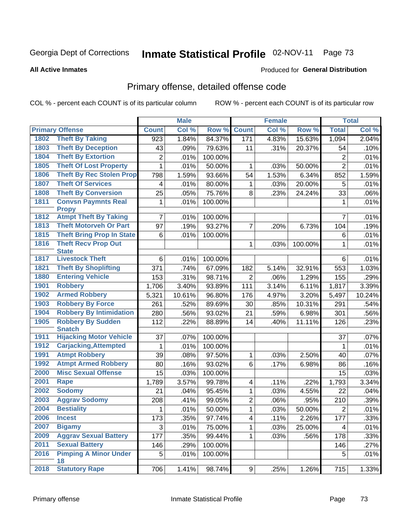#### **All Active Inmates**

#### Produced for **General Distribution**

### Primary offense, detailed offense code

|      |                                            |                | <b>Male</b> |         |                         | <b>Female</b> |         |                | <b>Total</b> |
|------|--------------------------------------------|----------------|-------------|---------|-------------------------|---------------|---------|----------------|--------------|
|      | <b>Primary Offense</b>                     | <b>Count</b>   | Col %       | Row %   | <b>Count</b>            | Col %         | Row %   | <b>Total</b>   | Col %        |
| 1802 | <b>Theft By Taking</b>                     | 923            | 1.84%       | 84.37%  | 171                     | 4.83%         | 15.63%  | 1,094          | 2.04%        |
| 1803 | <b>Theft By Deception</b>                  | 43             | .09%        | 79.63%  | 11                      | .31%          | 20.37%  | 54             | .10%         |
| 1804 | <b>Theft By Extortion</b>                  | $\overline{2}$ | .01%        | 100.00% |                         |               |         | 2              | .01%         |
| 1805 | <b>Theft Of Lost Property</b>              | $\mathbf{1}$   | .01%        | 50.00%  | 1                       | .03%          | 50.00%  | $\overline{2}$ | .01%         |
| 1806 | <b>Theft By Rec Stolen Prop</b>            | 798            | 1.59%       | 93.66%  | 54                      | 1.53%         | 6.34%   | 852            | 1.59%        |
| 1807 | <b>Theft Of Services</b>                   | $\overline{4}$ | .01%        | 80.00%  | 1                       | .03%          | 20.00%  | 5              | .01%         |
| 1808 | <b>Theft By Conversion</b>                 | 25             | .05%        | 75.76%  | 8                       | .23%          | 24.24%  | 33             | .06%         |
| 1811 | <b>Convsn Paymnts Real</b>                 | $\mathbf{1}$   | .01%        | 100.00% |                         |               |         | $\mathbf 1$    | .01%         |
|      | <b>Propy</b>                               |                |             |         |                         |               |         |                |              |
| 1812 | <b>Atmpt Theft By Taking</b>               | $\overline{7}$ | .01%        | 100.00% |                         |               |         | $\overline{7}$ | .01%         |
| 1813 | <b>Theft Motorveh Or Part</b>              | 97             | .19%        | 93.27%  | $\overline{7}$          | .20%          | 6.73%   | 104            | .19%         |
| 1815 | <b>Theft Bring Prop In State</b>           | 6              | .01%        | 100.00% |                         |               |         | 6              | .01%         |
| 1816 | <b>Theft Recv Prop Out</b><br><b>State</b> |                |             |         | 1                       | .03%          | 100.00% | 1              | .01%         |
| 1817 | <b>Livestock Theft</b>                     | 6              | .01%        | 100.00% |                         |               |         | 6              | .01%         |
| 1821 | <b>Theft By Shoplifting</b>                | 371            | .74%        | 67.09%  | 182                     | 5.14%         | 32.91%  | 553            | 1.03%        |
| 1880 | <b>Entering Vehicle</b>                    | 153            | .31%        | 98.71%  | $\overline{2}$          | .06%          | 1.29%   | 155            | .29%         |
| 1901 | <b>Robbery</b>                             | 1,706          | 3.40%       | 93.89%  | 111                     | 3.14%         | 6.11%   | 1,817          | 3.39%        |
| 1902 | <b>Armed Robbery</b>                       | 5,321          | 10.61%      | 96.80%  | 176                     | 4.97%         | 3.20%   | 5,497          | 10.24%       |
| 1903 | <b>Robbery By Force</b>                    | 261            | .52%        | 89.69%  | 30                      | .85%          | 10.31%  | 291            | .54%         |
| 1904 | <b>Robbery By Intimidation</b>             | 280            | .56%        | 93.02%  | 21                      | .59%          | 6.98%   | 301            | .56%         |
| 1905 | <b>Robbery By Sudden</b><br><b>Snatch</b>  | 112            | .22%        | 88.89%  | 14                      | .40%          | 11.11%  | 126            | .23%         |
| 1911 | <b>Hijacking Motor Vehicle</b>             | 37             | .07%        | 100.00% |                         |               |         | 37             | .07%         |
| 1912 | <b>Carjacking, Attempted</b>               | 1              | .01%        | 100.00% |                         |               |         | 1              | .01%         |
| 1991 | <b>Atmpt Robbery</b>                       | 39             | .08%        | 97.50%  | 1                       | .03%          | 2.50%   | 40             | .07%         |
| 1992 | <b>Atmpt Armed Robbery</b>                 | 80             | .16%        | 93.02%  | $6\phantom{1}$          | .17%          | 6.98%   | 86             | .16%         |
| 2000 | <b>Misc Sexual Offense</b>                 | 15             | .03%        | 100.00% |                         |               |         | 15             | .03%         |
| 2001 | Rape                                       | 1,789          | 3.57%       | 99.78%  | $\overline{\mathbf{4}}$ | .11%          | .22%    | 1,793          | 3.34%        |
| 2002 | <b>Sodomy</b>                              | 21             | .04%        | 95.45%  | $\mathbf 1$             | .03%          | 4.55%   | 22             | .04%         |
| 2003 | <b>Aggrav Sodomy</b>                       | 208            | .41%        | 99.05%  | $\overline{c}$          | .06%          | .95%    | 210            | .39%         |
| 2004 | <b>Bestiality</b>                          | 1              | .01%        | 50.00%  | $\mathbf{1}$            | .03%          | 50.00%  | $\overline{2}$ | .01%         |
| 2006 | <b>Incest</b>                              | 173            | .35%        | 97.74%  | 4                       | .11%          | 2.26%   | 177            | .33%         |
| 2007 | <b>Bigamy</b>                              | 3              | .01%        | 75.00%  | $\mathbf{1}$            | .03%          | 25.00%  | 4              | .01%         |
| 2009 | <b>Aggrav Sexual Battery</b>               | 177            | .35%        | 99.44%  | $\mathbf 1$             | .03%          | .56%    | 178            | .33%         |
| 2011 | <b>Sexual Battery</b>                      | 146            | .29%        | 100.00% |                         |               |         | 146            | .27%         |
| 2016 | <b>Pimping A Minor Under</b><br>18         | 5              | .01%        | 100.00% |                         |               |         | 5              | .01%         |
| 2018 | <b>Statutory Rape</b>                      | 706            | 1.41%       | 98.74%  | 9                       | .25%          | 1.26%   | 715            | 1.33%        |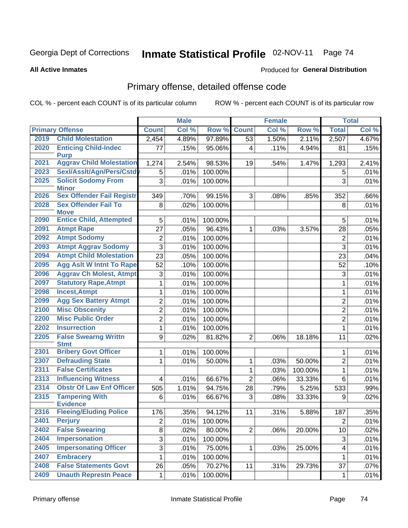**All Active Inmates**

#### Produced for **General Distribution**

### Primary offense, detailed offense code

|      |                                            | <b>Male</b>             |       | <b>Female</b> |                |       | <b>Total</b> |                         |       |
|------|--------------------------------------------|-------------------------|-------|---------------|----------------|-------|--------------|-------------------------|-------|
|      | <b>Primary Offense</b>                     | <b>Count</b>            | Col % | Row %         | <b>Count</b>   | Col % | Row %        | <b>Total</b>            | Col % |
| 2019 | <b>Child Molestation</b>                   | 2,454                   | 4.89% | 97.89%        | 53             | 1.50% | 2.11%        | 2,507                   | 4.67% |
| 2020 | <b>Enticing Child-Indec</b><br><b>Purp</b> | 77                      | .15%  | 95.06%        | $\overline{4}$ | .11%  | 4.94%        | 81                      | .15%  |
| 2021 | <b>Aggrav Child Molestation</b>            | 1,274                   | 2.54% | 98.53%        | 19             | .54%  | 1.47%        | 1,293                   | 2.41% |
| 2023 | Sexl/Asslt/Agn/Pers/Cstdy                  | 5                       | .01%  | 100.00%       |                |       |              | 5                       | .01%  |
| 2025 | <b>Solicit Sodomy From</b><br><b>Minor</b> | 3                       | .01%  | 100.00%       |                |       |              | 3                       | .01%  |
| 2026 | <b>Sex Offender Fail Registr</b>           | 349                     | .70%  | 99.15%        | 3              | .08%  | .85%         | 352                     | .66%  |
| 2028 | <b>Sex Offender Fail To</b><br><b>Move</b> | 8                       | .02%  | 100.00%       |                |       |              | 8                       | .01%  |
| 2090 | <b>Entice Child, Attempted</b>             | 5                       | .01%  | 100.00%       |                |       |              | 5                       | .01%  |
| 2091 | <b>Atmpt Rape</b>                          | 27                      | .05%  | 96.43%        | 1              | .03%  | 3.57%        | 28                      | .05%  |
| 2092 | <b>Atmpt Sodomy</b>                        | 2                       | .01%  | 100.00%       |                |       |              | $\overline{2}$          | .01%  |
| 2093 | <b>Atmpt Aggrav Sodomy</b>                 | $\overline{3}$          | .01%  | 100.00%       |                |       |              | 3                       | .01%  |
| 2094 | <b>Atmpt Child Molestation</b>             | 23                      | .05%  | 100.00%       |                |       |              | 23                      | .04%  |
| 2095 | <b>Agg Aslt W Intnt To Rape</b>            | 52                      | .10%  | 100.00%       |                |       |              | 52                      | .10%  |
| 2096 | <b>Aggrav Ch Molest, Atmpt</b>             | 3                       | .01%  | 100.00%       |                |       |              | 3                       | .01%  |
| 2097 | <b>Statutory Rape, Atmpt</b>               | 1                       | .01%  | 100.00%       |                |       |              | 1                       | .01%  |
| 2098 | <b>Incest, Atmpt</b>                       | $\mathbf 1$             | .01%  | 100.00%       |                |       |              | $\mathbf{1}$            | .01%  |
| 2099 | <b>Agg Sex Battery Atmpt</b>               | $\overline{2}$          | .01%  | 100.00%       |                |       |              | $\overline{2}$          | .01%  |
| 2100 | <b>Misc Obscenity</b>                      | 2                       | .01%  | 100.00%       |                |       |              | $\overline{2}$          | .01%  |
| 2200 | <b>Misc Public Order</b>                   | $\overline{2}$          | .01%  | 100.00%       |                |       |              | $\overline{2}$          | .01%  |
| 2202 | <b>Insurrection</b>                        | $\mathbf 1$             | .01%  | 100.00%       |                |       |              | $\mathbf{1}$            | .01%  |
| 2205 | <b>False Swearng Writtn</b><br><b>Stmt</b> | 9                       | .02%  | 81.82%        | $\overline{2}$ | .06%  | 18.18%       | 11                      | .02%  |
| 2301 | <b>Bribery Govt Officer</b>                | 1                       | .01%  | 100.00%       |                |       |              | 1                       | .01%  |
| 2307 | <b>Defrauding State</b>                    | 1                       | .01%  | 50.00%        | 1              | .03%  | 50.00%       | $\overline{2}$          | .01%  |
| 2311 | <b>False Certificates</b>                  |                         |       |               | 1              | .03%  | 100.00%      | $\mathbf{1}$            | .01%  |
| 2313 | <b>Influencing Witness</b>                 | $\overline{\mathbf{4}}$ | .01%  | 66.67%        | $\overline{2}$ | .06%  | 33.33%       | 6                       | .01%  |
| 2314 | <b>Obstr Of Law Enf Officer</b>            | 505                     | 1.01% | 94.75%        | 28             | .79%  | 5.25%        | 533                     | .99%  |
| 2315 | <b>Tampering With</b>                      | 6                       | .01%  | 66.67%        | 3              | .08%  | 33.33%       | 9                       | .02%  |
|      | <b>Evidence</b>                            |                         |       |               |                |       |              |                         |       |
| 2316 | <b>Fleeing/Eluding Police</b>              | 176                     | .35%  | 94.12%        | 11             | .31%  | 5.88%        | 187                     | .35%  |
| 2401 | <b>Perjury</b>                             | $\overline{2}$          | .01%  | 100.00%       |                |       |              | $\overline{2}$          | .01%  |
| 2402 | <b>False Swearing</b>                      | $\overline{8}$          | .02%  | 80.00%        | $\overline{2}$ | .06%  | 20.00%       | 10                      | .02%  |
| 2404 | <b>Impersonation</b>                       | 3                       | .01%  | 100.00%       |                |       |              | 3                       | .01%  |
| 2405 | <b>Impersonating Officer</b>               | $\overline{3}$          | .01%  | 75.00%        | $\mathbf{1}$   | .03%  | 25.00%       | $\overline{\mathbf{4}}$ | .01%  |
| 2407 | <b>Embracery</b>                           | $\mathbf{1}$            | .01%  | 100.00%       |                |       |              | 1                       | .01%  |
| 2408 | <b>False Statements Govt</b>               | 26                      | .05%  | 70.27%        | 11             | .31%  | 29.73%       | 37                      | .07%  |
| 2409 | <b>Unauth Represtn Peace</b>               | 1                       | .01%  | 100.00%       |                |       |              | 1                       | .01%  |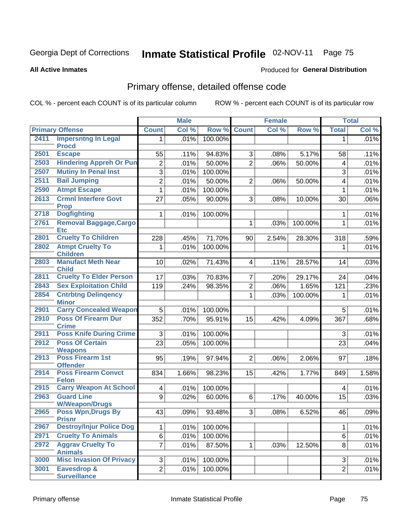#### **All Active Inmates**

#### Produced for **General Distribution**

### Primary offense, detailed offense code

|      |                                                  |                 | <b>Male</b> |         |                | <b>Female</b> |         |                | <b>Total</b> |
|------|--------------------------------------------------|-----------------|-------------|---------|----------------|---------------|---------|----------------|--------------|
|      | <b>Primary Offense</b>                           | <b>Count</b>    | Col %       | Row %   | <b>Count</b>   | Col %         | Row %   | <b>Total</b>   | Col %        |
| 2411 | <b>Impersntng In Legal</b>                       | 1               | .01%        | 100.00% |                |               |         | 1              | .01%         |
|      | <b>Procd</b>                                     |                 |             |         |                |               |         |                |              |
| 2501 | <b>Escape</b>                                    | 55              | .11%        | 94.83%  | 3              | .08%          | 5.17%   | 58             | .11%         |
| 2503 | <b>Hindering Appreh Or Pun</b>                   | $\overline{2}$  | .01%        | 50.00%  | $\overline{2}$ | .06%          | 50.00%  | 4              | .01%         |
| 2507 | <b>Mutiny In Penal Inst</b>                      | 3               | .01%        | 100.00% |                |               |         | 3              | .01%         |
| 2511 | <b>Bail Jumping</b>                              | $\overline{2}$  | .01%        | 50.00%  | $\overline{2}$ | .06%          | 50.00%  | 4              | .01%         |
| 2590 | <b>Atmpt Escape</b>                              | 1               | .01%        | 100.00% |                |               |         | 1              | .01%         |
| 2613 | <b>Crmnl Interfere Govt</b>                      | 27              | .05%        | 90.00%  | 3              | .08%          | 10.00%  | 30             | .06%         |
| 2718 | <b>Prop</b><br><b>Dogfighting</b>                |                 |             |         |                |               |         |                |              |
|      |                                                  | $\mathbf{1}$    | .01%        | 100.00% |                |               |         | 1              | .01%         |
| 2761 | <b>Removal Baggage, Cargo</b><br><b>Etc</b>      |                 |             |         | 1              | .03%          | 100.00% | $\mathbf{1}$   | .01%         |
| 2801 | <b>Cruelty To Children</b>                       | 228             | .45%        | 71.70%  | 90             | 2.54%         | 28.30%  | 318            | .59%         |
| 2802 | <b>Atmpt Cruelty To</b>                          | 1               | .01%        | 100.00% |                |               |         | $\mathbf{1}$   | .01%         |
|      | <b>Children</b>                                  |                 |             |         |                |               |         |                |              |
| 2803 | <b>Manufact Meth Near</b>                        | 10 <sub>1</sub> | .02%        | 71.43%  | 4              | .11%          | 28.57%  | 14             | .03%         |
| 2811 | <b>Child</b><br><b>Cruelty To Elder Person</b>   |                 |             |         |                |               |         |                |              |
|      |                                                  | 17              | .03%        | 70.83%  | 7              | .20%          | 29.17%  | 24             | .04%         |
| 2843 | <b>Sex Exploitation Child</b>                    | 119             | .24%        | 98.35%  | $\overline{c}$ | .06%          | 1.65%   | 121            | .23%         |
| 2854 | <b>Cntrbtng Delingency</b><br><b>Minor</b>       |                 |             |         | 1              | .03%          | 100.00% | 1              | .01%         |
| 2901 | <b>Carry Concealed Weapon</b>                    | 5               | .01%        | 100.00% |                |               |         | 5              | .01%         |
| 2910 | <b>Poss Of Firearm Dur</b>                       | 352             | .70%        | 95.91%  | 15             | .42%          | 4.09%   | 367            | .68%         |
|      | <b>Crime</b>                                     |                 |             |         |                |               |         |                |              |
| 2911 | <b>Poss Knife During Crime</b>                   | 3               | .01%        | 100.00% |                |               |         | 3              | .01%         |
| 2912 | <b>Poss Of Certain</b>                           | 23              | .05%        | 100.00% |                |               |         | 23             | .04%         |
|      | <b>Weapons</b><br><b>Poss Firearm 1st</b>        |                 |             |         |                |               |         |                |              |
| 2913 | <b>Offender</b>                                  | 95              | .19%        | 97.94%  | $\overline{2}$ | .06%          | 2.06%   | 97             | .18%         |
| 2914 | <b>Poss Firearm Convct</b>                       | 834             | 1.66%       | 98.23%  | 15             | .42%          | 1.77%   | 849            | 1.58%        |
|      | <b>Felon</b>                                     |                 |             |         |                |               |         |                |              |
| 2915 | <b>Carry Weapon At School</b>                    | 4               | .01%        | 100.00% |                |               |         | 4              | .01%         |
| 2963 | <b>Guard Line</b>                                | 9               | .02%        | 60.00%  | $\,6$          | .17%          | 40.00%  | 15             | .03%         |
|      | <b>W/Weapon/Drugs</b>                            |                 |             |         |                |               |         |                |              |
| 2965 | <b>Poss Wpn, Drugs By</b>                        | 43              | .09%        | 93.48%  | 3 <sup>1</sup> | .08%          | 6.52%   | 46             | .09%         |
| 2967 | <b>Prisnr</b><br><b>Destroy/Injur Police Dog</b> | $\mathbf 1$     | .01%        | 100.00% |                |               |         | $\mathbf{1}$   | .01%         |
| 2971 | <b>Cruelty To Animals</b>                        | $\overline{6}$  | .01%        | 100.00% |                |               |         | 6              | .01%         |
| 2972 | <b>Aggrav Cruelty To</b>                         |                 |             |         |                |               |         |                |              |
|      | <b>Animals</b>                                   | $\overline{7}$  | .01%        | 87.50%  | 1              | .03%          | 12.50%  | 8              | .01%         |
| 3000 | <b>Misc Invasion Of Privacy</b>                  | $\overline{3}$  | .01%        | 100.00% |                |               |         | 3 <sup>1</sup> | .01%         |
| 3001 | Eavesdrop &                                      | $\overline{2}$  | .01%        | 100.00% |                |               |         | $\overline{2}$ | .01%         |
|      | <b>Surveillance</b>                              |                 |             |         |                |               |         |                |              |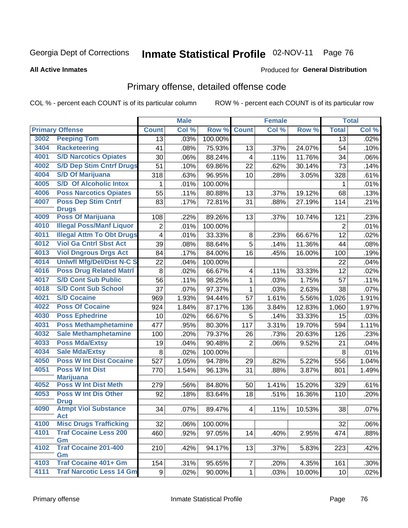#### **All Active Inmates**

#### Produced for **General Distribution**

### Primary offense, detailed offense code

|      |                                            |                | <b>Male</b> |         |                         | Female |        |                | <b>Total</b> |
|------|--------------------------------------------|----------------|-------------|---------|-------------------------|--------|--------|----------------|--------------|
|      | <b>Primary Offense</b>                     | <b>Count</b>   | Col %       | Row %   | <b>Count</b>            | Col %  | Row %  | <b>Total</b>   | Col %        |
| 3002 | <b>Peeping Tom</b>                         | 13             | .03%        | 100.00% |                         |        |        | 13             | .02%         |
| 3404 | <b>Racketeering</b>                        | 41             | .08%        | 75.93%  | 13                      | .37%   | 24.07% | 54             | .10%         |
| 4001 | <b>S/D Narcotics Opiates</b>               | 30             | .06%        | 88.24%  | $\overline{\mathbf{4}}$ | .11%   | 11.76% | 34             | .06%         |
| 4002 | <b>S/D Dep Stim Cntrf Drugs</b>            | 51             | .10%        | 69.86%  | 22                      | .62%   | 30.14% | 73             | .14%         |
| 4004 | <b>S/D Of Marijuana</b>                    | 318            | .63%        | 96.95%  | 10                      | .28%   | 3.05%  | 328            | .61%         |
| 4005 | <b>S/D Of Alcoholic Intox</b>              | 1              | .01%        | 100.00% |                         |        |        | 1              | .01%         |
| 4006 | <b>Poss Narcotics Opiates</b>              | 55             | .11%        | 80.88%  | 13                      | .37%   | 19.12% | 68             | .13%         |
| 4007 | <b>Poss Dep Stim Cntrf</b>                 | 83             | .17%        | 72.81%  | 31                      | .88%   | 27.19% | 114            | .21%         |
|      | <b>Drugs</b>                               |                |             |         |                         |        |        |                |              |
| 4009 | <b>Poss Of Marijuana</b>                   | 108            | .22%        | 89.26%  | 13                      | .37%   | 10.74% | 121            | .23%         |
| 4010 | <b>Illegal Poss/Manf Liquor</b>            | $\overline{2}$ | .01%        | 100.00% |                         |        |        | $\overline{2}$ | .01%         |
| 4011 | <b>Illegal Attm To Obt Drugs</b>           | 4              | .01%        | 33.33%  | 8                       | .23%   | 66.67% | 12             | .02%         |
| 4012 | <b>Viol Ga Cntrl Sbst Act</b>              | 39             | .08%        | 88.64%  | 5                       | .14%   | 11.36% | 44             | .08%         |
| 4013 | <b>Viol Dngrous Drgs Act</b>               | 84             | .17%        | 84.00%  | 16                      | .45%   | 16.00% | 100            | .19%         |
| 4014 | <b>Uniwfl Mfg/Del/Dist N-C S</b>           | 22             | .04%        | 100.00% |                         |        |        | 22             | .04%         |
| 4016 | <b>Poss Drug Related Matri</b>             | $\bf 8$        | .02%        | 66.67%  | $\overline{4}$          | .11%   | 33.33% | 12             | .02%         |
| 4017 | <b>S/D Cont Sub Public</b>                 | 56             | .11%        | 98.25%  | 1                       | .03%   | 1.75%  | 57             | .11%         |
| 4018 | <b>S/D Cont Sub School</b>                 | 37             | .07%        | 97.37%  | 1                       | .03%   | 2.63%  | 38             | .07%         |
| 4021 | <b>S/D Cocaine</b>                         | 969            | 1.93%       | 94.44%  | 57                      | 1.61%  | 5.56%  | 1,026          | 1.91%        |
| 4022 | <b>Poss Of Cocaine</b>                     | 924            | 1.84%       | 87.17%  | 136                     | 3.84%  | 12.83% | 1,060          | 1.97%        |
| 4030 | <b>Poss Ephedrine</b>                      | 10             | .02%        | 66.67%  | 5                       | .14%   | 33.33% | 15             | .03%         |
| 4031 | <b>Poss Methamphetamine</b>                | 477            | .95%        | 80.30%  | 117                     | 3.31%  | 19.70% | 594            | 1.11%        |
| 4032 | <b>Sale Methamphetamine</b>                | 100            | .20%        | 79.37%  | 26                      | .73%   | 20.63% | 126            | .23%         |
| 4033 | <b>Poss Mda/Extsy</b>                      | 19             | .04%        | 90.48%  | $\overline{2}$          | .06%   | 9.52%  | 21             | .04%         |
| 4034 | <b>Sale Mda/Extsy</b>                      | 8              | .02%        | 100.00% |                         |        |        | 8              | .01%         |
| 4050 | <b>Poss W Int Dist Cocaine</b>             | 527            | 1.05%       | 94.78%  | 29                      | .82%   | 5.22%  | 556            | 1.04%        |
| 4051 | <b>Poss W Int Dist</b>                     | 770            | 1.54%       | 96.13%  | 31                      | .88%   | 3.87%  | 801            | 1.49%        |
|      | <b>Marijuana</b>                           |                |             |         |                         |        |        |                |              |
| 4052 | <b>Poss W Int Dist Meth</b>                | 279            | .56%        | 84.80%  | 50                      | 1.41%  | 15.20% | 329            | .61%         |
| 4053 | <b>Poss W Int Dis Other</b><br><b>Drug</b> | 92             | .18%        | 83.64%  | 18                      | .51%   | 16.36% | 110            | .20%         |
| 4090 | <b>Atmpt Viol Substance</b>                | 34             | .07%        | 89.47%  | $\overline{4}$          | .11%   | 10.53% | 38             | .07%         |
|      | <b>Act</b>                                 |                |             |         |                         |        |        |                |              |
| 4100 | <b>Misc Drugs Trafficking</b>              | 32             | .06%        | 100.00% |                         |        |        | 32             | .06%         |
| 4101 | <b>Traf Cocaine Less 200</b>               | 460            | .92%        | 97.05%  | 14                      | .40%   | 2.95%  | 474            | .88%         |
|      | Gm                                         |                |             |         |                         |        |        |                |              |
| 4102 | <b>Traf Cocaine 201-400</b>                | 210            | .42%        | 94.17%  | 13                      | .37%   | 5.83%  | 223            | .42%         |
| 4103 | Gm<br><b>Traf Cocaine 401+ Gm</b>          | 154            | .31%        | 95.65%  | $\overline{7}$          | .20%   | 4.35%  | 161            | .30%         |
| 4111 | <b>Traf Narcotic Less 14 Gm</b>            | 9 <sup>1</sup> | .02%        | 90.00%  | $\mathbf{1}$            | .03%   | 10.00% | 10             | .02%         |
|      |                                            |                |             |         |                         |        |        |                |              |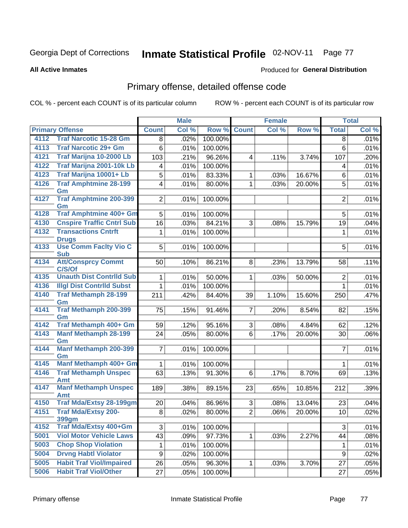**All Active Inmates**

#### Produced for **General Distribution**

### Primary offense, detailed offense code

|      |                                              |                         | <b>Male</b> |         |                | <b>Female</b> |        |                  | <b>Total</b> |
|------|----------------------------------------------|-------------------------|-------------|---------|----------------|---------------|--------|------------------|--------------|
|      | <b>Primary Offense</b>                       | <b>Count</b>            | Col %       | Row %   | <b>Count</b>   | Col %         | Row %  | <b>Total</b>     | Col %        |
| 4112 | <b>Traf Narcotic 15-28 Gm</b>                | 8                       | .02%        | 100.00% |                |               |        | 8                | .01%         |
| 4113 | <b>Traf Narcotic 29+ Gm</b>                  | 6                       | .01%        | 100.00% |                |               |        | $6\phantom{1}$   | .01%         |
| 4121 | Traf Marijna 10-2000 Lb                      | 103                     | .21%        | 96.26%  | $\overline{4}$ | .11%          | 3.74%  | 107              | .20%         |
| 4122 | Traf Marijna 2001-10k Lb                     | $\overline{\mathbf{4}}$ | .01%        | 100.00% |                |               |        | 4                | .01%         |
| 4123 | Traf Marijna 10001+ Lb                       | $\overline{5}$          | .01%        | 83.33%  | $\mathbf{1}$   | .03%          | 16.67% | $6\phantom{a}$   | .01%         |
| 4126 | <b>Traf Amphtmine 28-199</b>                 | $\overline{\mathbf{4}}$ | .01%        | 80.00%  | 1              | .03%          | 20.00% | 5                | .01%         |
|      | Gm                                           |                         |             |         |                |               |        |                  |              |
| 4127 | <b>Traf Amphtmine 200-399</b><br>Gm          | $\overline{2}$          | .01%        | 100.00% |                |               |        | $\overline{2}$   | .01%         |
| 4128 | <b>Traf Amphtmine 400+ Gm</b>                | 5                       | .01%        | 100.00% |                |               |        | 5                | .01%         |
| 4130 | <b>Cnspire Traffic Cntrl Sub</b>             | 16                      | .03%        | 84.21%  | 3              | .08%          | 15.79% | 19               | .04%         |
| 4132 | <b>Transactions Cntrft</b>                   | 1                       | .01%        | 100.00% |                |               |        | 1                | .01%         |
| 4133 | <b>Drugs</b><br><b>Use Comm Facity Vio C</b> | $\overline{5}$          | .01%        | 100.00% |                |               |        | 5                | .01%         |
|      | <b>Sub</b>                                   |                         |             |         |                |               |        |                  |              |
| 4134 | <b>Att/Consprcy Commt</b><br>C/S/Of          | 50                      | .10%        | 86.21%  | 8              | .23%          | 13.79% | 58               | .11%         |
| 4135 | <b>Unauth Dist Contrild Sub</b>              | 1                       | .01%        | 50.00%  | $\mathbf{1}$   | .03%          | 50.00% | $\overline{2}$   | .01%         |
| 4136 | <b>Illgl Dist Contrild Subst</b>             | 1                       | .01%        | 100.00% |                |               |        | $\mathbf 1$      | .01%         |
| 4140 | <b>Traf Methamph 28-199</b>                  | 211                     | .42%        | 84.40%  | 39             | 1.10%         | 15.60% | 250              | .47%         |
|      | Gm                                           |                         |             |         |                |               |        |                  |              |
| 4141 | <b>Traf Methamph 200-399</b>                 | 75                      | .15%        | 91.46%  | $\overline{7}$ | .20%          | 8.54%  | 82               | .15%         |
|      | Gm                                           |                         |             |         |                |               |        |                  |              |
| 4142 | Traf Methamph 400+ Gm                        | 59                      | .12%        | 95.16%  | 3              | .08%          | 4.84%  | 62               | .12%         |
| 4143 | <b>Manf Methamph 28-199</b><br>Gm            | 24                      | .05%        | 80.00%  | 6              | .17%          | 20.00% | 30               | .06%         |
| 4144 | <b>Manf Methamph 200-399</b>                 | $\overline{7}$          | .01%        | 100.00% |                |               |        | $\overline{7}$   | .01%         |
|      | Gm                                           |                         |             |         |                |               |        |                  |              |
| 4145 | Manf Methamph 400+ Gm                        | $\mathbf{1}$            | .01%        | 100.00% |                |               |        | 1                | .01%         |
| 4146 | <b>Traf Methamph Unspec</b>                  | 63                      | .13%        | 91.30%  | 6              | .17%          | 8.70%  | 69               | .13%         |
|      | <b>Amt</b>                                   |                         |             |         |                |               |        |                  |              |
| 4147 | <b>Manf Methamph Unspec</b><br><b>Amt</b>    | 189                     | .38%        | 89.15%  | 23             | .65%          | 10.85% | 212              | .39%         |
| 4150 | <b>Traf Mda/Extsy 28-199gm</b>               | 20                      | .04%        | 86.96%  | 3              | .08%          | 13.04% | 23               | .04%         |
| 4151 | <b>Traf Mda/Extsy 200-</b>                   | 8                       | .02%        | 80.00%  | $\overline{2}$ | .06%          | 20.00% | 10               | .02%         |
|      | 399gm                                        |                         |             |         |                |               |        |                  |              |
| 4152 | Traf Mda/Extsy 400+Gm                        | $\overline{3}$          | .01%        | 100.00% |                |               |        | 3                | .01%         |
| 5001 | <b>Viol Motor Vehicle Laws</b>               | 43                      | .09%        | 97.73%  | $\mathbf{1}$   | .03%          | 2.27%  | 44               | .08%         |
| 5003 | <b>Chop Shop Violation</b>                   | 1                       | .01%        | 100.00% |                |               |        | 1                | .01%         |
| 5004 | <b>Drvng Habtl Violator</b>                  | 9                       | .02%        | 100.00% |                |               |        | $\boldsymbol{9}$ | .02%         |
| 5005 | <b>Habit Traf Viol/Impaired</b>              | 26                      | .05%        | 96.30%  | $\mathbf 1$    | .03%          | 3.70%  | 27               | .05%         |
| 5006 | <b>Habit Traf Viol/Other</b>                 | 27                      | .05%        | 100.00% |                |               |        | 27               | .05%         |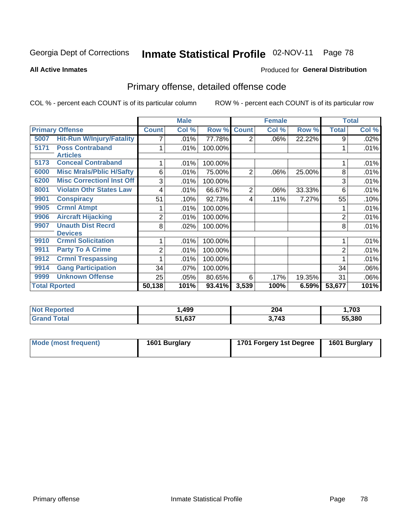**All Active Inmates**

#### Produced for **General Distribution**

### Primary offense, detailed offense code

|                      |                                           | <b>Male</b>  |       |         |                | <b>Female</b> |        | <b>Total</b>   |       |
|----------------------|-------------------------------------------|--------------|-------|---------|----------------|---------------|--------|----------------|-------|
|                      | <b>Primary Offense</b>                    | <b>Count</b> | Col % | Row %   | <b>Count</b>   | Col %         | Row %  | <b>Total</b>   | Col % |
| 5007                 | <b>Hit-Run W/Injury/Fatality</b>          |              | .01%  | 77.78%  | $\overline{2}$ | $.06\%$       | 22.22% | 9              | .02%  |
| 5171                 | <b>Poss Contraband</b><br><b>Articles</b> |              | .01%  | 100.00% |                |               |        |                | .01%  |
| 5173                 | <b>Conceal Contraband</b>                 |              | .01%  | 100.00% |                |               |        |                | .01%  |
| 6000                 | <b>Misc Mrals/Pblic H/Safty</b>           | 6            | .01%  | 75.00%  | $\overline{2}$ | .06%          | 25.00% | 8              | .01%  |
| 6200                 | <b>Misc Correctionl Inst Off</b>          | 3            | .01%  | 100.00% |                |               |        | 3              | .01%  |
| 8001                 | <b>Violatn Othr States Law</b>            | 4            | .01%  | 66.67%  | 2              | .06%          | 33.33% | 6              | .01%  |
| 9901                 | <b>Conspiracy</b>                         | 51           | .10%  | 92.73%  | 4              | .11%          | 7.27%  | 55             | .10%  |
| 9905                 | <b>Crmnl Atmpt</b>                        |              | .01%  | 100.00% |                |               |        |                | .01%  |
| 9906                 | <b>Aircraft Hijacking</b>                 | 2            | .01%  | 100.00% |                |               |        | 2              | .01%  |
| 9907                 | <b>Unauth Dist Recrd</b>                  | 8            | .02%  | 100.00% |                |               |        | 8              | .01%  |
|                      | <b>Devices</b>                            |              |       |         |                |               |        |                |       |
| 9910                 | <b>Crmnl Solicitation</b>                 |              | .01%  | 100.00% |                |               |        |                | .01%  |
| 9911                 | <b>Party To A Crime</b>                   | 2            | .01%  | 100.00% |                |               |        | $\overline{2}$ | .01%  |
| 9912                 | <b>Crmnl Trespassing</b>                  |              | .01%  | 100.00% |                |               |        |                | .01%  |
| 9914                 | <b>Gang Participation</b>                 | 34           | .07%  | 100.00% |                |               |        | 34             | .06%  |
| 9999                 | <b>Unknown Offense</b>                    | 25           | .05%  | 80.65%  | 6              | .17%          | 19.35% | 31             | .06%  |
| <b>Total Rported</b> |                                           | 50,138       | 101%  | 93.41%  | 3,539          | 100%          | 6.59%  | 53,677         | 101%  |

| <b>Not</b><br><b>Reported</b> | 499  | 204   | ,703   |
|-------------------------------|------|-------|--------|
|                               | .637 | 3,743 | 55.380 |

| Mode (most frequent) | 1601 Burglary | 1701 Forgery 1st Degree | 1601 Burglary |
|----------------------|---------------|-------------------------|---------------|
|----------------------|---------------|-------------------------|---------------|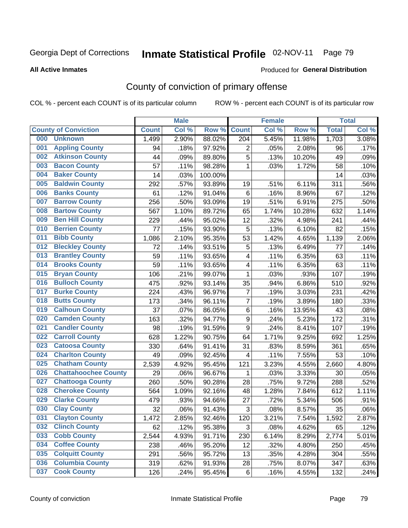#### **All Active Inmates**

#### Produced for **General Distribution**

### County of conviction of primary offense

|     |                             |              | <b>Male</b> |         | <b>Female</b>    |       |        | <b>Total</b> |       |  |
|-----|-----------------------------|--------------|-------------|---------|------------------|-------|--------|--------------|-------|--|
|     | <b>County of Conviction</b> | <b>Count</b> | Col %       | Row %   | <b>Count</b>     | Col % | Row %  | <b>Total</b> | Col % |  |
| 000 | <b>Unknown</b>              | 1,499        | 2.90%       | 88.02%  | 204              | 5.45% | 11.98% | 1,703        | 3.08% |  |
| 001 | <b>Appling County</b>       | 94           | .18%        | 97.92%  | 2                | .05%  | 2.08%  | 96           | .17%  |  |
| 002 | <b>Atkinson County</b>      | 44           | .09%        | 89.80%  | 5                | .13%  | 10.20% | 49           | .09%  |  |
| 003 | <b>Bacon County</b>         | 57           | .11%        | 98.28%  | $\mathbf 1$      | .03%  | 1.72%  | 58           | .10%  |  |
| 004 | <b>Baker County</b>         | 14           | .03%        | 100.00% |                  |       |        | 14           | .03%  |  |
| 005 | <b>Baldwin County</b>       | 292          | .57%        | 93.89%  | 19               | .51%  | 6.11%  | 311          | .56%  |  |
| 006 | <b>Banks County</b>         | 61           | .12%        | 91.04%  | 6                | .16%  | 8.96%  | 67           | .12%  |  |
| 007 | <b>Barrow County</b>        | 256          | .50%        | 93.09%  | 19               | .51%  | 6.91%  | 275          | .50%  |  |
| 008 | <b>Bartow County</b>        | 567          | 1.10%       | 89.72%  | 65               | 1.74% | 10.28% | 632          | 1.14% |  |
| 009 | <b>Ben Hill County</b>      | 229          | .44%        | 95.02%  | 12               | .32%  | 4.98%  | 241          | .44%  |  |
| 010 | <b>Berrien County</b>       | 77           | .15%        | 93.90%  | 5                | .13%  | 6.10%  | 82           | .15%  |  |
| 011 | <b>Bibb County</b>          | 1,086        | 2.10%       | 95.35%  | 53               | 1.42% | 4.65%  | 1,139        | 2.06% |  |
| 012 | <b>Bleckley County</b>      | 72           | .14%        | 93.51%  | 5                | .13%  | 6.49%  | 77           | .14%  |  |
| 013 | <b>Brantley County</b>      | 59           | .11%        | 93.65%  | 4                | .11%  | 6.35%  | 63           | .11%  |  |
| 014 | <b>Brooks County</b>        | 59           | .11%        | 93.65%  | 4                | .11%  | 6.35%  | 63           | .11%  |  |
| 015 | <b>Bryan County</b>         | 106          | .21%        | 99.07%  | $\mathbf 1$      | .03%  | .93%   | 107          | .19%  |  |
| 016 | <b>Bulloch County</b>       | 475          | .92%        | 93.14%  | 35               | .94%  | 6.86%  | 510          | .92%  |  |
| 017 | <b>Burke County</b>         | 224          | .43%        | 96.97%  | $\overline{7}$   | .19%  | 3.03%  | 231          | .42%  |  |
| 018 | <b>Butts County</b>         | 173          | .34%        | 96.11%  | $\overline{7}$   | .19%  | 3.89%  | 180          | .33%  |  |
| 019 | <b>Calhoun County</b>       | 37           | .07%        | 86.05%  | 6                | .16%  | 13.95% | 43           | .08%  |  |
| 020 | <b>Camden County</b>        | 163          | .32%        | 94.77%  | $\boldsymbol{9}$ | .24%  | 5.23%  | 172          | .31%  |  |
| 021 | <b>Candler County</b>       | 98           | .19%        | 91.59%  | 9                | .24%  | 8.41%  | 107          | .19%  |  |
| 022 | <b>Carroll County</b>       | 628          | 1.22%       | 90.75%  | 64               | 1.71% | 9.25%  | 692          | 1.25% |  |
| 023 | <b>Catoosa County</b>       | 330          | .64%        | 91.41%  | 31               | .83%  | 8.59%  | 361          | .65%  |  |
| 024 | <b>Charlton County</b>      | 49           | .09%        | 92.45%  | $\overline{4}$   | .11%  | 7.55%  | 53           | .10%  |  |
| 025 | <b>Chatham County</b>       | 2,539        | 4.92%       | 95.45%  | 121              | 3.23% | 4.55%  | 2,660        | 4.80% |  |
| 026 | <b>Chattahoochee County</b> | 29           | .06%        | 96.67%  | 1                | .03%  | 3.33%  | 30           | .05%  |  |
| 027 | <b>Chattooga County</b>     | 260          | .50%        | 90.28%  | 28               | .75%  | 9.72%  | 288          | .52%  |  |
| 028 | <b>Cherokee County</b>      | 564          | 1.09%       | 92.16%  | 48               | 1.28% | 7.84%  | 612          | 1.11% |  |
| 029 | <b>Clarke County</b>        | 479          | .93%        | 94.66%  | 27               | .72%  | 5.34%  | 506          | .91%  |  |
| 030 | <b>Clay County</b>          | 32           | .06%        | 91.43%  | 3                | .08%  | 8.57%  | 35           | .06%  |  |
| 031 | <b>Clayton County</b>       | 1,472        | 2.85%       | 92.46%  | 120              | 3.21% | 7.54%  | 1,592        | 2.87% |  |
| 032 | <b>Clinch County</b>        | 62           | .12%        | 95.38%  | 3                | .08%  | 4.62%  | 65           | .12%  |  |
| 033 | <b>Cobb County</b>          | 2,544        | 4.93%       | 91.71%  | 230              | 6.14% | 8.29%  | 2,774        | 5.01% |  |
| 034 | <b>Coffee County</b>        | 238          | .46%        | 95.20%  | 12               | .32%  | 4.80%  | 250          | .45%  |  |
| 035 | <b>Colquitt County</b>      | 291          | .56%        | 95.72%  | 13               | .35%  | 4.28%  | 304          | .55%  |  |
| 036 | <b>Columbia County</b>      | 319          | .62%        | 91.93%  | 28               | .75%  | 8.07%  | 347          | .63%  |  |
| 037 | <b>Cook County</b>          | 126          | .24%        | 95.45%  | 6                | .16%  | 4.55%  | 132          | .24%  |  |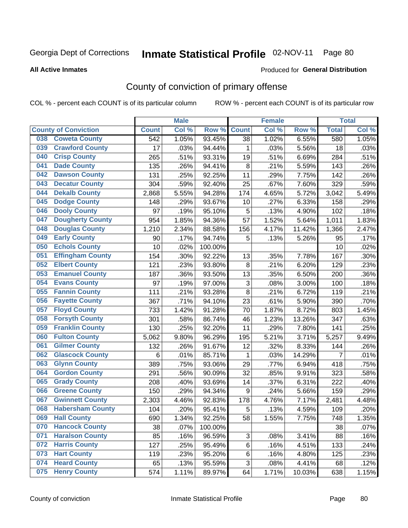**All Active Inmates**

#### Produced for **General Distribution**

### County of conviction of primary offense

|     |                             |              | <b>Male</b> | <b>Female</b> |                           |       |        | <b>Total</b>   |       |
|-----|-----------------------------|--------------|-------------|---------------|---------------------------|-------|--------|----------------|-------|
|     | <b>County of Conviction</b> | <b>Count</b> | Col %       | Row %         | <b>Count</b>              | Col%  | Row %  | <b>Total</b>   | Col % |
| 038 | <b>Coweta County</b>        | 542          | 1.05%       | 93.45%        | 38                        | 1.02% | 6.55%  | 580            | 1.05% |
| 039 | <b>Crawford County</b>      | 17           | .03%        | 94.44%        | 1                         | .03%  | 5.56%  | 18             | .03%  |
| 040 | <b>Crisp County</b>         | 265          | .51%        | 93.31%        | 19                        | .51%  | 6.69%  | 284            | .51%  |
| 041 | <b>Dade County</b>          | 135          | .26%        | 94.41%        | 8                         | .21%  | 5.59%  | 143            | .26%  |
| 042 | <b>Dawson County</b>        | 131          | .25%        | 92.25%        | 11                        | .29%  | 7.75%  | 142            | .26%  |
| 043 | <b>Decatur County</b>       | 304          | .59%        | 92.40%        | 25                        | .67%  | 7.60%  | 329            | .59%  |
| 044 | <b>Dekalb County</b>        | 2,868        | 5.55%       | 94.28%        | 174                       | 4.65% | 5.72%  | 3,042          | 5.49% |
| 045 | <b>Dodge County</b>         | 148          | .29%        | 93.67%        | 10                        | .27%  | 6.33%  | 158            | .29%  |
| 046 | <b>Dooly County</b>         | 97           | .19%        | 95.10%        | 5                         | .13%  | 4.90%  | 102            | .18%  |
| 047 | <b>Dougherty County</b>     | 954          | 1.85%       | 94.36%        | 57                        | 1.52% | 5.64%  | 1,011          | 1.83% |
| 048 | <b>Douglas County</b>       | 1,210        | 2.34%       | 88.58%        | 156                       | 4.17% | 11.42% | 1,366          | 2.47% |
| 049 | <b>Early County</b>         | 90           | .17%        | 94.74%        | 5                         | .13%  | 5.26%  | 95             | .17%  |
| 050 | <b>Echols County</b>        | 10           | .02%        | 100.00%       |                           |       |        | 10             | .02%  |
| 051 | <b>Effingham County</b>     | 154          | .30%        | 92.22%        | 13                        | .35%  | 7.78%  | 167            | .30%  |
| 052 | <b>Elbert County</b>        | 121          | .23%        | 93.80%        | 8                         | .21%  | 6.20%  | 129            | .23%  |
| 053 | <b>Emanuel County</b>       | 187          | .36%        | 93.50%        | 13                        | .35%  | 6.50%  | 200            | .36%  |
| 054 | <b>Evans County</b>         | 97           | .19%        | 97.00%        | $\ensuremath{\mathsf{3}}$ | .08%  | 3.00%  | 100            | .18%  |
| 055 | <b>Fannin County</b>        | 111          | .21%        | 93.28%        | 8                         | .21%  | 6.72%  | 119            | .21%  |
| 056 | <b>Fayette County</b>       | 367          | .71%        | 94.10%        | 23                        | .61%  | 5.90%  | 390            | .70%  |
| 057 | <b>Floyd County</b>         | 733          | 1.42%       | 91.28%        | 70                        | 1.87% | 8.72%  | 803            | 1.45% |
| 058 | <b>Forsyth County</b>       | 301          | .58%        | 86.74%        | 46                        | 1.23% | 13.26% | 347            | .63%  |
| 059 | <b>Franklin County</b>      | 130          | .25%        | 92.20%        | 11                        | .29%  | 7.80%  | 141            | .25%  |
| 060 | <b>Fulton County</b>        | 5,062        | 9.80%       | 96.29%        | 195                       | 5.21% | 3.71%  | 5,257          | 9.49% |
| 061 | <b>Gilmer County</b>        | 132          | .26%        | 91.67%        | 12                        | .32%  | 8.33%  | 144            | .26%  |
| 062 | <b>Glascock County</b>      | 6            | .01%        | 85.71%        | $\mathbf 1$               | .03%  | 14.29% | $\overline{7}$ | .01%  |
| 063 | <b>Glynn County</b>         | 389          | .75%        | 93.06%        | 29                        | .77%  | 6.94%  | 418            | .75%  |
| 064 | <b>Gordon County</b>        | 291          | .56%        | 90.09%        | 32                        | .85%  | 9.91%  | 323            | .58%  |
| 065 | <b>Grady County</b>         | 208          | .40%        | 93.69%        | 14                        | .37%  | 6.31%  | 222            | .40%  |
| 066 | <b>Greene County</b>        | 150          | .29%        | 94.34%        | 9                         | .24%  | 5.66%  | 159            | .29%  |
| 067 | <b>Gwinnett County</b>      | 2,303        | 4.46%       | 92.83%        | 178                       | 4.76% | 7.17%  | 2,481          | 4.48% |
| 068 | <b>Habersham County</b>     | 104          | .20%        | 95.41%        | 5                         | .13%  | 4.59%  | 109            | .20%  |
| 069 | <b>Hall County</b>          | 690          | 1.34%       | 92.25%        | 58                        | 1.55% | 7.75%  | 748            | 1.35% |
| 070 | <b>Hancock County</b>       | 38           | .07%        | 100.00%       |                           |       |        | 38             | .07%  |
| 071 | <b>Haralson County</b>      | 85           | .16%        | 96.59%        | 3                         | .08%  | 3.41%  | 88             | .16%  |
| 072 | <b>Harris County</b>        | 127          | .25%        | 95.49%        | 6                         | .16%  | 4.51%  | 133            | .24%  |
| 073 | <b>Hart County</b>          | 119          | .23%        | 95.20%        | 6                         | .16%  | 4.80%  | 125            | .23%  |
| 074 | <b>Heard County</b>         | 65           | .13%        | 95.59%        | 3                         | .08%  | 4.41%  | 68             | .12%  |
| 075 | <b>Henry County</b>         | 574          | 1.11%       | 89.97%        | 64                        | 1.71% | 10.03% | 638            | 1.15% |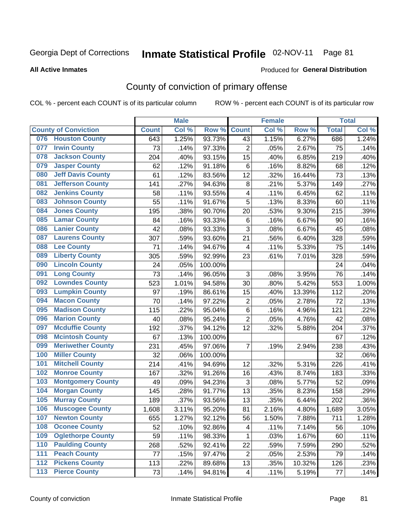#### **All Active Inmates**

#### Produced for **General Distribution**

### County of conviction of primary offense

|     |                             |              | <b>Male</b> |         | <b>Female</b>           |       |        | <b>Total</b> |       |
|-----|-----------------------------|--------------|-------------|---------|-------------------------|-------|--------|--------------|-------|
|     | <b>County of Conviction</b> | <b>Count</b> | Col %       | Row %   | <b>Count</b>            | Col % | Row %  | <b>Total</b> | Col % |
| 076 | <b>Houston County</b>       | 643          | 1.25%       | 93.73%  | 43                      | 1.15% | 6.27%  | 686          | 1.24% |
| 077 | <b>Irwin County</b>         | 73           | .14%        | 97.33%  | $\overline{2}$          | .05%  | 2.67%  | 75           | .14%  |
| 078 | <b>Jackson County</b>       | 204          | .40%        | 93.15%  | 15                      | .40%  | 6.85%  | 219          | .40%  |
| 079 | <b>Jasper County</b>        | 62           | .12%        | 91.18%  | 6                       | .16%  | 8.82%  | 68           | .12%  |
| 080 | <b>Jeff Davis County</b>    | 61           | .12%        | 83.56%  | 12                      | .32%  | 16.44% | 73           | .13%  |
| 081 | <b>Jefferson County</b>     | 141          | .27%        | 94.63%  | 8                       | .21%  | 5.37%  | 149          | .27%  |
| 082 | <b>Jenkins County</b>       | 58           | .11%        | 93.55%  | $\overline{\mathbf{4}}$ | .11%  | 6.45%  | 62           | .11%  |
| 083 | <b>Johnson County</b>       | 55           | .11%        | 91.67%  | 5                       | .13%  | 8.33%  | 60           | .11%  |
| 084 | <b>Jones County</b>         | 195          | .38%        | 90.70%  | 20                      | .53%  | 9.30%  | 215          | .39%  |
| 085 | <b>Lamar County</b>         | 84           | .16%        | 93.33%  | 6                       | .16%  | 6.67%  | 90           | .16%  |
| 086 | <b>Lanier County</b>        | 42           | .08%        | 93.33%  | 3                       | .08%  | 6.67%  | 45           | .08%  |
| 087 | <b>Laurens County</b>       | 307          | .59%        | 93.60%  | 21                      | .56%  | 6.40%  | 328          | .59%  |
| 088 | <b>Lee County</b>           | 71           | .14%        | 94.67%  | $\overline{\mathbf{4}}$ | .11%  | 5.33%  | 75           | .14%  |
| 089 | <b>Liberty County</b>       | 305          | .59%        | 92.99%  | 23                      | .61%  | 7.01%  | 328          | .59%  |
| 090 | <b>Lincoln County</b>       | 24           | .05%        | 100.00% |                         |       |        | 24           | .04%  |
| 091 | <b>Long County</b>          | 73           | .14%        | 96.05%  | 3                       | .08%  | 3.95%  | 76           | .14%  |
| 092 | <b>Lowndes County</b>       | 523          | 1.01%       | 94.58%  | 30                      | .80%  | 5.42%  | 553          | 1.00% |
| 093 | <b>Lumpkin County</b>       | 97           | .19%        | 86.61%  | 15                      | .40%  | 13.39% | 112          | .20%  |
| 094 | <b>Macon County</b>         | 70           | .14%        | 97.22%  | $\mathbf 2$             | .05%  | 2.78%  | 72           | .13%  |
| 095 | <b>Madison County</b>       | 115          | .22%        | 95.04%  | $\,6$                   | .16%  | 4.96%  | 121          | .22%  |
| 096 | <b>Marion County</b>        | 40           | .08%        | 95.24%  | $\overline{2}$          | .05%  | 4.76%  | 42           | .08%  |
| 097 | <b>Mcduffie County</b>      | 192          | .37%        | 94.12%  | 12                      | .32%  | 5.88%  | 204          | .37%  |
| 098 | <b>Mcintosh County</b>      | 67           | .13%        | 100.00% |                         |       |        | 67           | .12%  |
| 099 | <b>Meriwether County</b>    | 231          | .45%        | 97.06%  | 7                       | .19%  | 2.94%  | 238          | .43%  |
| 100 | <b>Miller County</b>        | 32           | .06%        | 100.00% |                         |       |        | 32           | .06%  |
| 101 | <b>Mitchell County</b>      | 214          | .41%        | 94.69%  | 12                      | .32%  | 5.31%  | 226          | .41%  |
| 102 | <b>Monroe County</b>        | 167          | .32%        | 91.26%  | 16                      | .43%  | 8.74%  | 183          | .33%  |
| 103 | <b>Montgomery County</b>    | 49           | .09%        | 94.23%  | 3                       | .08%  | 5.77%  | 52           | .09%  |
| 104 | <b>Morgan County</b>        | 145          | .28%        | 91.77%  | 13                      | .35%  | 8.23%  | 158          | .29%  |
| 105 | <b>Murray County</b>        | 189          | .37%        | 93.56%  | 13                      | .35%  | 6.44%  | 202          | .36%  |
| 106 | <b>Muscogee County</b>      | 1,608        | 3.11%       | 95.20%  | 81                      | 2.16% | 4.80%  | 1,689        | 3.05% |
| 107 | <b>Newton County</b>        | 655          | 1.27%       | 92.12%  | 56                      | 1.50% | 7.88%  | 711          | 1.28% |
| 108 | <b>Oconee County</b>        | 52           | .10%        | 92.86%  | 4                       | .11%  | 7.14%  | 56           | .10%  |
| 109 | <b>Oglethorpe County</b>    | 59           | .11%        | 98.33%  | 1                       | .03%  | 1.67%  | 60           | .11%  |
| 110 | <b>Paulding County</b>      | 268          | .52%        | 92.41%  | 22                      | .59%  | 7.59%  | 290          | .52%  |
| 111 | <b>Peach County</b>         | 77           | .15%        | 97.47%  | $\overline{2}$          | .05%  | 2.53%  | 79           | .14%  |
| 112 | <b>Pickens County</b>       | 113          | .22%        | 89.68%  | 13                      | .35%  | 10.32% | 126          | .23%  |
| 113 | <b>Pierce County</b>        | 73           | .14%        | 94.81%  | 4                       | .11%  | 5.19%  | 77           | .14%  |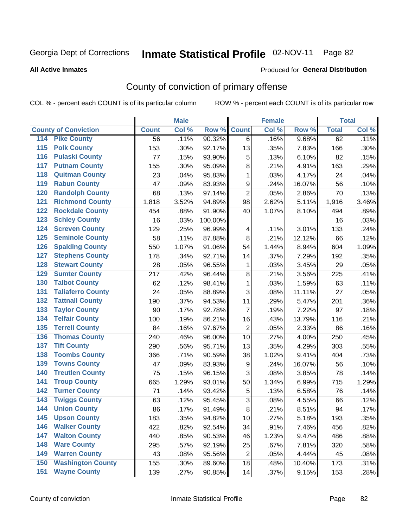#### **All Active Inmates**

#### Produced for **General Distribution**

### County of conviction of primary offense

|                                        |              | <b>Male</b> |         | <b>Female</b>    |       |        | <b>Total</b> |       |
|----------------------------------------|--------------|-------------|---------|------------------|-------|--------|--------------|-------|
| <b>County of Conviction</b>            | <b>Count</b> | Col %       | Row %   | <b>Count</b>     | Col % | Row %  | <b>Total</b> | Col % |
| <b>Pike County</b><br>114              | 56           | .11%        | 90.32%  | 6                | .16%  | 9.68%  | 62           | .11%  |
| <b>Polk County</b><br>$\overline{115}$ | 153          | .30%        | 92.17%  | 13               | .35%  | 7.83%  | 166          | .30%  |
| <b>Pulaski County</b><br>116           | 77           | .15%        | 93.90%  | 5                | .13%  | 6.10%  | 82           | .15%  |
| <b>Putnam County</b><br>117            | 155          | .30%        | 95.09%  | 8                | .21%  | 4.91%  | 163          | .29%  |
| 118<br><b>Quitman County</b>           | 23           | .04%        | 95.83%  | $\mathbf{1}$     | .03%  | 4.17%  | 24           | .04%  |
| <b>Rabun County</b><br>119             | 47           | .09%        | 83.93%  | $\boldsymbol{9}$ | .24%  | 16.07% | 56           | .10%  |
| <b>Randolph County</b><br>120          | 68           | .13%        | 97.14%  | $\overline{2}$   | .05%  | 2.86%  | 70           | .13%  |
| <b>Richmond County</b><br>121          | 1,818        | 3.52%       | 94.89%  | 98               | 2.62% | 5.11%  | 1,916        | 3.46% |
| <b>Rockdale County</b><br>122          | 454          | .88%        | 91.90%  | 40               | 1.07% | 8.10%  | 494          | .89%  |
| <b>Schley County</b><br>123            | 16           | .03%        | 100.00% |                  |       |        | 16           | .03%  |
| <b>Screven County</b><br>124           | 129          | .25%        | 96.99%  | 4                | .11%  | 3.01%  | 133          | .24%  |
| <b>Seminole County</b><br>125          | 58           | .11%        | 87.88%  | 8                | .21%  | 12.12% | 66           | .12%  |
| 126<br><b>Spalding County</b>          | 550          | 1.07%       | 91.06%  | 54               | 1.44% | 8.94%  | 604          | 1.09% |
| 127<br><b>Stephens County</b>          | 178          | .34%        | 92.71%  | 14               | .37%  | 7.29%  | 192          | .35%  |
| <b>Stewart County</b><br>128           | 28           | .05%        | 96.55%  | 1                | .03%  | 3.45%  | 29           | .05%  |
| <b>Sumter County</b><br>129            | 217          | .42%        | 96.44%  | 8                | .21%  | 3.56%  | 225          | .41%  |
| <b>Talbot County</b><br>130            | 62           | .12%        | 98.41%  | $\mathbf{1}$     | .03%  | 1.59%  | 63           | .11%  |
| <b>Taliaferro County</b><br>131        | 24           | .05%        | 88.89%  | 3                | .08%  | 11.11% | 27           | .05%  |
| <b>Tattnall County</b><br>132          | 190          | .37%        | 94.53%  | 11               | .29%  | 5.47%  | 201          | .36%  |
| <b>Taylor County</b><br>133            | 90           | .17%        | 92.78%  | $\overline{7}$   | .19%  | 7.22%  | 97           | .18%  |
| <b>Telfair County</b><br>134           | 100          | .19%        | 86.21%  | 16               | .43%  | 13.79% | 116          | .21%  |
| <b>Terrell County</b><br>135           | 84           | .16%        | 97.67%  | $\overline{2}$   | .05%  | 2.33%  | 86           | .16%  |
| <b>Thomas County</b><br>136            | 240          | .46%        | 96.00%  | 10               | .27%  | 4.00%  | 250          | .45%  |
| <b>Tift County</b><br>137              | 290          | .56%        | 95.71%  | 13               | .35%  | 4.29%  | 303          | .55%  |
| <b>Toombs County</b><br>138            | 366          | .71%        | 90.59%  | 38               | 1.02% | 9.41%  | 404          | .73%  |
| <b>Towns County</b><br>139             | 47           | .09%        | 83.93%  | 9                | .24%  | 16.07% | 56           | .10%  |
| <b>Treutlen County</b><br>140          | 75           | .15%        | 96.15%  | 3                | .08%  | 3.85%  | 78           | .14%  |
| <b>Troup County</b><br>141             | 665          | 1.29%       | 93.01%  | 50               | 1.34% | 6.99%  | 715          | 1.29% |
| <b>Turner County</b><br>142            | 71           | .14%        | 93.42%  | $\mathbf 5$      | .13%  | 6.58%  | 76           | .14%  |
| <b>Twiggs County</b><br>143            | 63           | .12%        | 95.45%  | 3                | .08%  | 4.55%  | 66           | .12%  |
| <b>Union County</b><br>144             | 86           | .17%        | 91.49%  | 8                | .21%  | 8.51%  | 94           | .17%  |
| 145<br><b>Upson County</b>             | 183          | .35%        | 94.82%  | 10               | .27%  | 5.18%  | 193          | .35%  |
| <b>Walker County</b><br>146            | 422          | .82%        | 92.54%  | 34               | .91%  | 7.46%  | 456          | .82%  |
| <b>Walton County</b><br>147            | 440          | .85%        | 90.53%  | 46               | 1.23% | 9.47%  | 486          | .88%  |
| <b>Ware County</b><br>148              | 295          | .57%        | 92.19%  | 25               | .67%  | 7.81%  | 320          | .58%  |
| <b>Warren County</b><br>149            | 43           | .08%        | 95.56%  | $\overline{2}$   | .05%  | 4.44%  | 45           | .08%  |
| <b>Washington County</b><br>150        | 155          | .30%        | 89.60%  | 18               | .48%  | 10.40% | 173          | .31%  |
| <b>Wayne County</b><br>151             | 139          | .27%        | 90.85%  | 14               | .37%  | 9.15%  | 153          | .28%  |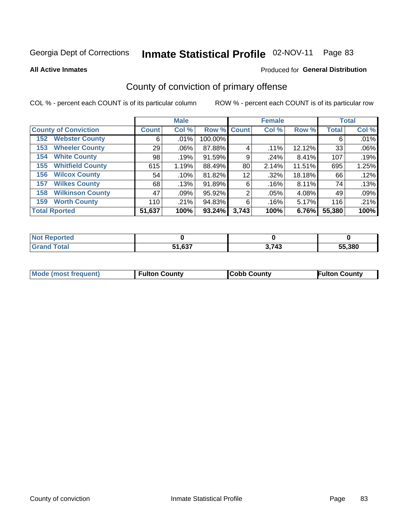**All Active Inmates**

#### Produced for **General Distribution**

### County of conviction of primary offense

|                                |              | <b>Male</b> |             |       | <b>Female</b> |        |              | <b>Total</b> |
|--------------------------------|--------------|-------------|-------------|-------|---------------|--------|--------------|--------------|
| <b>County of Conviction</b>    | <b>Count</b> | Col %       | Row % Count |       | Col %         | Row %  | <b>Total</b> | Col %        |
| <b>Webster County</b><br>152   | 6            | $.01\%$     | 100.00%     |       |               |        | 6            | .01%         |
| <b>Wheeler County</b><br>153   | 29           | $.06\%$     | 87.88%      | 4     | .11%          | 12.12% | 33           | .06%         |
| <b>White County</b><br>154     | 98           | .19%        | 91.59%      | 9     | .24%          | 8.41%  | 107          | .19%         |
| <b>Whitfield County</b><br>155 | 615          | 1.19%       | 88.49%      | 80    | 2.14%         | 11.51% | 695          | 1.25%        |
| <b>Wilcox County</b><br>156    | 54           | .10%        | 81.82%      | 12    | .32%          | 18.18% | 66           | .12%         |
| <b>Wilkes County</b><br>157    | 68           | .13%        | 91.89%      | 6     | .16%          | 8.11%  | 74           | .13%         |
| <b>Wilkinson County</b><br>158 | 47           | .09%        | 95.92%      | 2     | .05%          | 4.08%  | 49           | .09%         |
| <b>Worth County</b><br>159     | 110          | .21%        | 94.83%      | 6     | .16%          | 5.17%  | 116          | .21%         |
| <b>Total Rported</b>           | 51,637       | 100%        | 93.24%      | 3,743 | 100%          | 6.76%  | 55,380       | 100%         |

| <b>Not Reported</b> |        |       |        |
|---------------------|--------|-------|--------|
| <b>Grand Total</b>  | 51,637 | 3,743 | 55,380 |

| Mode (most frequent) | <b>Fulton County</b> | <b>Cobb County</b> | <b>Fulton County</b> |
|----------------------|----------------------|--------------------|----------------------|
|                      |                      |                    |                      |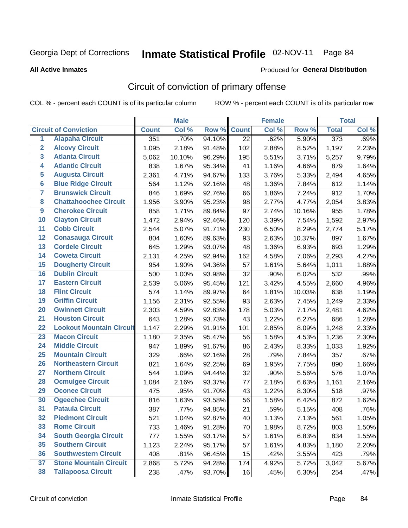Produced for **General Distribution**

#### **All Active Inmates**

### Circuit of conviction of primary offense

|                         |                                 |              | <b>Male</b> |        |              | <b>Female</b> |        |                  | <b>Total</b> |
|-------------------------|---------------------------------|--------------|-------------|--------|--------------|---------------|--------|------------------|--------------|
|                         | <b>Circuit of Conviction</b>    | <b>Count</b> | Col %       | Row %  | <b>Count</b> | Col %         | Row %  | <b>Total</b>     | Col %        |
| $\overline{1}$          | <b>Alapaha Circuit</b>          | 351          | .70%        | 94.10% | 22           | .62%          | 5.90%  | $\overline{373}$ | .69%         |
| $\overline{2}$          | <b>Alcovy Circuit</b>           | 1,095        | 2.18%       | 91.48% | 102          | 2.88%         | 8.52%  | 1,197            | 2.23%        |
| $\overline{\mathbf{3}}$ | <b>Atlanta Circuit</b>          | 5,062        | 10.10%      | 96.29% | 195          | 5.51%         | 3.71%  | 5,257            | 9.79%        |
| 4                       | <b>Atlantic Circuit</b>         | 838          | 1.67%       | 95.34% | 41           | 1.16%         | 4.66%  | 879              | 1.64%        |
| 5                       | <b>Augusta Circuit</b>          | 2,361        | 4.71%       | 94.67% | 133          | 3.76%         | 5.33%  | 2,494            | 4.65%        |
| $\overline{\mathbf{6}}$ | <b>Blue Ridge Circuit</b>       | 564          | 1.12%       | 92.16% | 48           | 1.36%         | 7.84%  | 612              | 1.14%        |
| $\overline{\mathbf{7}}$ | <b>Brunswick Circuit</b>        | 846          | 1.69%       | 92.76% | 66           | 1.86%         | 7.24%  | 912              | 1.70%        |
| 8                       | <b>Chattahoochee Circuit</b>    | 1,956        | 3.90%       | 95.23% | 98           | 2.77%         | 4.77%  | 2,054            | 3.83%        |
| $\overline{9}$          | <b>Cherokee Circuit</b>         | 858          | 1.71%       | 89.84% | 97           | 2.74%         | 10.16% | 955              | 1.78%        |
| 10                      | <b>Clayton Circuit</b>          | 1,472        | 2.94%       | 92.46% | 120          | 3.39%         | 7.54%  | 1,592            | 2.97%        |
| 11                      | <b>Cobb Circuit</b>             | 2,544        | 5.07%       | 91.71% | 230          | 6.50%         | 8.29%  | 2,774            | 5.17%        |
| 12                      | <b>Conasauga Circuit</b>        | 804          | 1.60%       | 89.63% | 93           | 2.63%         | 10.37% | 897              | 1.67%        |
| 13                      | <b>Cordele Circuit</b>          | 645          | 1.29%       | 93.07% | 48           | 1.36%         | 6.93%  | 693              | 1.29%        |
| 14                      | <b>Coweta Circuit</b>           | 2,131        | 4.25%       | 92.94% | 162          | 4.58%         | 7.06%  | 2,293            | 4.27%        |
| 15                      | <b>Dougherty Circuit</b>        | 954          | 1.90%       | 94.36% | 57           | 1.61%         | 5.64%  | 1,011            | 1.88%        |
| 16                      | <b>Dublin Circuit</b>           | 500          | 1.00%       | 93.98% | 32           | .90%          | 6.02%  | 532              | .99%         |
| 17                      | <b>Eastern Circuit</b>          | 2,539        | 5.06%       | 95.45% | 121          | 3.42%         | 4.55%  | 2,660            | 4.96%        |
| 18                      | <b>Flint Circuit</b>            | 574          | 1.14%       | 89.97% | 64           | 1.81%         | 10.03% | 638              | 1.19%        |
| 19                      | <b>Griffin Circuit</b>          | 1,156        | 2.31%       | 92.55% | 93           | 2.63%         | 7.45%  | 1,249            | 2.33%        |
| 20                      | <b>Gwinnett Circuit</b>         | 2,303        | 4.59%       | 92.83% | 178          | 5.03%         | 7.17%  | 2,481            | 4.62%        |
| $\overline{21}$         | <b>Houston Circuit</b>          | 643          | 1.28%       | 93.73% | 43           | 1.22%         | 6.27%  | 686              | 1.28%        |
| $\overline{22}$         | <b>Lookout Mountain Circuit</b> | 1,147        | 2.29%       | 91.91% | 101          | 2.85%         | 8.09%  | 1,248            | 2.33%        |
| 23                      | <b>Macon Circuit</b>            | 1,180        | 2.35%       | 95.47% | 56           | 1.58%         | 4.53%  | 1,236            | 2.30%        |
| 24                      | <b>Middle Circuit</b>           | 947          | 1.89%       | 91.67% | 86           | 2.43%         | 8.33%  | 1,033            | 1.92%        |
| 25                      | <b>Mountain Circuit</b>         | 329          | .66%        | 92.16% | 28           | .79%          | 7.84%  | 357              | .67%         |
| 26                      | <b>Northeastern Circuit</b>     | 821          | 1.64%       | 92.25% | 69           | 1.95%         | 7.75%  | 890              | 1.66%        |
| $\overline{27}$         | <b>Northern Circuit</b>         | 544          | 1.09%       | 94.44% | 32           | .90%          | 5.56%  | 576              | 1.07%        |
| 28                      | <b>Ocmulgee Circuit</b>         | 1,084        | 2.16%       | 93.37% | 77           | 2.18%         | 6.63%  | 1,161            | 2.16%        |
| 29                      | <b>Oconee Circuit</b>           | 475          | .95%        | 91.70% | 43           | 1.22%         | 8.30%  | 518              | .97%         |
| 30                      | <b>Ogeechee Circuit</b>         | 816          | 1.63%       | 93.58% | 56           | 1.58%         | 6.42%  | 872              | 1.62%        |
| $\overline{31}$         | <b>Pataula Circuit</b>          | 387          | .77%        | 94.85% | 21           | .59%          | 5.15%  | 408              | .76%         |
| 32                      | <b>Piedmont Circuit</b>         | 521          | 1.04%       | 92.87% | 40           | 1.13%         | 7.13%  | 561              | 1.05%        |
| 33                      | <b>Rome Circuit</b>             | 733          | 1.46%       | 91.28% | 70           | 1.98%         | 8.72%  | 803              | 1.50%        |
| 34                      | <b>South Georgia Circuit</b>    | 777          | 1.55%       | 93.17% | 57           | 1.61%         | 6.83%  | 834              | 1.55%        |
| 35                      | <b>Southern Circuit</b>         | 1,123        | 2.24%       | 95.17% | 57           | 1.61%         | 4.83%  | 1,180            | 2.20%        |
| 36                      | <b>Southwestern Circuit</b>     | 408          | .81%        | 96.45% | 15           | .42%          | 3.55%  | 423              | .79%         |
| 37                      | <b>Stone Mountain Circuit</b>   | 2,868        | 5.72%       | 94.28% | 174          | 4.92%         | 5.72%  | 3,042            | 5.67%        |
| 38                      | <b>Tallapoosa Circuit</b>       | 238          | .47%        | 93.70% | 16           | .45%          | 6.30%  | 254              | .47%         |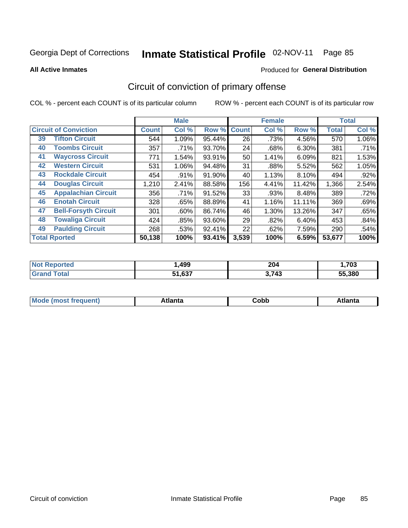**All Active Inmates**

#### Produced for **General Distribution**

### Circuit of conviction of primary offense

|                                   |              | <b>Male</b> |        |              | <b>Female</b> |          |              | <b>Total</b> |
|-----------------------------------|--------------|-------------|--------|--------------|---------------|----------|--------------|--------------|
| <b>Circuit of Conviction</b>      | <b>Count</b> | Col %       | Row %  | <b>Count</b> | Col %         | Row %    | <b>Total</b> | Col %        |
| <b>Tifton Circuit</b><br>39       | 544          | 1.09%       | 95.44% | 26           | .73%          | 4.56%    | 570          | $1.06\%$     |
| <b>Toombs Circuit</b><br>40       | 357          | .71%        | 93.70% | 24           | .68%          | $6.30\%$ | 381          | .71%         |
| <b>Waycross Circuit</b><br>41     | 771          | 1.54%       | 93.91% | 50           | 1.41%         | 6.09%    | 821          | 1.53%        |
| <b>Western Circuit</b><br>42      | 531          | 1.06%       | 94.48% | 31           | .88%          | 5.52%    | 562          | 1.05%        |
| <b>Rockdale Circuit</b><br>43     | 454          | .91%        | 91.90% | 40           | 1.13%         | 8.10%    | 494          | .92%         |
| <b>Douglas Circuit</b><br>44      | 1,210        | 2.41%       | 88.58% | 156          | 4.41%         | 11.42%   | 1,366        | 2.54%        |
| <b>Appalachian Circuit</b><br>45  | 356          | .71%        | 91.52% | 33           | .93%          | 8.48%    | 389          | .72%         |
| <b>Enotah Circuit</b><br>46       | 328          | .65%        | 88.89% | 41           | 1.16%         | 11.11%   | 369          | .69%         |
| <b>Bell-Forsyth Circuit</b><br>47 | 301          | .60%        | 86.74% | 46           | 1.30%         | 13.26%   | 347          | .65%         |
| <b>Towaliga Circuit</b><br>48     | 424          | .85%        | 93.60% | 29           | .82%          | 6.40%    | 453          | .84%         |
| <b>Paulding Circuit</b><br>49     | 268          | .53%        | 92.41% | 22           | .62%          | 7.59%    | 290          | .54%         |
| <b>Total Rported</b>              | 50,138       | 100%        | 93.41% | 3,539        | 100%          | 6.59%    | 53,677       | 100%         |

| 499                 | 204<br>____ | ,703   |
|---------------------|-------------|--------|
| 0.27<br>- 4<br>, ن. | 2712<br>−~  | 55.380 |

| M<br>- - -<br>.<br>.<br>∪opp<br>нс |
|------------------------------------|
|------------------------------------|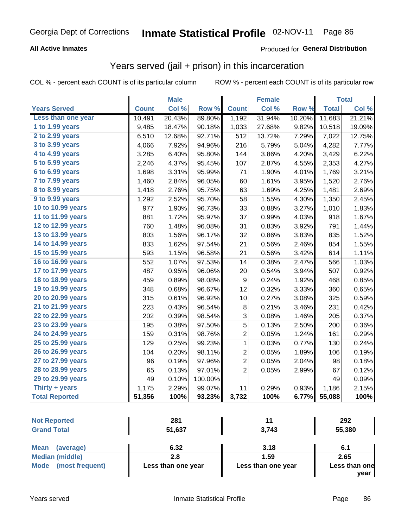#### **All Active Inmates**

#### Produced for **General Distribution**

### Years served (jail + prison) in this incarceration

|                              |              | <b>Male</b> |         |                         | <b>Female</b> |        |              | <b>Total</b> |
|------------------------------|--------------|-------------|---------|-------------------------|---------------|--------|--------------|--------------|
| <b>Years Served</b>          | <b>Count</b> | Col %       | Row %   | <b>Count</b>            | Col %         | Row %  | <b>Total</b> | Col %        |
| Less than one year           | 10,491       | 20.43%      | 89.80%  | 1,192                   | 31.94%        | 10.20% | 11,683       | 21.21%       |
| 1 to 1.99 years              | 9,485        | 18.47%      | 90.18%  | 1,033                   | 27.68%        | 9.82%  | 10,518       | 19.09%       |
| 2 to 2.99 years              | 6,510        | 12.68%      | 92.71%  | 512                     | 13.72%        | 7.29%  | 7,022        | 12.75%       |
| 3 to 3.99 years              | 4,066        | 7.92%       | 94.96%  | 216                     | 5.79%         | 5.04%  | 4,282        | 7.77%        |
| $\overline{4}$ to 4.99 years | 3,285        | 6.40%       | 95.80%  | 144                     | 3.86%         | 4.20%  | 3,429        | 6.22%        |
| 5 to 5.99 years              | 2,246        | 4.37%       | 95.45%  | 107                     | 2.87%         | 4.55%  | 2,353        | 4.27%        |
| 6 to 6.99 years              | 1,698        | 3.31%       | 95.99%  | 71                      | 1.90%         | 4.01%  | 1,769        | 3.21%        |
| 7 to 7.99 years              | 1,460        | 2.84%       | 96.05%  | 60                      | 1.61%         | 3.95%  | 1,520        | 2.76%        |
| 8 to 8.99 years              | 1,418        | 2.76%       | 95.75%  | 63                      | 1.69%         | 4.25%  | 1,481        | 2.69%        |
| 9 to 9.99 years              | 1,292        | 2.52%       | 95.70%  | 58                      | 1.55%         | 4.30%  | 1,350        | 2.45%        |
| 10 to 10.99 years            | 977          | 1.90%       | 96.73%  | 33                      | 0.88%         | 3.27%  | 1,010        | 1.83%        |
| 11 to 11.99 years            | 881          | 1.72%       | 95.97%  | 37                      | 0.99%         | 4.03%  | 918          | 1.67%        |
| 12 to 12.99 years            | 760          | 1.48%       | 96.08%  | 31                      | 0.83%         | 3.92%  | 791          | 1.44%        |
| 13 to 13.99 years            | 803          | 1.56%       | 96.17%  | 32                      | 0.86%         | 3.83%  | 835          | 1.52%        |
| 14 to 14.99 years            | 833          | 1.62%       | 97.54%  | 21                      | 0.56%         | 2.46%  | 854          | 1.55%        |
| 15 to 15.99 years            | 593          | 1.15%       | 96.58%  | 21                      | 0.56%         | 3.42%  | 614          | 1.11%        |
| 16 to 16.99 years            | 552          | 1.07%       | 97.53%  | 14                      | 0.38%         | 2.47%  | 566          | 1.03%        |
| 17 to 17.99 years            | 487          | 0.95%       | 96.06%  | 20                      | 0.54%         | 3.94%  | 507          | 0.92%        |
| 18 to 18.99 years            | 459          | 0.89%       | 98.08%  | 9                       | 0.24%         | 1.92%  | 468          | 0.85%        |
| 19 to 19.99 years            | 348          | 0.68%       | 96.67%  | 12                      | 0.32%         | 3.33%  | 360          | 0.65%        |
| 20 to 20.99 years            | 315          | 0.61%       | 96.92%  | 10                      | 0.27%         | 3.08%  | 325          | 0.59%        |
| 21 to 21.99 years            | 223          | 0.43%       | 96.54%  | $\, 8$                  | 0.21%         | 3.46%  | 231          | 0.42%        |
| 22 to 22.99 years            | 202          | 0.39%       | 98.54%  | 3                       | 0.08%         | 1.46%  | 205          | 0.37%        |
| 23 to 23.99 years            | 195          | 0.38%       | 97.50%  | 5                       | 0.13%         | 2.50%  | 200          | 0.36%        |
| 24 to 24.99 years            | 159          | 0.31%       | 98.76%  | 2                       | 0.05%         | 1.24%  | 161          | 0.29%        |
| 25 to 25.99 years            | 129          | 0.25%       | 99.23%  | $\mathbf 1$             | 0.03%         | 0.77%  | 130          | 0.24%        |
| 26 to 26.99 years            | 104          | 0.20%       | 98.11%  | $\overline{\mathbf{c}}$ | 0.05%         | 1.89%  | 106          | 0.19%        |
| 27 to 27.99 years            | 96           | 0.19%       | 97.96%  | $\overline{\mathbf{c}}$ | 0.05%         | 2.04%  | 98           | 0.18%        |
| 28 to 28.99 years            | 65           | 0.13%       | 97.01%  | $\overline{2}$          | 0.05%         | 2.99%  | 67           | 0.12%        |
| 29 to 29.99 years            | 49           | 0.10%       | 100.00% |                         |               |        | 49           | 0.09%        |
| Thirty $+$ years             | 1,175        | 2.29%       | 99.07%  | 11                      | 0.29%         | 0.93%  | 1,186        | 2.15%        |
| <b>Total Reported</b>        | 51,356       | 100%        | 93.23%  | 3,732                   | 100%          | 6.77%  | 55,088       | 100%         |

| re o | 004<br>ZU I<br>$\sim$ $\sim$ |             | 292<br>$-$ |
|------|------------------------------|-------------|------------|
|      | $\sim$<br>- 4                | 712<br>- 79 | 55,380     |

| <b>Mean</b><br>(average) | 6.32               | 3.18               | 6.1           |
|--------------------------|--------------------|--------------------|---------------|
| Median (middle)          |                    | 1.59               | 2.65          |
| Mode (most frequent)     | Less than one year | Less than one year | Less than one |
|                          |                    |                    | vear          |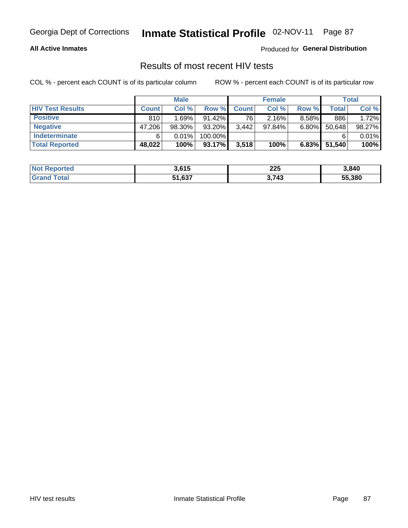#### **All Active Inmates**

Produced for **General Distribution**

### Results of most recent HIV tests

|                         |              | <b>Male</b> |           |              | <b>Female</b> |          |        | Total  |
|-------------------------|--------------|-------------|-----------|--------------|---------------|----------|--------|--------|
| <b>HIV Test Results</b> | <b>Count</b> | Col%        | Row %I    | <b>Count</b> | Col %         | Row %    | Total  | Col %  |
| <b>Positive</b>         | 810          | 1.69%       | $91.42\%$ | 76           | $2.16\%$      | $8.58\%$ | 886    | 1.72%  |
| <b>Negative</b>         | 47,206       | 98.30%      | 93.20%    | 3,442        | $97.84\%$     | 6.80%    | 50,648 | 98.27% |
| Indeterminate           | 6            | 0.01%       | 100.00%   |              |               |          |        | 0.01%  |
| <b>Total Reported</b>   | 48,022       | 100%        | 93.17%    | 3,518        | 100%          | $6.83\%$ | 51,540 | 100%   |

| <b>Not Reported</b> | 3,615  | 225   | 3,840  |
|---------------------|--------|-------|--------|
| Total<br>Grand      | 51,637 | 3,743 | 55,380 |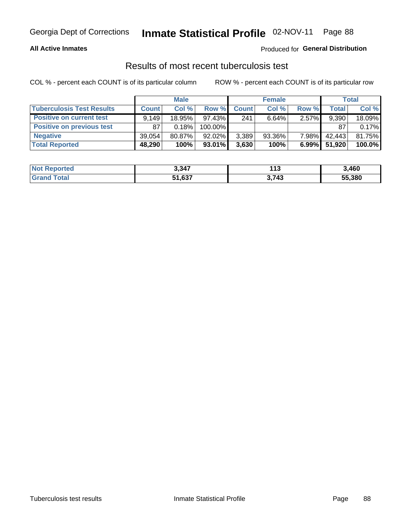#### **All Active Inmates**

#### Produced for **General Distribution**

### Results of most recent tuberculosis test

|                                  | <b>Male</b>  |           |           | <b>Female</b> |           |          | Total  |        |
|----------------------------------|--------------|-----------|-----------|---------------|-----------|----------|--------|--------|
| <b>Tuberculosis Test Results</b> | <b>Count</b> | Col%      | Row %     | <b>Count</b>  | Col %     | Row %    | Total  | Col %  |
| <b>Positive on current test</b>  | 9.149        | 18.95%    | $97.43\%$ | 241           | 6.64%     | $2.57\%$ | 9,390  | 18.09% |
| <b>Positive on previous test</b> | 87           | 0.18%     | 100.00%   |               |           |          | 87     | 0.17%  |
| <b>Negative</b>                  | 39.054       | $80.87\%$ | $92.02\%$ | 3,389         | $93.36\%$ | $7.98\%$ | 42,443 | 81.75% |
| <b>Total Reported</b>            | 48,290       | 100%      | $93.01\%$ | 3,630         | 100%      | $6.99\%$ | 51,920 | 100.0% |

| <b>Not Reported</b> | 3,347  | $-11o$<br>. | 3,460  |
|---------------------|--------|-------------|--------|
| Total               | 51,637 | 3,743       | 55,380 |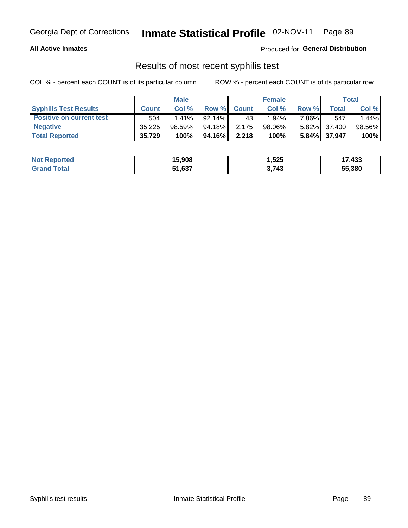#### **All Active Inmates**

Produced for **General Distribution**

### Results of most recent syphilis test

|                                 | <b>Male</b>  |        |           | <b>Female</b> |           |          | Total        |        |
|---------------------------------|--------------|--------|-----------|---------------|-----------|----------|--------------|--------|
| <b>Syphilis Test Results</b>    | <b>Count</b> | Col%   | Row %I    | <b>Count</b>  | Col%      | Row %    | Total        | Col %  |
| <b>Positive on current test</b> | 504          | 1.41%  | $92.14\%$ | 43            | 1.94%     | 7.86%1   | 547          | 1.44%  |
| <b>Negative</b>                 | 35.225       | 98.59% | 94.18%    | 2.175         | $98.06\%$ |          | 5.82% 37,400 | 98.56% |
| <b>Total Reported</b>           | 35,729       | 100%   | 94.16%    | 2,218         | 100%      | $5.84\%$ | 37,947       | 100%   |

| <b>Not Reported</b> | 15,908 | 1,525 | 17,433 |
|---------------------|--------|-------|--------|
| <b>Grand Total</b>  | 51,637 | 3,743 | 55,380 |